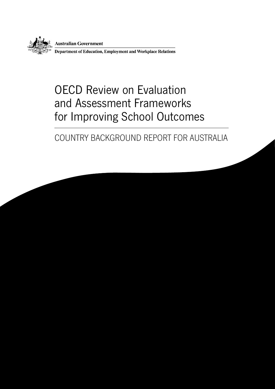

**Australian Government** 

Department of Education, Employment and Workplace Relations

### OECD Review on Evaluation and Assessment Frameworks for Improving School Outcomes

### COUNTRY BACKGROUND REPORT FOR AUSTRALIA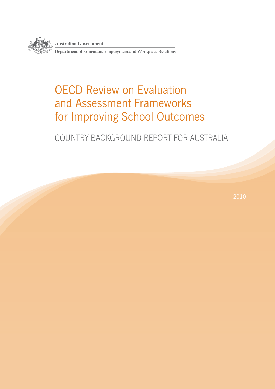

**Australian Government** 

Department of Education, Employment and Workplace Relations

### OECD Review on Evaluation and Assessment Frameworks for Improving School Outcomes

### COUNTRY BACKGROUND REPORT FOR AUSTRALIA

2010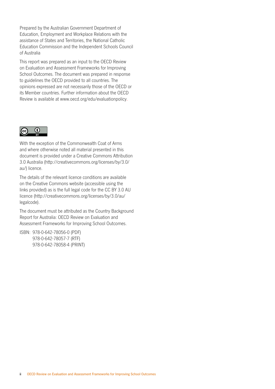Prepared by the Australian Government Department of Education, Employment and Workplace Relations with the assistance of States and Territories, the National Catholic Education Commission and the Independent Schools Council of Australia

This report was prepared as an input to the OECD Review on Evaluation and Assessment Frameworks for Improving School Outcomes. The document was prepared in response to guidelines the OECD provided to all countries. The opinions expressed are not necessarily those of the OECD or its Member countries. Further information about the OECD Review is available at www.oecd.org/edu/evaluationpolicy.



With the exception of the Commonwealth Coat of Arms and where otherwise noted all material presented in this document is provided under a Creative Commons Attribution 3.0 Australia (http://creativecommons.org/licenses/by/3.0/ au/) licence.

The details of the relevant licence conditions are available on the Creative Commons website (accessible using the links provided) as is the full legal code for the CC BY 3.0 AU licence (http://creativecommons.org/licenses/by/3.0/au/ legalcode).

The document must be attributed as the Country Background Report for Australia: OECD Review on Evaluation and Assessment Frameworks for Improving School Outcomes.

ISBN: 978-0-642-78056-0 (PDF) 978-0-642-78057-7 (RTF) 978-0-642-78058-4 (PRINT)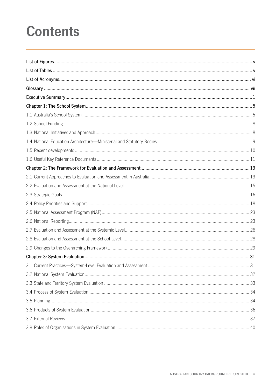### **Contents**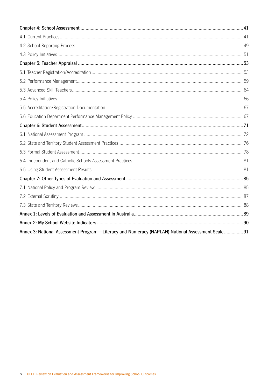| Annex 3: National Assessment Program—Literacy and Numeracy (NAPLAN) National Assessment Scale91 |  |
|-------------------------------------------------------------------------------------------------|--|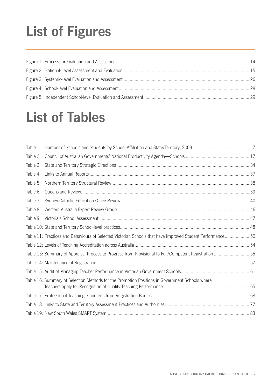# **List of Figures**

### **List of Tables**

| Table 4: |                                                                                                            |  |
|----------|------------------------------------------------------------------------------------------------------------|--|
| Table 5: |                                                                                                            |  |
| Table 6: |                                                                                                            |  |
|          |                                                                                                            |  |
| Table 8: |                                                                                                            |  |
|          |                                                                                                            |  |
|          |                                                                                                            |  |
|          | Table 11: Practices and Behaviours of Selected Victorian Schools that have Improved Student Performance 50 |  |
|          |                                                                                                            |  |
|          | Table 13: Summary of Appraisal Process to Progress from Provisional to Full/Competent Registration  55     |  |
|          |                                                                                                            |  |
|          |                                                                                                            |  |
|          | Table 16: Summary of Selection Methods for the Promotion Positions in Government Schools where             |  |
|          |                                                                                                            |  |
|          |                                                                                                            |  |
|          |                                                                                                            |  |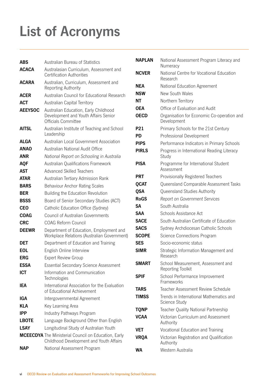# **List of Acronyms**

| <b>ABS</b>     | Australian Bureau of Statistics                                                                        | <b>NAPLAN</b>               |
|----------------|--------------------------------------------------------------------------------------------------------|-----------------------------|
| <b>ACACA</b>   | Australasian Curriculum, Assessment and<br><b>Certification Authorities</b>                            | <b>NCVER</b>                |
| <b>ACARA</b>   | Australian, Curriculum, Assessment and<br>Reporting Authority                                          | <b>NEA</b>                  |
| <b>ACER</b>    | Australian Council for Educational Research                                                            | <b>NSW</b>                  |
| <b>ACT</b>     | Australian Capital Territory                                                                           | NΤ                          |
| <b>AEEYSOC</b> | Australian Education, Early Childhood<br>Development and Youth Affairs Senior<br>Officials Committee   | <b>OEA</b><br><b>OECD</b>   |
| <b>AITSL</b>   | Australian Institute of Teaching and School<br>Leadership                                              | <b>P21</b><br><b>PD</b>     |
| <b>ALGA</b>    | Australian Local Government Association                                                                | <b>PIPS</b>                 |
| <b>ANAO</b>    | Australian National Audit Office                                                                       | <b>PIRLS</b>                |
| <b>ANR</b>     | National Report on Schooling in Australia                                                              |                             |
| <b>AQF</b>     | Australian Qualifications Framework                                                                    | <b>PISA</b>                 |
| <b>AST</b>     | <b>Advanced Skilled Teachers</b>                                                                       |                             |
| <b>ATAR</b>    | Australian Tertiary Admission Rank                                                                     | <b>PRT</b>                  |
| <b>BARS</b>    | <b>Behaviour Anchor Rating Scales</b>                                                                  | <b>QCAT</b>                 |
| <b>BER</b>     | Building the Education Revolution                                                                      | <b>QSA</b>                  |
| <b>BSSS</b>    | Board of Senior Secondary Studies (ACT)                                                                | <b>RoGS</b>                 |
| <b>CEO</b>     | Catholic Education Office (Sydney)                                                                     | SA                          |
| <b>COAG</b>    | <b>Council of Australian Governments</b>                                                               | <b>SAA</b>                  |
| <b>CRC</b>     | <b>COAG Reform Council</b>                                                                             | <b>SACE</b>                 |
| <b>DEEWR</b>   | Department of Education, Employment and<br>Workplace Relations (Australian Government)                 | <b>SACS</b><br><b>SCOPE</b> |
| <b>DET</b>     | Department of Education and Training                                                                   | <b>SES</b>                  |
| <b>EOL</b>     | English Online Interview                                                                               | <b>SIMR</b>                 |
| <b>ERG</b>     | <b>Expert Review Group</b>                                                                             |                             |
| <b>ESSA</b>    | Essential Secondary Science Assessment                                                                 | SMART                       |
| <b>ICT</b>     | Information and Communication<br>Technologies                                                          | <b>SPIF</b>                 |
| IEA            | International Association for the Evaluation<br>of Educational Achievement                             | <b>TARS</b>                 |
| IGA            | Intergovernmental Agreement                                                                            | <b>TIMSS</b>                |
| <b>KLA</b>     | Key Learning Area                                                                                      | <b>TQNP</b>                 |
| <b>IPP</b>     | Industry Pathways Program                                                                              | <b>VCAA</b>                 |
| <b>LBOTE</b>   | Language Background Other than English                                                                 |                             |
| <b>LSAY</b>    | Longitudinal Study of Australian Youth                                                                 | <b>VET</b>                  |
|                | <b>MCEECDYA</b> The Ministerial Council on Education, Early<br>Childhood Development and Youth Affairs | <b>VRQA</b>                 |
| <b>NAP</b>     | National Assessment Program                                                                            | <b>WA</b>                   |

| <b>NAPLAN</b> | National Assessment Program Literacy and<br>Numeracy      |
|---------------|-----------------------------------------------------------|
| <b>NCVER</b>  | National Centre for Vocational Education<br>Research      |
| NEA           | National Education Agreement                              |
| <b>NSW</b>    | New South Wales                                           |
| <b>NT</b>     | Northern Territory                                        |
| <b>OEA</b>    | Office of Evaluation and Audit                            |
| <b>OECD</b>   | Organisation for Economic Co-operation and<br>Development |
| P21           | Primary Schools for the 21st Century                      |
| <b>PD</b>     | Professional Development                                  |
| <b>PIPS</b>   | Performance Indicators in Primary Schools                 |
| <b>PIRLS</b>  | Progress in International Reading Literacy<br>Study       |
| <b>PISA</b>   | Programme for International Student<br>Assessment         |
| <b>PRT</b>    | Provisionally Registered Teachers                         |
| <b>QCAT</b>   | Queensland Comparable Assessment Tasks                    |
| <b>QSA</b>    | Queensland Studies Authority                              |
| <b>RoGS</b>   | <b>Report on Government Services</b>                      |
| SΑ            | South Australia                                           |
| <b>SAA</b>    | Schools Assistance Act                                    |
| <b>SACE</b>   | South Australian Certificate of Education                 |
| <b>SACS</b>   | Sydney Archdiocesan Catholic Schools                      |
| <b>SCOPE</b>  | Science Connections Program                               |
| <b>SES</b>    | Socio-economic status                                     |
| SIMR          | Strategic Information Management and<br>Research          |
| <b>SMART</b>  | School Measurement, Assessment and<br>Reporting Toolkit   |
| SPIF          | School Performance Improvement<br>Frameworks              |
| TARS          | Teacher Assessment Review Schedule                        |
| <b>TIMSS</b>  | Trends in International Mathematics and<br>Science Study  |
| TQNP          | Teacher Quality National Partnership                      |
| <b>VCAA</b>   | Victorian Curriculum and Assessment<br>Authority          |
| VET           | Vocational Education and Training                         |
| VRQA          | Victorian Registration and Qualification<br>Authority     |
| WA            | Western Australia                                         |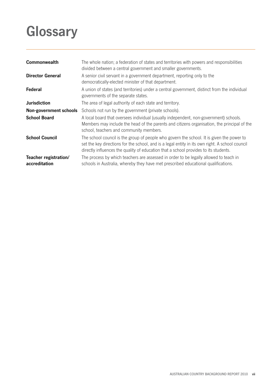## **Glossary**

| Commonwealth                           | The whole nation; a federation of states and territories with powers and responsibilities<br>divided between a central government and smaller governments.                                                                                                                           |
|----------------------------------------|--------------------------------------------------------------------------------------------------------------------------------------------------------------------------------------------------------------------------------------------------------------------------------------|
| <b>Director General</b>                | A senior civil servant in a government department, reporting only to the<br>democratically-elected minister of that department.                                                                                                                                                      |
| Federal                                | A union of states (and territories) under a central government, distinct from the individual<br>governments of the separate states.                                                                                                                                                  |
| <b>Jurisdiction</b>                    | The area of legal authority of each state and territory.                                                                                                                                                                                                                             |
| Non-government schools                 | Schools not run by the government (private schools).                                                                                                                                                                                                                                 |
| <b>School Board</b>                    | A local board that oversees individual (usually independent, non-government) schools.<br>Members may include the head of the parents and citizens organisation, the principal of the<br>school, teachers and community members.                                                      |
| <b>School Council</b>                  | The school council is the group of people who govern the school. It is given the power to<br>set the key directions for the school, and is a legal entity in its own right. A school council<br>directly influences the quality of education that a school provides to its students. |
| Teacher registration/<br>accreditation | The process by which teachers are assessed in order to be legally allowed to teach in<br>schools in Australia, whereby they have met prescribed educational qualifications.                                                                                                          |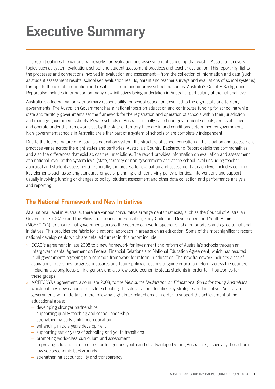### **Executive Summary**

This report outlines the various frameworks for evaluation and assessment of schooling that exist in Australia. It covers topics such as system evaluation, school and student assessment practices and teacher evaluation. This report highlights the processes and connections involved in evaluation and assessment—from the collection of information and data (such as student assessment results, school self evaluation results, parent and teacher surveys and evaluations of school systems) through to the use of information and results to inform and improve school outcomes. Australia's Country Background Report also includes information on many new initiatives being undertaken in Australia, particularly at the national level.

Australia is a federal nation with primary responsibility for school education devolved to the eight state and territory governments. The Australian Government has a national focus on education and contributes funding for schooling while state and territory governments set the framework for the registration and operation of schools within their jurisdiction and manage government schools. Private schools in Australia, usually called non-government schools, are established and operate under the frameworks set by the state or territory they are in and conditions determined by governments. Non‑government schools in Australia are either part of a system of schools or are completely independent.

Due to the federal nature of Australia's education system, the structure of school education and evaluation and assessment practices varies across the eight states and territories. Australia's Country Background Report details the commonalities and also the differences that exist across the jurisdictions. The report provides information on evaluation and assessment at a national level, at the system level (state, territory or non-government) and at the school level (including teacher appraisal and student assessment). Generally, the process for evaluation and assessment at each level includes common key elements such as setting standards or goals, planning and identifying policy priorities, interventions and support usually involving funding or changes to policy, student assessment and other data collection and performance analysis and reporting.

### **The National Framework and New Initiatives**

At a national level in Australia, there are various consultative arrangements that exist, such as the Council of Australian Governments (COAG) and the Ministerial Council on Education, Early Childhood Development and Youth Affairs (MCEECDYA), to ensure that governments across the country can work together on shared priorities and agree to national initiatives. This provides the fabric for a national approach in areas such as education. Some of the most significant recent national developments which are detailed further in this report include:

- » COAG's agreement in late 2008 to a new framework for investment and reform of Australia's schools through an Intergovernmental Agreement on Federal Financial Relations and National Education Agreement, which has resulted in all governments agreeing to a common framework for reform in education. The new framework includes a set of aspirations, outcomes, progress measures and future policy directions to guide education reform across the country, including a strong focus on indigenous and also low socio-economic status students in order to lift outcomes for these groups.
- » MCEECDYA's agreement, also in late 2008, to the *Melbourne Declaration on Educational Goals for Young Australians* which outlines new national goals for schooling. This declaration identifies key strategies and initiatives Australian governments will undertake in the following eight inter-related areas in order to support the achievement of the educational goals:
	- developing stronger partnerships
	- supporting quality teaching and school leadership
	- strengthening early childhood education
	- enhancing middle years development
	- supporting senior years of schooling and youth transitions
	- promoting world-class curriculum and assessment
	- improving educational outcomes for Indigenous youth and disadvantaged young Australians, especially those from low socioeconomic backgrounds
	- strengthening accountability and transparency.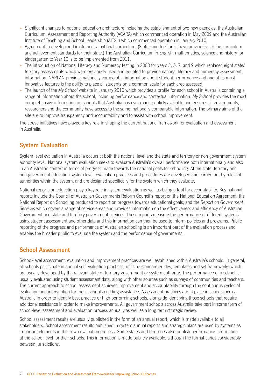- » Significant changes to national education architecture including the establishment of two new agencies, the Australian Curriculum, Assessment and Reporting Authority (ACARA) which commenced operation in May 2009 and the Australian Institute of Teaching and School Leadership (AITSL) which commenced operation in January 2010.
- » Agreement to develop and implement a national curriculum. (States and territories have previously set the curriculum and achievement standards for their state.) The Australian Curriculum in English, mathematics, science and history for kindergarten to Year 10 is to be implemented from 2011.
- » The introduction of National Literacy and Numeracy testing in 2008 for years 3, 5, 7, and 9 which replaced eight state/ territory assessments which were previously used and equated to provide national literacy and numeracy assessment information. NAPLAN provides nationally comparable information about student performance and one of its most innovative features is the ability to place all students on a common scale for each area assessed.
- » The launch of the *My School* website in January 2010 which provides a profile for each school in Australia containing a range of information about the school, including performance and contextual information. *My School* provides the most comprehensive information on schools that Australia has ever made publicly available and ensures all governments, researchers and the community have access to the same, nationally comparable information. The primary aims of the site are to improve transparency and accountability and to assist with school improvement.

The above initiatives have played a key role in shaping the current national framework for evaluation and assessment in Australia.

### **System Evaluation**

System-level evaluation in Australia occurs at both the national level and the state and territory or non-government system authority level. National system evaluation seeks to evaluate Australia's overall performance both internationally and also in an Australian context in terms of progress made towards the national goals for schooling. At the state, territory and non-government education system level, evaluation practices and procedures are developed and carried out by relevant authorities within the system, and are designed specifically for the system which they evaluate.

National reports on education play a key role in system evaluation as well as being a tool for accountability. Key national reports include the Council of Australian Governments Reform Council's report on the National Education Agreement; the National Report on Schooling produced to report on progress towards educational goals; and the *Report on Government Services* which covers a range of service areas and provides information on the effectiveness and efficiency of Australian Government and state and territory government services. These reports measure the performance of different systems using student assessment and other data and this information can then be used to inform policies and programs. Public reporting of the progress and performance of Australian schooling is an important part of the evaluation process and enables the broader public to evaluate the system and the performance of governments.

### **School Assessment**

School-level assessment, evaluation and improvement practices are well established within Australia's schools. In general, all schools participate in annual self evaluation practices, utilising standard guides, templates and set frameworks which are usually developed by the relevant state or territory government or system authority. The performance of a school is usually evaluated using student assessment data, along with other sources such as surveys of communities and teachers. The current approach to school assessment achieves improvement and accountability through the continuous cycles of evaluation and intervention for those schools needing assistance. Assessment practices are in place in schools across Australia in order to identify best practice or high performing schools, alongside identifying those schools that require additional assistance in order to make improvements. All government schools across Australia take part in some form of school-level assessment and evaluation process annually as well as a long term strategic review.

School assessment results are usually published in the form of an annual report, which is made available to all stakeholders. School assessment results published in system annual reports and strategic plans are used by systems as important elements in their own evaluation process. Some states and territories also publish performance information at the school level for their schools. This information is made publicly available, although the format varies considerably between jurisdictions.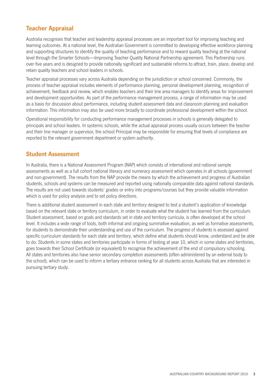### **Teacher Appraisal**

Australia recognises that teacher and leadership appraisal processes are an important tool for improving teaching and learning outcomes. At a national level, the Australian Government is committed to developing effective workforce planning and supporting structures to identify the quality of teaching performance and to reward quality teaching at the national level through the Smarter Schools—Improving Teacher Quality National Partnership agreement. This Partnership runs over five years and is designed to provide nationally significant and sustainable reforms to attract, train, place, develop and retain quality teachers and school leaders in schools.

Teacher appraisal processes vary across Australia depending on the jurisdiction or school concerned. Commonly, the process of teacher appraisal includes elements of performance planning, personal development planning, recognition of achievement, feedback and review, which enables teachers and their line area managers to identify areas for improvement and development opportunities. As part of the performance management process, a range of information may be used as a basis for discussion about performance, including student assessment data and classroom planning and evaluation information. This information may also be used more broadly to coordinate professional development within the school.

Operational responsibility for conducting performance management processes in schools is generally delegated to principals and school leaders. In systemic schools, while the actual appraisal process usually occurs between the teacher and their line manager or supervisor, the school Principal may be responsible for ensuring that levels of compliance are reported to the relevant government department or system authority.

### **Student Assessment**

In Australia, there is a National Assessment Program (NAP) which consists of international and national sample assessments as well as a full cohort national literacy and numeracy assessment which operates in all schools (government and non-government). The results from the NAP provide the means by which the achievement and progress of Australian students, schools and systems can be measured and reported using nationally comparable data against national standards. The results are not used towards students' grades or entry into programs/courses but they provide valuable information which is used for policy analysis and to set policy directions.

There is additional student assessment in each state and territory designed to test a student's application of knowledge based on the relevant state or territory curriculum, in order to evaluate what the student has learned from the curriculum. Student assessment, based on goals and standards set in state and territory curricula, is often developed at the school level. It includes a wide range of tools, both informal and ongoing summative evaluation, as well as formative assessments, for students to demonstrate their understanding and use of the curriculum. The progress of students is assessed against specific curriculum standards for each state and territory, which define what students should know, understand and be able to do. Students in some states and territories participate in forms of testing at year 10, which in some states and territories, goes towards their School Certificate (or equivalent) to recognise the achievement of the end of compulsory schooling. All states and territories also have senior secondary completion assessments (often administered by an external body to the school), which can be used to inform a tertiary entrance ranking for all students across Australia that are interested in pursuing tertiary study.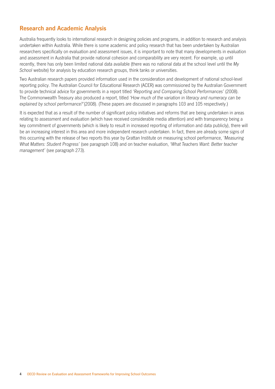### **Research and Academic Analysis**

Australia frequently looks to international research in designing policies and programs, in addition to research and analysis undertaken within Australia. While there is some academic and policy research that has been undertaken by Australian researchers specifically on evaluation and assessment issues, it is important to note that many developments in evaluation and assessment in Australia that provide national cohesion and comparability are very recent. For example, up until recently, there has only been limited national data available (there was no national data at the school level until the *My School* website) for analysis by education research groups, think tanks or universities.

Two Australian research papers provided information used in the consideration and development of national school-level reporting policy. The Australian Council for Educational Research (ACER) was commissioned by the Australian Government to provide technical advice for governments in a report titled '*Reporting and Comparing School Performances'* (2008). The Commonwealth Treasury also produced a report, titled *'How much of the variation in literacy and numeracy can be explained by school performance?'*(2008). (These papers are discussed in paragraphs 103 and 105 respectively.)

It is expected that as a result of the number of significant policy initiatives and reforms that are being undertaken in areas relating to assessment and evaluation (which have received considerable media attention) and with transparency being a key commitment of governments (which is likely to result in increased reporting of information and data publicly), there will be an increasing interest in this area and more independent research undertaken. In fact, there are already some signs of this occurring with the release of two reports this year by Grattan Institute on measuring school performance, *'Measuring What Matters: Student Progress'* (see paragraph 108) and on teacher evaluation, *'What Teachers Want: Better teacher management'* (see paragraph 273).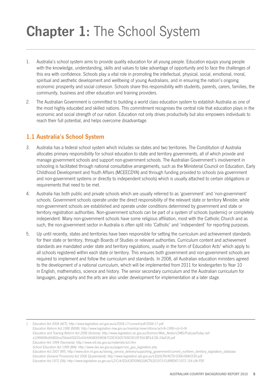## **Chapter 1:** The School System

- 1. Australia's school system aims to provide quality education for all young people. Education equips young people with the knowledge, understanding, skills and values to take advantage of opportunity and to face the challenges of this era with confidence. Schools play a vital role in promoting the intellectual, physical, social, emotional, moral, spiritual and aesthetic development and wellbeing of young Australians, and in ensuring the nation's ongoing economic prosperity and social cohesion. Schools share this responsibility with students, parents, carers, families, the community, business and other education and training providers.
- 2. The Australian Government is committed to building a world class education system to establish Australia as one of the most highly educated and skilled nations. This commitment recognises the central role that education plays in the economic and social strength of our nation. Education not only drives productivity but also empowers individuals to reach their full potential, and helps overcome disadvantage.

### **1.1 Australia's School System**

- 3. Australia has a federal school system which includes six states and two territories. The Constitution of Australia allocates primary responsibility for school education to state and territory governments, all of which provide and manage government schools and support non-government schools. The Australian Government's involvement in schooling is facilitated through national consultative arrangements, such as the Ministerial Council on Education, Early Childhood Development and Youth Affairs (MCEECDYA) and through funding provided to schools (via government and non-government systems or directly to independent schools) which is usually attached to certain obligations or requirements that need to be met.
- 4. Australia has both public and private schools which are usually referred to as 'government' and 'non-government' schools. Government schools operate under the direct responsibility of the relevant state or territory Minister, while non-government schools are established and operate under conditions determined by government and state or territory registration authorities. Non-government schools can be part of a system of schools (systemic) or completely independent. Many non‑government schools have some religious affiliation, most with the Catholic Church and as such, the non‑government sector in Australia is often split into 'Catholic' and 'independent' for reporting purposes.
- 5. Up until recently, states and territories have been responsible for setting the curriculum and achievement standards for their state or territory, through Boards of Studies or relevant authorities. Curriculum content and achievement standards are mandated under state and territory regulations, usually in the form of Education Acts<sup>1</sup> which apply to all schools registered within each state or territory. This ensures both government and non-government schools are required to implement and follow the curriculum and standards. In 2008, all Australian education ministers agreed to the development of a national curriculum, which will be implemented from 2011 for kindergarten to Year 10 in English, mathematics, science and history. The senior secondary curriculum and the Australian curriculum for languages, geography and the arts are also under development for implementation at a later stage.

1 *Education Act 2004* (ACT): http://www.legislation.act.gov.au/a/2004-17/current/pdf/2004-17.pdf

*Education Reform Act 1990* (NSW): http://www.legislation.nsw.gov.au/maintop/view/inforce/act+8+1990+cd+0+N

*Education and Training Reform Act 2006* (Victoria): http://www.legislation.vic.gov.au/Domino/Web\_Notes/LDMS/PubLawToday.nsf/

a12f6f60fbd56800ca256de500201e54/6404E6596967CDE3CA25769C0010F354/\$FILE/06-24a018.pdf

*Education Act 1994* (Tasmania): http://www.srb.tas.gov.au/materials/act.htm

*Education Act 2007* (NT): http://www.dcm.nt.gov.au/strong\_service\_delivery/supporting\_government/current\_northern\_territory\_legislation\_database *Education (General Provisions) Act 2006* (Queensland): http://www.legislation.qld.gov.au/LEGISLTN/ACTS/2006/06AC039.pdf

*Education Act 1972* (SA): http://www.legislation.sa.gov.au/LZ/C/A/EDUCATION%20ACT%201972/CURRENT/1972.154.UN.PDF

*School Education Act 1999 (WA):* http://www.des.wa.gov.au/pages/non\_gov\_legislation.php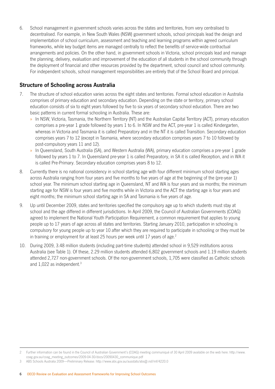6. School management in government schools varies across the states and territories, from very centralised to decentralised. For example, in New South Wales (NSW) government schools, school principals lead the design and implementation of school curriculum, assessment and teaching and learning programs within agreed curriculum frameworks, while key budget items are managed centrally to reflect the benefits of service-wide contractual arrangements and policies. On the other hand, in government schools in Victoria, school principals lead and manage the planning, delivery, evaluation and improvement of the education of all students in the school community through the deployment of financial and other resources provided by the department, school council and school community. For independent schools, school management responsibilities are entirely that of the School Board and principal.

### **Structure of Schooling across Australia**

- 7. The structure of school education varies across the eight states and territories. Formal school education in Australia comprises of primary education and secondary education. Depending on the state or territory, primary school education consists of six to eight years followed by five to six years of secondary school education. There are two basic patterns in current formal schooling in Australia. These are:
	- » In NSW, Victoria, Tasmania, the Northern Territory (NT) and the Australian Capital Territory (ACT), primary education comprises a pre-year 1 grade followed by years 1 to 6. In NSW and the ACT, pre-year 1 is called Kindergarten, whereas in Victoria and Tasmania it is called Preparatory and in the NT it is called Transition. Secondary education comprises years 7 to 12 (except in Tasmania, where secondary education comprises years 7 to 10 followed by post-compulsory years 11 and 12).
	- » In Queensland, South Australia (SA), and Western Australia (WA), primary education comprises a pre-year 1 grade followed by years 1 to 7. In Queensland pre-year 1 is called Preparatory, in SA it is called Reception, and in WA it is called Pre‑Primary. Secondary education comprises years 8 to 12.
- 8. Currently there is no national consistency in school starting age with four different minimum school starting ages across Australia ranging from four years and five months to five years of age at the beginning of the (pre-year 1) school year. The minimum school starting age in Queensland, NT and WA is four years and six months; the minimum starting age for NSW is four years and five months while in Victoria and the ACT the starting age is four years and eight months; the minimum school starting age in SA and Tasmania is five years of age.
- 9. Up until December 2009, states and territories specified the compulsory age up to which students must stay at school and the age differed in different jurisdictions. In April 2009, the Council of Australian Governments (COAG) agreed to implement the National Youth Participation Requirement, a common requirement that applies to young people up to 17 years of age across all states and territories. Starting January 2010, participation in schooling is compulsory for young people up to year 10 after which they are required to participate in schooling or they must be in training or employment for at least 25 hours per week until 17 years of age.<sup>2</sup>
- 10. During 2009, 3.48 million students (including part-time students) attended school in 9,529 institutions across Australia (see Table 1). Of these, 2.29 million students attended 6,802 government schools and 1.19 million students attended 2,727 non‑government schools. Of the non‑government schools, 1,705 were classified as Catholic schools and 1,022 as independent.3

<sup>2</sup> Further information can be found in the Council of Australian Government's (COAG) meeting communiqué of 30 April 2009 available on the web here: http://www. coag.gov.au/coag\_meeting\_outcomes/2009‑04‑30/docs/20090430\_communique.pdf

<sup>3</sup> ABS Schools Australia 2009—Preliminary Release: http://www.abs.gov.au/ausstats/abs@.nsf/mf/4220.0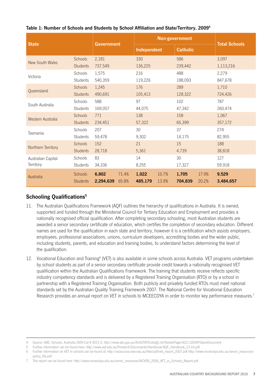| <b>State</b>           |                 | <b>Government</b> |       | Non-government |       |                 |       | <b>Total Schools</b> |  |
|------------------------|-----------------|-------------------|-------|----------------|-------|-----------------|-------|----------------------|--|
|                        |                 |                   |       | Independent    |       | <b>Catholic</b> |       |                      |  |
| <b>New South Wales</b> | Schools         | 2,181             |       | 330            |       | 586             |       | 3,097                |  |
|                        | <b>Students</b> | 737,549           |       | 136,225        |       | 239,442         |       | 1,113,216            |  |
| Victoria               | Schools         | 1,575             |       | 216            |       | 488             |       | 2,279                |  |
|                        | <b>Students</b> | 540,359           |       | 119,226        |       | 188,093         |       | 847,678              |  |
|                        | <b>Schools</b>  | 1,245             |       | 176            |       | 289             |       | 1,710                |  |
| Queensland             | <b>Students</b> | 490,691           |       | 105,413        |       | 128,322         |       | 724,426              |  |
|                        | Schools         | 588               |       | 97             |       | 102             |       | 787                  |  |
| South Australia        | Students        | 169,057           |       | 44,075         |       | 47,342          |       | 260,474              |  |
|                        | Schools         | 771               |       | 138            |       | 158             |       | 1,067                |  |
| Western Australia      | <b>Students</b> | 234,451           |       | 57,322         |       | 65,399          |       | 357,172              |  |
|                        | Schools         | 207               |       | 30             |       | 37              |       | 274                  |  |
| Tasmania               | Students        | 59,478            |       | 9,302          |       | 14,175          |       | 82,955               |  |
|                        | <b>Schools</b>  | 152               |       | 21             |       | 15              |       | 188                  |  |
| Northern Territory     | <b>Students</b> | 28,718            |       | 5,361          |       | 4,739           |       | 38,818               |  |
| Australian Capital     | Schools         | 83                |       | 14             |       | 30              |       | 127                  |  |
| Territory              | Students        | 34,336            |       | 8,255          |       | 17,327          |       | 59,918               |  |
| Australia              | <b>Schools</b>  | 6,802             | 71.4% | 1,022          | 10.7% | 1,705           | 17.9% | 9,529                |  |
|                        | <b>Students</b> | 2,294,639         | 65.8% | 485,179        | 13.9% | 704,839         | 20.2% | 3,484,657            |  |

#### **Table 1: Number of Schools and Students by School Affiliation and State/Territory, 2009<sup>4</sup>**

### **Schooling Qualifications5**

- 11. The Australian Qualifications Framework (AQF) outlines the hierarchy of qualifications in Australia. It is owned, supported and funded through the Ministerial Council for Tertiary Education and Employment and provides a nationally recognised official qualification. After completing secondary schooling, most Australian students are awarded a senior secondary certificate of education, which certifies the completion of secondary education. Different names are used for the qualification in each state and territory, however it is a certification which assists employers, employees, professional associations, unions, curriculum developers, accrediting bodies and the wider public, including students, parents, and education and training bodies, to understand factors determining the level of the qualification.
- 12. Vocational Education and Training<sup>6</sup> (VET) is also available in some schools across Australia. VET programs undertaken by school students as part of a senior secondary certificate provide credit towards a nationally recognised VET qualification within the Australian Qualifications Framework. The training that students receive reflects specific industry competency standards and is delivered by a Registered Training Organisation (RTO) or by a school in partnership with a Registered Training Organisation. Both publicly and privately funded RTOs must meet national standards set by the Australian Quality Training Framework 2007. The National Centre for Vocational Education Research provides an annual report on VET in schools to MCEECDYA in order to monitor key performance measures.7

<sup>4</sup> Source: ABS, Schools, Australia 2009 Cat # 4221.0, http://www.abs.gov.au/AUSSTATS/abs@.nsf/DetailsPage/4221.02009?OpenDocument

<sup>5</sup> Further information can be found here: http://www.aqf.edu.au/Portals/0/Documents/Handbook/AQF\_Handbook\_13‑14.pdf

<sup>6</sup> Further information on VET in schools can be found at: http://acaca.bos.nsw.edu.au/files/pdf/vet\_report\_2007.pdf http://www.mceecdya.edu.au/verve/\_resources/ policy\_file.pdf

<sup>7</sup> The report can be found here: http://www.mceecdya.edu.au/verve/\_resources/NCVER\_2008\_VET\_in\_Schools\_Report.pdf.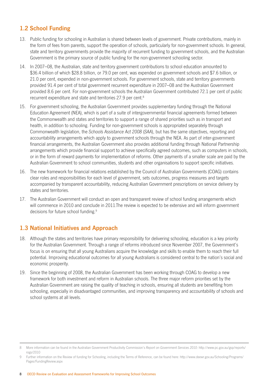### **1.2 School Funding**

- 13. Public funding for schooling in Australian is shared between levels of government. Private contributions, mainly in the form of fees from parents, support the operation of schools, particularly for non-government schools. In general, state and territory governments provide the majority of recurrent funding to government schools, and the Australian Government is the primary source of public funding for the non‑government schooling sector.
- 14. In 2007–08, the Australian, state and territory government contributions to school education amounted to \$36.4 billion of which \$28.8 billion, or 79.0 per cent, was expended on government schools and \$7.6 billion, or 21.0 per cent, expended in non‑government schools. For government schools, state and territory governments provided 91.4 per cent of total government recurrent expenditure in 2007–08 and the Australian Government provided 8.6 per cent. For non‑government schools the Australian Government contributed 72.1 per cent of public recurrent expenditure and state and territories 27.9 per cent.<sup>8</sup>
- 15. For government schooling, the Australian Government provides supplementary funding through the National Education Agreement (NEA), which is part of a suite of intergovernmental financial agreements formed between the Commonwealth and states and territories to support a range of shared priorities such as in transport and health, in addition to schooling. Funding for non-government schools is appropriated separately through Commonwealth legislation, the *Schools Assistance Act 2008* (*SAA*), but has the same objectives, reporting and accountability arrangements which apply to government schools through the NEA. As part of inter-government financial arrangements, the Australian Government also provides additional funding through National Partnership arrangements which provide financial support to achieve specifically agreed outcomes, such as computers in schools, or in the form of reward payments for implementation of reforms. Other payments of a smaller scale are paid by the Australian Government to school communities, students and other organisations to support specific initiatives.
- 16. The new framework for financial relations established by the Council of Australian Governments (COAG) contains clear roles and responsibilities for each level of government, sets outcomes, progress measures and targets accompanied by transparent accountability, reducing Australian Government prescriptions on service delivery by states and territories.
- 17. The Australian Government will conduct an open and transparent review of school funding arrangements which will commence in 2010 and conclude in 2011. The review is expected to be extensive and will inform government decisions for future school funding.<sup>9</sup>

### **1.3 National Initiatives and Approach**

- 18. Although the states and territories have primary responsibility for delivering schooling, education is a key priority for the Australian Government. Through a range of reforms introduced since November 2007, the Government's focus is on ensuring that all young Australians acquire the knowledge and skills to enable them to reach their full potential. Improving educational outcomes for all young Australians is considered central to the nation's social and economic prosperity.
- 19. Since the beginning of 2008, the Australian Government has been working through COAG to develop a new framework for both investment and reform in Australian schools. The three major reform priorities set by the Australian Government are raising the quality of teaching in schools, ensuring all students are benefiting from schooling, especially in disadvantaged communities, and improving transparency and accountability of schools and school systems at all levels.

<sup>8</sup> More information can be found in the Australian Government Productivity Commission's *Report on Government Services 2010*: http://www.pc.gov.au/gsp/reports/ rogs/2010

<sup>9</sup> Further information on the Review of funding for Schooling, including the Terms of Reference, can be found here: http://www.deewr.gov.au/Schooling/Programs/ Pages/FundingReview.aspx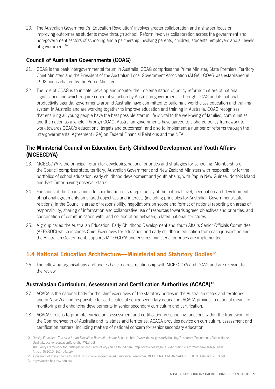20. The Australian Government's 'Education Revolution' involves greater collaboration and a sharper focus on improving outcomes as students move through school. Reform involves collaboration across the government and non-government sectors of schooling and a partnership involving parents, children, students, employers and all levels of government.<sup>10</sup>

### **Council of Australian Governments (COAG)**

- 21. COAG is the peak intergovernmental forum in Australia. COAG comprises the Prime Minister, State Premiers, Territory Chief Ministers and the President of the Australian Local Government Association (ALGA). COAG was established in 1992 and is chaired by the Prime Minister.
- 22. The role of COAG is to initiate, develop and monitor the implementation of policy reforms that are of national significance and which require cooperative action by Australian governments. Through COAG and its national productivity agenda, governments around Australia have committed to building a world-class education and training system in Australia and are working together to improve education and training in Australia. COAG recognises that ensuring all young people have the best possible start in life is vital to the well-being of families, communities and the nation as a whole. Through COAG, Australian governments have agreed to a shared policy framework to work towards COAG's educational targets and outcomes<sup>11</sup> and also to implement a number of reforms through the Intergovernmental Agreement (IGA) on Federal Financial Relations and the NEA.

### **The Ministerial Council on Education, Early Childhood Development and Youth Affairs (MCEECDYA)**

- 23. MCEECDYA is the principal forum for developing national priorities and strategies for schooling. Membership of the Council comprises state, territory, Australian Government and New Zealand Ministers with responsibility for the portfolios of school education, early childhood development and youth affairs, with Papua New Guinea, Norfolk Island and East Timor having observer status.
- 24. Functions of the Council include coordination of strategic policy at the national level, negotiation and development of national agreements on shared objectives and interests (including principles for Australian Government/state relations) in the Council's areas of responsibility, negotiations on scope and format of national reporting on areas of responsibility, sharing of information and collaborative use of resources towards agreed objectives and priorities, and coordination of communication with, and collaboration between, related national structures.
- 25. A group called the Australian Education, Early Childhood Development and Youth Affairs Senior Officials Committee (AEEYSOC) which includes Chief Executives for education and early childhood education from each jurisdiction and the Australian Government, supports MCEECDYA and ensures ministerial priorities are implemented.

### **1.4 National Education Architecture—Ministerial and Statutory Bodies12**

26. The following organisations and bodies have a direct relationship with MCEECDYA and COAG and are relevant to the review.

### **Australasian Curriculum, Assessment and Certification Authorities (ACACA)13**

- 27. ACACA is the national body for the chief executives of the statutory bodies in the Australian states and territories and in New Zealand responsible for certificates of senior secondary education. ACACA provides a national means for monitoring and enhancing developments in senior secondary curriculum and certification.
- 28. ACACA's role is to promote curriculum, assessment and certification in schooling functions within the framework of the Commonwealth of Australia and its states and territories. ACACA provides advice on curriculum, assessment and certification matters, including matters of national concern for senior secondary education.

13 http://acaca.bos.nsw.edu.au/

<sup>10</sup> *Quality Education: The case for an Education Revolution in our Schools*: http://www.deewr.gov.au/Schooling/Resources/Documents/Publications/ QualityEducationEducationRevolutionWEB.pdf

<sup>11</sup> The Policy Framework for Participation and Productivity can be found here: http://www.deewr.gov.au/Ministers/Gillard/Media/Releases/Pages/ Article\_081010\_161454.aspx

<sup>12</sup> A diagram of these can be found at: http://www.mceecdya.edu.au/verve/\_resources/MCEECDYA\_ORGANISATION\_CHART\_Febuary\_2010.pdf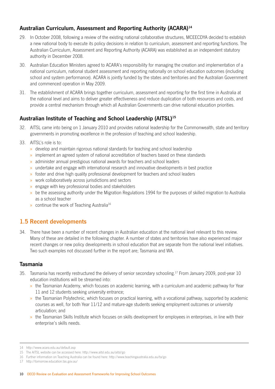### **Australian Curriculum, Assessment and Reporting Authority (ACARA)14**

- 29. In October 2008, following a review of the existing national collaborative structures, MCEECDYA decided to establish a new national body to execute its policy decisions in relation to curriculum, assessment and reporting functions. The Australian Curriculum, Assessment and Reporting Authority (ACARA) was established as an independent statutory authority in December 2008.
- 30. Australian Education Ministers agreed to ACARA's responsibility for managing the creation and implementation of a national curriculum, national student assessment and reporting nationally on school education outcomes (including school and system performance). ACARA is jointly funded by the states and territories and the Australian Government and commenced operation in May 2009.
- 31. The establishment of ACARA brings together curriculum, assessment and reporting for the first time in Australia at the national level and aims to deliver greater effectiveness and reduce duplication of both resources and costs, and provide a central mechanism through which all Australian Governments can drive national education priorities.

### **Australian Institute of Teaching and School Leadership (AITSL)15**

- 32. AITSL came into being on 1 January 2010 and provides national leadership for the Commonwealth, state and territory governments in promoting excellence in the profession of teaching and school leadership.
- 33. AITSL's role is to:
	- » develop and maintain rigorous national standards for teaching and school leadership
	- » implement an agreed system of national accreditation of teachers based on these standards
	- » administer annual prestigious national awards for teachers and school leaders
	- » undertake and engage with international research and innovative developments in best practice
	- » foster and drive high quality professional development for teachers and school leaders
	- » work collaboratively across jurisdictions and sectors
	- » engage with key professional bodies and stakeholders
	- » be the assessing authority under the Migration Regulations 1994 for the purposes of skilled migration to Australia as a school teacher
	- » continue the work of Teaching Australia<sup>16</sup>

### **1.5 Recent developments**

34. There have been a number of recent changes in Australian education at the national level relevant to this review. Many of these are detailed in the following chapter. A number of states and territories have also experienced major recent changes or new policy developments in school education that are separate from the national level initiatives. Two such examples not discussed further in the report are; Tasmania and WA.

### **Tasmania**

- 35. Tasmania has recently restructured the delivery of senior secondary schooling.17 From January 2009, post-year 10 education institutions will be streamed into:
	- » the Tasmanian Academy, which focuses on academic learning, with a curriculum and academic pathway for Year 11 and 12 students seeking university entrance;
	- » the Tasmanian Polytechnic, which focuses on practical learning, with a vocational pathway, supported by academic courses as well, for both Year 11/12 and mature-age students seeking employment outcomes or university articulation; and
	- » the Tasmanian Skills Institute which focuses on skills development for employees in enterprises, in line with their enterprise's skills needs.

<sup>14</sup> http://www.acara.edu.au/default.asp

<sup>15</sup> The AITSL website can be accessed here: http://www.aitsl.edu.au/aitsl/go

<sup>16</sup> Further information on Teaching Australia can be found here: http://www.teachingaustralia.edu.au/ta/go

<sup>17</sup> http://tomorrow.education.tas.gov.au/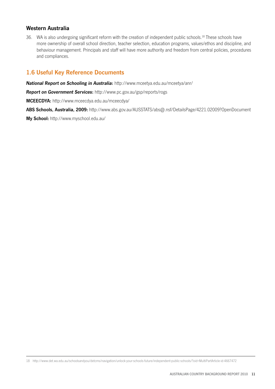### **Western Australia**

36. WA is also undergoing significant reform with the creation of independent public schools.<sup>18</sup> These schools have more ownership of overall school direction, teacher selection, education programs, values/ethos and discipline, and behaviour management. Principals and staff will have more authority and freedom from central policies, procedures and compliances.

### **1.6 Useful Key Reference Documents**

*National Report on Schooling in Australia***:** http://www.mceetya.edu.au/mceetya/anr/

*Report on Government Services***:** http://www.pc.gov.au/gsp/reports/rogs

**MCEECDYA:** http://www.mceecdya.edu.au/mceecdya/

**ABS Schools, Australia, 2009:** http://www.abs.gov.au/AUSSTATS/abs@.nsf/DetailsPage/4221.02009?OpenDocument

**My School:** http://www.myschool.edu.au/

18 http://www.det.wa.edu.au/schoolsandyou/detcms/navigation/unlock-your-schools-future/independent-public-schools/?oid=MultiPartArticle-id-4667472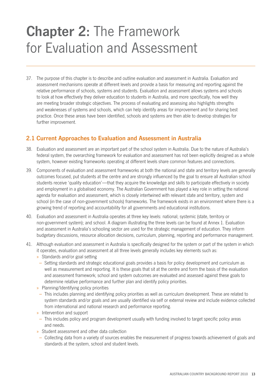### **Chapter 2:** The Framework for Evaluation and Assessment

37. The purpose of this chapter is to describe and outline evaluation and assessment in Australia. Evaluation and assessment mechanisms operate at different levels and provide a basis for measuring and reporting against the relative performance of schools, systems and students. Evaluation and assessment allows systems and schools to look at how effectively they deliver education to students in Australia, and more specifically, how well they are meeting broader strategic objectives. The process of evaluating and assessing also highlights strengths and weaknesses of systems and schools, which can help identify areas for improvement and for sharing best practice. Once these areas have been identified, schools and systems are then able to develop strategies for further improvement.

### **2.1 Current Approaches to Evaluation and Assessment in Australia**

- 38. Evaluation and assessment are an important part of the school system in Australia. Due to the nature of Australia's federal system, the overarching framework for evaluation and assessment has not been explicitly designed as a whole system, however existing frameworks operating at different levels share common features and connections.
- 39. Components of evaluation and assessment frameworks at both the national and state and territory levels are generally outcomes focused, put students at the centre and are strongly influenced by the goal to ensure all Australian school students receive 'quality education'—that they acquire the knowledge and skills to participate effectively in society and employment in a globalised economy. The Australian Government has played a key role in setting the national agenda for evaluation and assessment, which is closely intertwined with relevant state and territory, system and school (in the case of non-government schools) frameworks. The framework exists in an environment where there is a growing trend of reporting and accountability for all governments and educational institutions.
- 40. Evaluation and assessment in Australia operates at three key levels: national; systemic (state, territory or non-government system); and school. A diagram illustrating the three levels can be found at Annex 1. Evaluation and assessment in Australia's schooling sector are used for the strategic management of education. They inform budgetary discussions, resource allocation decisions, curriculum, planning, reporting and performance management.
- 41. Although evaluation and assessment in Australia is specifically designed for the system or part of the system in which it operates, evaluation and assessment at all three levels generally includes key elements such as:
	- » Standards and/or goal setting
	- Setting standards and strategic educational goals provides a basis for policy development and curriculum as well as measurement and reporting. It is these goals that sit at the centre and form the basis of the evaluation and assessment framework; school and system outcomes are evaluated and assessed against these goals to determine relative performance and further plan and identify policy priorities.
	- » Planning/Identifying policy priorities
	- This includes planning and identifying policy priorities as well as curriculum development. These are related to system standards and/or goals and are usually identified via self or external review and include evidence collected from international and national research and performance reporting.
	- » Intervention and support
	- This includes policy and program development usually with funding involved to target specific policy areas and needs.
	- » Student assessment and other data collection
	- Collecting data from a variety of sources enables the measurement of progress towards achievement of goals and standards at the system, school and student levels.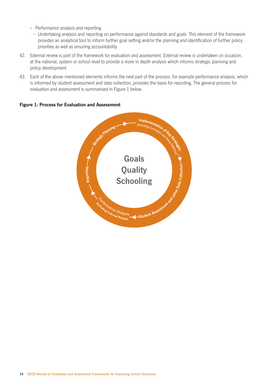- » Performance analysis and reporting
- Undertaking analysis and reporting on performance against standards and goals. This element of the framework provides an analytical tool to inform further goal setting and/or the planning and identification of further policy priorities as well as ensuring accountability.
- 42. External review is part of the framework for evaluation and assessment. External review is undertaken on occasion, at the national, system or school level to provide a more in depth analysis which informs strategic planning and policy development.
- 43. Each of the above mentioned elements informs the next part of the process, for example performance analysis, which is informed by student assessment and data collection, provides the basis for reporting. The general process for evaluation and assessment is summarised in Figure 1 below.

#### **Figure 1: Process for Evaluation and Assessment**

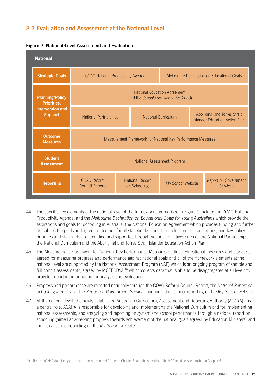### **2.2 Evaluation and Assessment at the National Level**

| <b>National</b>                           |                                                                              |                                        |                            |                                            |                                                                       |  |  |
|-------------------------------------------|------------------------------------------------------------------------------|----------------------------------------|----------------------------|--------------------------------------------|-----------------------------------------------------------------------|--|--|
| <b>Strategic Goals</b>                    | <b>COAG National Productivity Agenda</b>                                     |                                        |                            | Melbourne Declaration on Educational Goals |                                                                       |  |  |
| <b>Planning/Policy</b><br>Priorities,     | <b>National Education Agreement</b><br>(and the Schools Assistance Act 2008) |                                        |                            |                                            |                                                                       |  |  |
| <b>Intervention and</b><br><b>Support</b> | National Partnerships                                                        |                                        | <b>National Curriculum</b> |                                            | Aboriginal and Torres Strait<br><b>Islander Education Action Plan</b> |  |  |
| <b>Outcome</b><br><b>Measures</b>         | Measurement Framework for National Key Performance Measures                  |                                        |                            |                                            |                                                                       |  |  |
| <b>Student</b><br><b>Assessment</b>       | National Assessment Program                                                  |                                        |                            |                                            |                                                                       |  |  |
| <b>Reporting</b>                          | <b>COAG Reform</b><br><b>Council Reports</b>                                 | <b>National Report</b><br>on Schooling |                            | My School Website                          | Report on Government<br><b>Services</b>                               |  |  |

#### **Figure 2: National‑Level Assessment and Evaluation**

- 44. The specific key elements of the national level of the framework summarised in Figure 2 include the COAG National Productivity Agenda, and the *Melbourne Declaration on Educational Goals for Young Australians* which provide the aspirations and goals for schooling in Australia; the National Education Agreement which provides funding and further articulates the goals and agreed outcomes for all stakeholders and their roles and responsibilities; and key policy priorities and standards are identified and supported through national initiatives such as the National Partnerships, the National Curriculum and the Aboriginal and Torres Strait Islander Education Action Plan.
- 45. The Measurement Framework for National Key Performance Measures outlines educational measures and standards agreed for measuring progress and performance against national goals and all of the framework elements at the national level are supported by the National Assessment Program (NAP) which is an ongoing program of sample and full cohort assessments, agreed by MCEECDYA, $19$  which collects data that is able to be disaggregated at all levels to provide important information for analysis and evaluation.
- 46. Progress and performance are reported nationally through the COAG Reform Council Report, the *National Report on Schooling in Australia*, the *Report on Government Services* and individual school reporting on the *My School* website.
- 47. At the national level, the newly established Australian Curriculum, Assessment and Reporting Authority (ACARA) has a central role. ACARA is responsible for developing and implementing the National Curriculum and for implementing national assessments, and analysing and reporting on system and school performance through a national report on schooling (aimed at assessing progress towards achievement of the national goals agreed by Education Ministers) and individual school reporting on the *My School* website.

<sup>19</sup> The use of NAP data for system evaluation is discussed further in Chapter 3, and the specifics of the NAP are discussed further in Chapter 6.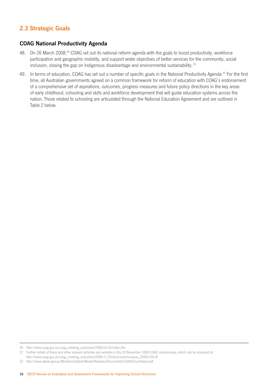### **2.3 Strategic Goals**

### **COAG National Productivity Agenda**

- 48. On 26 March 2008,<sup>20</sup> COAG set out its national reform agenda with the goals to boost productivity, workforce participation and geographic mobility, and support wider objectives of better services for the community, social inclusion, closing the gap on Indigenous disadvantage and environmental sustainability.<sup>21</sup>
- 49. In terms of education, COAG has set out a number of specific goals in the National Productivity Agenda.<sup>22</sup> For the first time, all Australian governments agreed on a common framework for reform of education with COAG's endorsement of a comprehensive set of aspirations, outcomes, progress measures and future policy directions in the key areas of early childhood, schooling and skills and workforce development that will guide education systems across the nation. Those related to schooling are articulated through the National Education Agreement and are outlined in Table 2 below.

<sup>20</sup> http://www.coag.gov.au/coag\_meeting\_outcomes/2008-03-26/index.cfm

<sup>21</sup> Further details of these and other relevant activities are available in the 29 November 2008 COAG communiqué, which can be accessed at:

http://www.coag.gov.au/coag\_meeting\_outcomes/2008‑11‑29/docs/communique\_20081129.rtf

<sup>22</sup> http://www.deewr.gov.au/Ministers/Gillard/Media/Releases/Documents/COAGForumPaper.pdf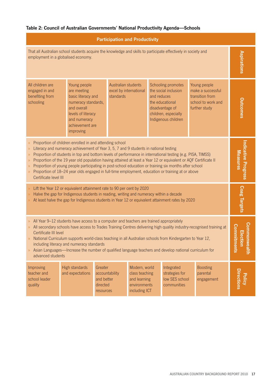### **Table 2: Council of Australian Governments' National Productivity Agenda—Schools**

| <b>Participation and Productivity</b>                                                                                                                                                                                                                                                                                                                                                                                                                                                                                                                                                                                                                                                            |                                                                                                                                                                                                                                                                                                                                                                                                                                                                              |  |  |  |  |                        |  |  |
|--------------------------------------------------------------------------------------------------------------------------------------------------------------------------------------------------------------------------------------------------------------------------------------------------------------------------------------------------------------------------------------------------------------------------------------------------------------------------------------------------------------------------------------------------------------------------------------------------------------------------------------------------------------------------------------------------|------------------------------------------------------------------------------------------------------------------------------------------------------------------------------------------------------------------------------------------------------------------------------------------------------------------------------------------------------------------------------------------------------------------------------------------------------------------------------|--|--|--|--|------------------------|--|--|
| That all Australian school students acquire the knowledge and skills to participate effectively in society and<br>employment in a globalised economy.                                                                                                                                                                                                                                                                                                                                                                                                                                                                                                                                            |                                                                                                                                                                                                                                                                                                                                                                                                                                                                              |  |  |  |  |                        |  |  |
| All children are<br>engaged in and<br>benefiting from<br>schooling                                                                                                                                                                                                                                                                                                                                                                                                                                                                                                                                                                                                                               | Young people<br>Australian students<br>Schooling promotes<br>Young people<br>are meeting<br>excel by international<br>the social inclusion<br>make a successful<br>basic literacy and<br>standards<br>and reduces<br>transition from<br>numeracy standards,<br>the educational<br>school to work and<br>and overall<br>disadvantage of<br>further study<br>levels of literacy<br>children, especially<br>Indigenous children<br>and numeracy<br>achievement are<br>improving |  |  |  |  | <b><u>Uutcomes</u></b> |  |  |
| Proportion of children enrolled in and attending school<br>$\lambda$<br>Literacy and numeracy achievement of Year 3, 5, 7 and 9 students in national testing<br>$\gg$<br>Proportion of students in top and bottom levels of performance in international testing (e.g. PISA, TIMSS)<br>$\lambda$<br>Proportion of the 19 year old population having attained at least a Year 12 or equivalent or AQF Certificate II<br>$\lambda$<br>Proportion of young people participating in post-school education or training six months after school<br>$\lambda$<br>Proportion of 18-24 year olds engaged in full-time employment, education or training at or above<br>$\lambda$<br>Certificate level III |                                                                                                                                                                                                                                                                                                                                                                                                                                                                              |  |  |  |  |                        |  |  |
| Lift the Year 12 or equivalent attainment rate to 90 per cent by 2020<br>Halve the gap for Indigenous students in reading, writing and numeracy within a decade<br>$\gg$<br>At least halve the gap for Indigenous students in Year 12 or equivalent attainment rates by 2020<br>$\lambda$                                                                                                                                                                                                                                                                                                                                                                                                        |                                                                                                                                                                                                                                                                                                                                                                                                                                                                              |  |  |  |  | Coag Targets           |  |  |
| All Year 9-12 students have access to a computer and teachers are trained appropriately<br>$\mathcal{D}^{\mathcal{A}}$<br>All secondary schools have access to Trades Training Centres delivering high quality industry-recognised training at<br>$\gg$<br>Certificate III level<br>National Curriculum supports world-class teaching in all Australian schools from Kindergarten to Year 12<br>including literacy and numeracy standards<br>Asian Languages—Increase the number of qualified language teachers and develop national curriculum for<br>advanced students                                                                                                                         |                                                                                                                                                                                                                                                                                                                                                                                                                                                                              |  |  |  |  |                        |  |  |
| Modern, world<br>High standards<br>Greater<br>Integrated<br><b>Boosting</b><br>Improving<br>teacher and<br>and expectations<br>accountability<br>class teaching<br>strategies for<br>parental<br>school leader<br>and better<br>and learning<br>low SES school<br>engagement<br>directed<br>environments<br>quality<br>communities<br>including ICT<br>resources                                                                                                                                                                                                                                                                                                                                 |                                                                                                                                                                                                                                                                                                                                                                                                                                                                              |  |  |  |  |                        |  |  |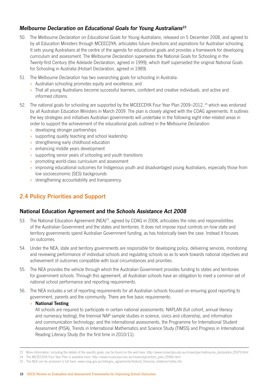### *Melbourne Declaration on Educational Goals for Young Australians***<sup>23</sup>**

- 50. The *Melbourne Declaration on Educational Goals for Young Australians*, released on 5 December 2008, and agreed to by all Education Ministers through MCEECDYA, articulates future directions and aspirations for Australian schooling. It sets young Australians at the centre of the agenda for educational goals and provides a framework for developing curriculum and assessment. The *Melbourne Declaration* supersedes the National Goals for Schooling in the Twenty‑first Century (the Adelaide Declaration, agreed in 1999), which itself superseded the original National Goals for Schooling in Australia (Hobart Declaration, agreed in 1989).
- 51. The *Melbourne Declaration* has two overarching goals for schooling in Australia:
	- » Australian schooling promotes equity and excellence; and
	- » That all young Australians become successful learners, confident and creative individuals, and active and informed citizens.
- 52. The national goals for schooling are supported by the MCEECDYA Four Year Plan 2009–2012, <sup>24</sup> which was endorsed by all Australian Education Ministers in March 2009. The plan is closely aligned with the COAG agreements. It outlines the key strategies and initiatives Australian governments will undertake in the following eight inter-related areas in order to support the achievement of the educational goals outlined in the *Melbourne Declaration*:
	- » developing stronger partnerships
	- » supporting quality teaching and school leadership
	- » strengthening early childhood education
	- » enhancing middle years development
	- » supporting senior years of schooling and youth transitions
	- » promoting world-class curriculum and assessment
	- » improving educational outcomes for Indigenous youth and disadvantaged young Australians, especially those from low socioeconomic (SES) backgrounds
	- » strengthening accountability and transparency.

### **2.4 Policy Priorities and Support**

### **National Education Agreement and the** *Schools Assistance Act 2008*

- 53. The National Education Agreement (NEA)<sup>25</sup>, agreed by COAG in 2008, articulates the roles and responsibilities of the Australian Government and the states and territories. It does not impose input controls on how state and territory governments spend Australian Government funding, as has historically been the case. Instead it focuses on outcomes.
- 54. Under the NEA, state and territory governments are responsible for developing policy, delivering services, monitoring and reviewing performance of individual schools and regulating schools so as to work towards national objectives and achievement of outcomes compatible with local circumstances and priorities.
- 55. The NEA provides the vehicle through which the Australian Government provides funding to states and territories for government schools. Through this agreement, all Australian schools have an obligation to meet a common set of national school performance and reporting requirements.
- 56. The NEA includes a set of reporting requirements for all Australian schools focused on ensuring good reporting to government, parents and the community. There are five basic requirements:

#### » **National Testing**

All schools are required to participate in certain national assessments: NAPLAN (full cohort, annual literacy and numeracy testing); the triennial NAP sample studies in science, civics and citizenship, and information and communication technology; and the international assessments, the Programme for International Student Assessment (PISA), Trends in International Mathematics and Science Study (TIMSS) and Progress in International Reading Literacy Study (for the first time in 2010/11).

<sup>23</sup> More information, including the details of the specific goals, can be found on the web here: http://www.mceecdya.edu.au/mceecdya/melbourne\_declaration,25979.html

<sup>24</sup> The MCEECDYA Four Year Plan is available here: http://www.mceecdya.edu.au/mceecdya/action\_plan,25966.html

<sup>25</sup> The NEA can be accessed in full here: www.coag.gov.au/intergov\_agreements/federal\_financial\_relations/index.cfm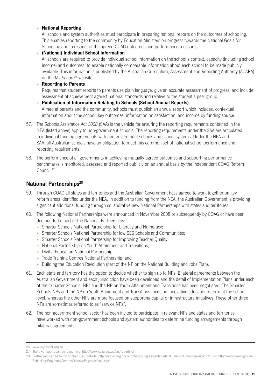#### » **National Reporting**

All schools and system authorities must participate in preparing national reports on the outcomes of schooling. This enables reporting to the community by Education Ministers on progress towards the National Goals for Schooling and in respect of the agreed COAG outcomes and performance measures.

#### » **(National) Individual School Information**

All schools are required to provide individual school information on the school's context, capacity (including school income) and outcomes, to enable nationally comparable information about each school to be made publicly available. This information is published by the Australian Curriculum, Assessment and Reporting Authority (ACARA) on the *My School*26 website.

#### » **Reporting to Parents**

Requires that student reports to parents use plain language, give an accurate assessment of progress, and include assessment of achievement against national standards and relative to the student's peer group.

#### » **Publication of Information Relating to Schools (School Annual Reports)**

Aimed at parents and the community, schools must publish an annual report which includes, contextual information about the school; key outcomes; information on satisfaction; and income by funding source.

- 57. The *Schools Assistance Act 2008* (SAA) is the vehicle for ensuring the reporting requirements contained in the NEA (listed above) apply to non‑government schools. The reporting requirements under the SAA are articulated in individual funding agreements with non-government schools and school systems. Under the NEA and SAA, all Australian schools have an obligation to meet this common set of national school performance and reporting requirements.
- 58. The performance of all governments in achieving mutually-agreed outcomes and supporting performance benchmarks is monitored, assessed and reported publicly on an annual basis by the independent COAG Reform Council.27

### **National Partnerships<sup>28</sup>**

- 59. Through COAG all states and territories and the Australian Government have agreed to work together on key reform areas identified under the NEA. In addition to funding from the NEA, the Australian Government is providing significant additional funding through collaborative new National Partnerships with states and territories.
- 60. The following National Partnerships were announced in November 2008 or subsequently by COAG or have been deemed to be part of the National Partnerships:
	- » Smarter Schools National Partnership for Literacy and Numeracy;
	- » Smarter Schools National Partnership for low SES Schools and Communities;
	- » Smarter Schools National Partnership for Improving Teacher Quality;
	- » National Partnership on Youth Attainment and Transitions;
	- » Digital Education National Partnership;
	- » Trade Training Centres National Partnership; and
	- » Building the Education Revolution (part of the NP on the National Building and Jobs Plan).
- 61. Each state and territory has the option to decide whether to sign up to NPs. Bilateral agreements between the Australian Government and each jurisdiction have been developed and the detail of Implementation Plans under each of the 'Smarter Schools' NPs and the NP on Youth Attainment and Transitions has been negotiated. The Smarter Schools NPs and the NP on Youth Attainment and Transitions focus on innovative education reform at the school level, whereas the other NPs are more focused on supporting capital or infrastructure initiatives. These other three NPs are sometimes referred to as "service NPs".
- 62. The non-government school sector has been invited to participate in relevant NPs and states and territories have worked with non-government schools and system authorities to determine funding arrangements through bilateral agreements.

<sup>26</sup> www.myschool.edu.au

<sup>27</sup> The CRC reports can be found here: http://www.coag.gov.au/crc/reports.cfm

<sup>28</sup> Further info can be found on the COAG website: http://www.coag.gov.au/intergov\_agreements/federal\_financial\_relations/index.cfm and http://www.deewr.gov.au/ Schooling/Programs/SmarterSchools/Pages/default.aspx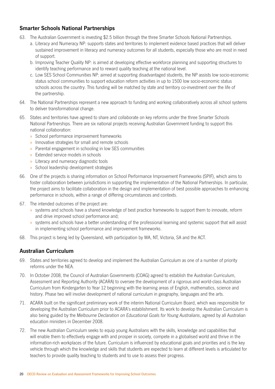### **Smarter Schools National Partnerships**

- 63. The Australian Government is investing \$2.5 billion through the three Smarter Schools National Partnerships.
	- a. Literacy and Numeracy NP: supports states and territories to implement evidence based practices that will deliver sustained improvement in literacy and numeracy outcomes for all students, especially those who are most in need of support.
	- b. Improving Teacher Quality NP: is aimed at developing effective workforce planning and supporting structures to identify teaching performance and to reward quality teaching at the national level.
	- c. Low SES School Communities NP: aimed at supporting disadvantaged students, the NP assists low socio-economic status school communities to support education reform activities in up to 1500 low socio-economic status schools across the country. This funding will be matched by state and territory co-investment over the life of the partnership.
- 64. The National Partnerships represent a new approach to funding and working collaboratively across all school systems to deliver transformational change.
- 65. States and territories have agreed to share and collaborate on key reforms under the three Smarter Schools National Partnerships. There are six national projects receiving Australian Government funding to support this national collaboration:
	- » School performance improvement frameworks
	- » Innovative strategies for small and remote schools
	- » Parental engagement in schooling in low SES communities
	- » Extended service models in schools
	- » Literacy and numeracy diagnostic tools
	- » School leadership development strategies
- 66. One of the projects is sharing information on School Performance Improvement Frameworks (SPIF), which aims to foster collaboration between jurisdictions in supporting the implementation of the National Partnerships. In particular, the project aims to facilitate collaboration in the design and implementation of best possible approaches to enhancing performance in schools, within a range of differing circumstances and contexts.
- 67. The intended outcomes of the project are:
	- » systems and schools have a shared knowledge of best practice frameworks to support them to innovate, reform and drive improved school performance and;
	- » systems and schools have a better understanding of the professional learning and systemic support that will assist in implementing school performance and improvement frameworks.
- 68. This project is being led by Queensland, with participation by WA, NT, Victoria, SA and the ACT.

### **Australian Curriculum**

- 69. States and territories agreed to develop and implement the Australian Curriculum as one of a number of priority reforms under the NEA.
- 70. In October 2008, the Council of Australian Governments (COAG) agreed to establish the Australian Curriculum, Assessment and Reporting Authority (ACARA) to oversee the development of a rigorous and world-class Australian Curriculum from Kindergarten to Year 12 beginning with the learning areas of English, mathematics, science and history. Phase two will involve development of national curriculum in geography, languages and the arts.
- 71. ACARA built on the significant preliminary work of the interim National Curriculum Board, which was responsible for developing the Australian Curriculum prior to ACARA's establishment. Its work to develop the Australian Curriculum is also being guided by the *Melbourne Declaration on Educational Goals for Young Australians*, agreed by all Australian education ministers in December 2008.
- 72. The new Australian Curriculum seeks to equip young Australians with the skills, knowledge and capabilities that will enable them to effectively engage with and prosper in society, compete in a globalised world and thrive in the information-rich workplaces of the future. Curriculum is influenced by educational goals and priorities and is the key vehicle through which the knowledge and skills that students are expected to learn at different levels is articulated for teachers to provide quality teaching to students and to use to assess their progress.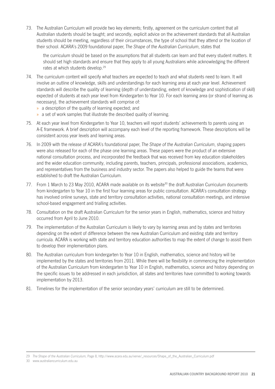73. The Australian Curriculum will provide two key elements; firstly, agreement on the curriculum content that all Australian students should be taught; and secondly, explicit advice on the achievement standards that all Australian students should be meeting, regardless of their circumstances, the type of school that they attend or the location of their school. ACARA's 2009 foundational paper, *The Shape of the Australian Curriculum*, states that

the curriculum should be based on the assumptions that all students can learn and that every student matters. It should set high standards and ensure that they apply to all young Australians while acknowledging the different rates at which students develop.29

- 74. The curriculum content will specify what teachers are expected to teach and what students need to learn. It will involve an outline of knowledge, skills and understandings for each learning area at each year level. Achievement standards will describe the quality of learning (depth of understanding, extent of knowledge and sophistication of skill) expected of students at each year level from Kindergarten to Year 10. For each learning area (or strand of learning as necessary), the achievement standards will comprise of:
	- » a description of the quality of learning expected; and
	- » a set of work samples that illustrate the described quality of learning.
- 75. At each year level from Kindergarten to Year 10, teachers will report students' achievements to parents using an A-E framework. A brief description will accompany each level of the reporting framework. These descriptions will be consistent across year levels and learning areas.
- 76. In 2009 with the release of ACARA's foundational paper, *The Shape of the Australian Curriculum*, shaping papers were also released for each of the phase one learning areas. These papers were the product of an extensive national consultation process, and incorporated the feedback that was received from key education stakeholders and the wider education community, including parents, teachers, principals, professional associations, academics, and representatives from the business and industry sector. The papers also helped to guide the teams that were established to draft the Australian Curriculum.
- 77. From 1 March to 23 May 2010, ACARA made available on its website<sup>30</sup> the draft Australian Curriculum documents from kindergarten to Year 10 in the first four learning areas for public consultation. ACARA's consultation strategy has involved online surveys, state and territory consultation activities, national consultation meetings, and intensive school-based engagement and trialling activities.
- 78. Consultation on the draft Australian Curriculum for the senior years in English, mathematics, science and history occurred from April to June 2010.
- 79. The implementation of the Australian Curriculum is likely to vary by learning areas and by states and territories depending on the extent of difference between the new Australian Curriculum and existing state and territory curricula. ACARA is working with state and territory education authorities to map the extent of change to assist them to develop their implementation plans.
- 80. The Australian curriculum from kindergarten to Year 10 in English, mathematics, science and history will be implemented by the states and territories from 2011. While there will be flexibility in commencing the implementation of the Australian Curriculum from kindergarten to Year 10 in English, mathematics, science and history depending on the specific issues to be addressed in each jurisdiction, all states and territories have committed to working towards implementation by 2013.
- 81. Timelines for the implementation of the senior secondary years' curriculum are still to be determined.

30 www.australiancurriculum.edu.au

<sup>29</sup> *The Shape of the Australian Curriculum,* Page 8, http://www.acara.edu.au/verve/\_resources/Shape\_of\_the\_Australian\_Curriculum.pdf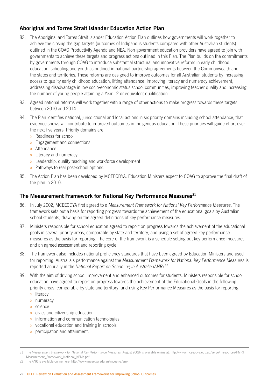### **Aboriginal and Torres Strait Islander Education Action Plan**

- 82. The Aboriginal and Torres Strait Islander Education Action Plan outlines how governments will work together to achieve the closing the gap targets (outcomes of Indigenous students compared with other Australian students) outlined in the COAG Productivity Agenda and NEA. Non-government education providers have agreed to join with governments to achieve these targets and progress actions outlined in this Plan. The Plan builds on the commitments by governments through COAG to introduce substantial structural and innovative reforms in early childhood education, schooling and youth as outlined in national partnership agreements between the Commonwealth and the states and territories. These reforms are designed to improve outcomes for all Australian students by increasing access to quality early childhood education, lifting attendance, improving literacy and numeracy achievement, addressing disadvantage in low socio-economic status school communities, improving teacher quality and increasing the number of young people attaining a Year 12 or equivalent qualification.
- 83. Agreed national reforms will work together with a range of other actions to make progress towards these targets between 2010 and 2014.
- 84. The Plan identifies national, jurisdictional and local actions in six priority domains including school attendance, that evidence shows will contribute to improved outcomes in Indigenous education. These priorities will guide effort over the next five years. Priority domains are:
	- » Readiness for school
	- » Engagement and connections
	- » Attendance
	- » Literacy and numeracy
	- » Leadership, quality teaching and workforce development
	- » Pathways to real post-school options.
- 85. The Action Plan has been developed by MCEECDYA. Education Ministers expect to COAG to approve the final draft of the plan in 2010.

### **The Measurement Framework for National Key Performance Measures31**

- 86. In July 2002, MCEECDYA first agreed to a *Measurement Framework for National Key Performance Measures*. The framework sets out a basis for reporting progress towards the achievement of the educational goals by Australian school students, drawing on the agreed definitions of key performance measures.
- 87. Ministers responsible for school education agreed to report on progress towards the achievement of the educational goals in several priority areas, comparable by state and territory, and using a set of agreed key performance measures as the basis for reporting. The core of the framework is a schedule setting out key performance measures and an agreed assessment and reporting cycle.
- 88. The framework also includes national proficiency standards that have been agreed by Education Ministers and used for reporting. Australia's performance against the *Measurement Framework for National Key Performance Measures* is reported annually in the *National Report on Schooling in Australia* (*ANR*).32
- 89. With the aim of driving school improvement and enhanced outcomes for students, Ministers responsible for school education have agreed to report on progress towards the achievement of the Educational Goals in the following priority areas, comparable by state and territory, and using Key Performance Measures as the basis for reporting:
	- » literacy
	- » numeracy
	- » science
	- » civics and citizenship education
	- » information and communication technologies
	- » vocational education and training in schools
	- » participation and attainment.

<sup>31</sup> The *Measurement Framework for National Key Performance Measures* (August 2008) is available online at: http://www.mceecdya.edu.au/verve/\_resources/PMRT\_ Measurement\_Framework\_National\_KPMs.pdf.

<sup>32</sup> The *ANR* is available online here: http://www.mceetya.edu.au/mceetya/anr/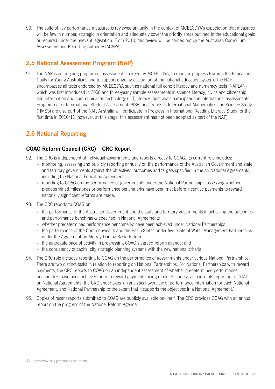90. The suite of key performance measures is reviewed annually in the context of MCEECDYA's expectation that measures will be few in number, strategic in orientation and adequately cover the priority areas outlined in the educational goals or required under the relevant legislation. From 2010, this review will be carried out by the Australian Curriculum, Assessment and Reporting Authority (ACARA).

### **2.5 National Assessment Program (NAP)**

91. The NAP is an ongoing program of assessments, agreed by MCEECDYA, to monitor progress towards the Educational Goals for Young Australians and to support ongoing evaluation of the national education system. The NAP encompasses all tests endorsed by MCEECDYA such as national full cohort literacy and numeracy tests (NAPLAN) which was first introduced in 2008 and three-yearly sample assessments in science literacy, civics and citizenship and information and communication technology (ICT) literacy. Australia's participation in international assessments: Programme for International Student Assessment (PISA) and Trends in International Mathematics and Science Study (TIMSS) are also part of the NAP. Australia will participate in Progress in International Reading Literacy Study for the first time in 2010/11 (however, at this stage, this assessment has not been adopted as part of the NAP).

### **2.6 National Reporting**

### **COAG Reform Council (CRC)—CRC Report**

- 92. The CRC is independent of individual governments and reports directly to COAG. Its current role includes:
	- » monitoring, assessing and publicly reporting annually on the performance of the Australian Government and state and territory governments against the objectives, outcomes and targets specified in the six National Agreements, including the National Education Agreement
	- » reporting to COAG on the performance of governments under the National Partnerships, assessing whether predetermined milestones or performance benchmarks have been met before incentive payments to reward nationally significant reforms are made.
- 93. The CRC reports to COAG on:
	- » the performance of the Australian Government and the state and territory governments in achieving the outcomes and performance benchmarks specified in National Agreements
	- » whether predetermined performance benchmarks have been achieved under National Partnerships
	- » the performance of the Commonwealth and the Basin States under five bilateral Water Management Partnerships under the Agreement on Murray‑Darling Basin Reform
	- » the aggregate pace of activity in progressing COAG's agreed reform agenda; and
	- » the consistency of capital city strategic planning systems with the new national criteria.
- 94. The CRC role includes reporting to COAG on the performance of governments under various National Partnerships. There are two distinct tasks in relation to reporting on National Partnerships. For National Partnerships with reward payments, the CRC reports to COAG on an independent assessment of whether predetermined performance benchmarks have been achieved prior to reward payments being made. Secondly, as part of its reporting to COAG on National Agreements, the CRC undertakes 'an analytical overview of performance information for each National Agreement, and National Partnership to the extent that it supports the objectives in a National Agreement.'
- 95. Copies of recent reports submitted to COAG are publicly available on-line.<sup>33</sup> The CRC provides COAG with an annual report on the progress of the National Reform Agenda.

<sup>33</sup> http://www.coag.gov.au/crc/reports.cfm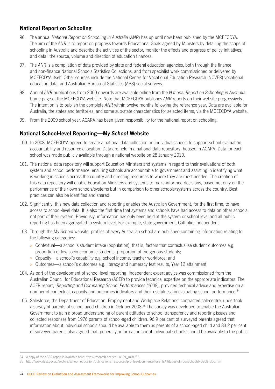### **National Report on Schooling**

- 96. The annual *National Report on Schooling in Australia* (*ANR*) has up until now been published by the MCEECDYA. The aim of the *ANR* is to report on progress towards Educational Goals agreed by Ministers by detailing the scope of schooling in Australia and describe the activities of the sector, monitor the effects and progress of policy initiatives, and detail the source, volume and direction of education finances.
- 97. The *ANR* is a compilation of data provided by state and federal education agencies, both through the finance and non-finance National Schools Statistics Collections, and from specialist work commissioned or delivered by MCEECDYA itself. Other sources include the National Centre for Vocational Education Research (NCVER) vocational education data, and Australian Bureau of Statistics (ABS) social surveys.
- 98. Annual *ANR* publications from 2000 onwards are available online from the *National Report on Schooling in Australia* home page of the MCEECDYA website. Note that MCEECDYA publishes *ANR* reports on their website progressively. The intention is to publish the complete *ANR* within twelve months following the reference year. Data are available for Australia, the states and territories, and some sub‑state characteristics for selected items, via the MCEECDYA website.
- 99. From the 2009 school year, ACARA has been given responsibility for the national report on schooling.

### **National School‑level Reporting—***My School* **Website**

- 100. In 2008, MCEECDYA agreed to create a national data collection on individual schools to support school evaluation, accountability and resource allocation. Data are held in a national data repository, housed in ACARA. Data for each school was made publicly available through a national website on 28 January 2010.
- 101. The national data repository will support Education Ministers and systems in regard to their evaluations of both system and school performance, ensuring schools are accountable to government and assisting in identifying what is working in schools across the country and directing resources to where they are most needed. The creation of this data repository will enable Education Ministers and systems to make informed decisions, based not only on the performance of their own schools/systems but in comparison to other schools/systems across the country. Best practices can also be identified and shared.
- 102. Significantly, this new data collection and reporting enables the Australian Government, for the first time, to have access to school-level data. It is also the first time that systems and schools have had access to data on other schools not part of their system. Previously, information has only been held at the system or school level and all public reporting has been aggregated to system level. For example, state government, Catholic, independent.
- 103. Through the *My School* website, profiles of every Australian school are published containing information relating to the following categories:
	- » Contextual—a school's student intake (population), that is, factors that contextualise student outcomes e.g. proportion of low socio‑economic students, proportion of Indigenous students;
	- » Capacity—a school's capability e.g. school income, teacher workforce; and
	- » Outcomes—a school's outcomes e.g. literacy and numeracy test results, Year 12 attainment.
- 104. As part of the development of school-level reporting, independent expert advice was commissioned from the Australian Council for Educational Research (ACER) to provide technical expertise on the appropriate indicators. The ACER report, '*Reporting and Comparing School Performances'(2008)*, provided technical advice and expertise on a number of contextual, capacity and outcomes indicators and their usefulness in evaluating school performance.<sup>34</sup>
- 105. Salesforce, the Department of Education, Employment and Workplace Relations' contracted call-centre, undertook a survey of parents of school-aged children in October 2008.<sup>35</sup> The survey was developed to enable the Australian Government to gain a broad understanding of parent attitudes to school transparency and reporting issues and collected responses from 1976 parents of school-aged children. 96.9 per cent of surveyed parents agreed that information about individual schools should be available to them as parents of a school-aged child and 83.2 per cent of surveyed parents also agreed that, generally, information about individual schools should be available to the public.

<sup>34</sup> A copy of the ACER report is available here: http://research.acer.edu.au/ar\_misc/8/.

<sup>35</sup> http://www.dest.gov.au/sectors/school\_education/publications\_resources/profiles/documents/ParentsAttitudestoInfoonSchoolsNOV08\_doc.htm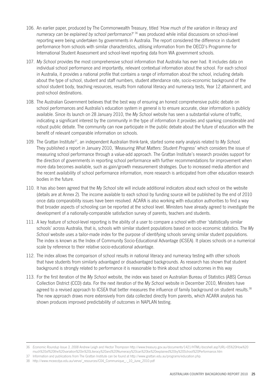- 106. An earlier paper, produced by The Commonwealth Treasury, titled *'How much of the variation in literacy and numeracy can be explained by school performance?'*<sup>36</sup> was produced while initial discussions on school-level reporting were being undertaken by governments in Australia. The report considered the difference in student performance from schools with similar characteristics, utilising information from the OECD's Programme for International Student Assessment and school-level reporting data from WA government schools.
- 107. *My School* provides the most comprehensive school information that Australia has ever had. It includes data on individual school performance and importantly, relevant contextual information about the school. For each school in Australia, it provides a national profile that contains a range of information about the school, including details about the type of school, student and staff numbers, student attendance rate, socio-economic background of the school student body, teaching resources, results from national literacy and numeracy tests, Year 12 attainment, and post‑school destinations.
- 108. The Australian Government believes that the best way of ensuring an honest comprehensive public debate on school performances and Australia's education system in general is to ensure accurate, clear information is publicly available. Since its launch on 28 January 2010, the *My School* website has seen a substantial volume of traffic, indicating a significant interest by the community in the type of information it provides and sparking considerable and robust public debate. The community can now participate in the public debate about the future of education with the benefit of relevant comparable information on schools.
- 109. The Grattan Institute37, an independent Australian think-tank, started some early analysis related to *My School*. They published a report in January 2010, *'Measuring What Matters: Student Progress'* which considers the issue of measuring school performance through a value-add approach. The Grattan Institute's research provides support for the direction of governments in reporting school performance with further recommendations for improvement when more data becomes available, such as gain/growth measurement strategies. Due to increased media attention and the recent availability of school performance information, more research is anticipated from other education research bodies in the future.
- 110. It has also been agreed that the *My School* site will include additional indicators about each school on the website (details are at Annex 2). The income available to each school by funding source will be published by the end of 2010 once data comparability issues have been resolved. ACARA is also working with education authorities to find a way that broader aspects of schooling can be reported at the school level. Ministers have already agreed to investigate the development of a nationally-comparable satisfaction survey of parents, teachers and students.
- 111. A key feature of school-level reporting is the ability of a user to compare a school with other 'statistically similar schools' across Australia, that is, schools with similar student populations based on socio economic statistics. The *My School* website uses a tailor-made index for the purpose of identifying schools serving similar student populations. The index is known as the Index of Community Socio-Educational Advantage (ICSEA). It places schools on a numerical scale by reference to their relative socio-educational advantage.
- 112. The index allows the comparison of school results in national literacy and numeracy testing with other schools that have students from similarly advantaged or disadvantaged backgrounds. As research has shown that student background is strongly related to performance it is reasonable to think about school outcomes in this way
- 113. For the first iteration of the *My School* website, the index was based on Australian Bureau of Statistics (ABS) Census Collection District (CCD) data. For the next iteration of the *My School* website in December 2010, Ministers have agreed to a revised approach to ICSEA that better measures the influence of family background on student results.<sup>38</sup> The new approach draws more extensively from data collected directly from parents, which ACARA analysis has shown produces improved predictability of outcomes in NAPLAN testing.

<sup>36</sup> *Economic Roundup Issue 3, 2008* Andrew Leigh and Hector Thomposn http://www.treasury.gov.au/documents/1421/HTML/docshell.asp?URL=05%20How%20 much%20of%20the%20variation%20in%20Literacy%20and%20Numeracy%20can%20be%20explained%20by%20School%20Performance.htm

<sup>37</sup> Information and publications from The Grattan Institute can be found at http://www.grattan.edu.au/programs/education.php.

<sup>38</sup> http://www.mceecdya.edu.au/verve/\_resources/C04\_Communique\_-\_10\_June\_2010.pdf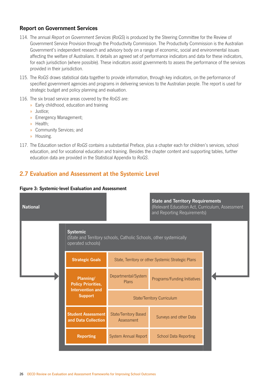### **Report on Government Services**

- 114. The annual *Report on Government Services* (*RoGS*) is produced by the Steering Committee for the Review of Government Service Provision through the Productivity Commission. The Productivity Commission is the Australian Government's independent research and advisory body on a range of economic, social and environmental issues affecting the welfare of Australians. It details an agreed set of performance indicators and data for these indicators, for each jurisdiction (where possible). These indicators assist governments to assess the performance of the services provided in their jurisdiction.
- 115. The *RoGS* draws statistical data together to provide information, through key indicators, on the performance of specified government agencies and programs in delivering services to the Australian people. The report is used for strategic budget and policy planning and evaluation.
- 116. The six broad service areas covered by the *RoGS* are:
	- » Early childhood, education and training
	- » Justice;
	- » Emergency Management;
	- » Health;
	- » Community Services; and
	- » Housing.
- 117. The Education section of *RoGS* contains a substantial Preface, plus a chapter each for children's services, school education, and for vocational education and training. Besides the chapter content and supporting tables, further education data are provided in the Statistical Appendix to *RoGS*.

### **2.7 Evaluation and Assessment at the Systemic Level**



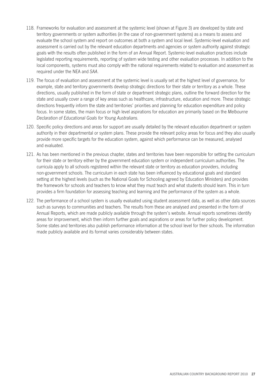- 118. Frameworks for evaluation and assessment at the systemic level (shown at Figure 3) are developed by state and territory governments or system authorities (in the case of non-government systems) as a means to assess and evaluate the school system and report on outcomes at both a system and local level. Systemic-level evaluation and assessment is carried out by the relevant education departments and agencies or system authority against strategic goals with the results often published in the form of an Annual Report. Systemic-level evaluation practices include legislated reporting requirements, reporting of system wide testing and other evaluation processes. In addition to the local components, systems must also comply with the national requirements related to evaluation and assessment as required under the NEA and *SAA*.
- 119. The focus of evaluation and assessment at the systemic level is usually set at the highest level of governance, for example, state and territory governments develop strategic directions for their state or territory as a whole. These directions, usually published in the form of state or department strategic plans, outline the forward direction for the state and usually cover a range of key areas such as healthcare, infrastructure, education and more. These strategic directions frequently inform the state and territories' priorities and planning for education expenditure and policy focus. In some states, the main focus or high level aspirations for education are primarily based on the *Melbourne Declaration of Educational Goals for Young Australians.*
- 120. Specific policy directions and areas for support are usually detailed by the relevant education department or system authority in their departmental or system plans. These provide the relevant policy areas for focus and they also usually provide more specific targets for the education system, against which performance can be measured, analysed and evaluated.
- 121. As has been mentioned in the previous chapter, states and territories have been responsible for setting the curriculum for their state or territory either by the government education system or independent curriculum authorities. The curricula apply to all schools registered within the relevant state or territory as education providers, including non‑government schools. The curriculum in each state has been influenced by educational goals and standard setting at the highest levels (such as the National Goals for Schooling agreed by Education Ministers) and provides the framework for schools and teachers to know what they must teach and what students should learn. This in turn provides a firm foundation for assessing teaching and learning and the performance of the system as a whole.
- 122. The performance of a school system is usually evaluated using student assessment data, as well as other data sources such as surveys to communities and teachers. The results from these are analysed and presented in the form of Annual Reports, which are made publicly available through the system's website. Annual reports sometimes identify areas for improvement, which then inform further goals and aspirations or areas for further policy development. Some states and territories also publish performance information at the school level for their schools. The information made publicly available and its format varies considerably between states.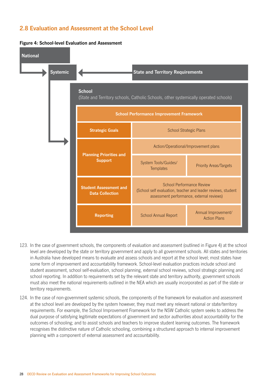# **2.8 Evaluation and Assessment at the School Level**



#### **Figure 4: School‑level Evaluation and Assessment**

- 123. In the case of government schools, the components of evaluation and assessment (outlined in Figure 4) at the school level are developed by the state or territory government and apply to all government schools. All states and territories in Australia have developed means to evaluate and assess schools and report at the school level; most states have some form of improvement and accountability framework. School-level evaluation practices include school and student assessment, school self-evaluation, school planning, external school reviews, school strategic planning and school reporting. In addition to requirements set by the relevant state and territory authority, government schools must also meet the national requirements outlined in the NEA which are usually incorporated as part of the state or territory requirements.
- 124. In the case of non-government systemic schools, the components of the framework for evaluation and assessment at the school level are developed by the system however, they must meet any relevant national or state/territory requirements. For example, the School Improvement Framework for the NSW Catholic system seeks to address the dual purpose of satisfying legitimate expectations of government and sector authorities about accountability for the outcomes of schooling; and to assist schools and teachers to improve student learning outcomes. The framework recognises the distinctive nature of Catholic schooling, combining a structured approach to internal improvement planning with a component of external assessment and accountability.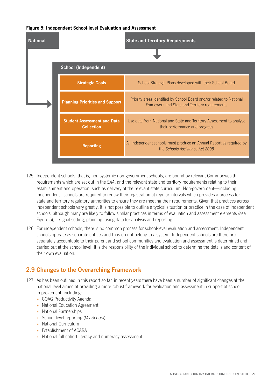#### **Figure 5: Independent School‑level Evaluation and Assessment**



- 125. Independent schools, that is, non-systemic non-government schools, are bound by relevant Commonwealth requirements which are set out in the *SAA*, and the relevant state and territory requirements relating to their establishment and operation, such as delivery of the relevant state curriculum. Non-government—including independent– schools are required to renew their registration at regular intervals which provides a process for state and territory regulatory authorities to ensure they are meeting their requirements. Given that practices across independent schools vary greatly, it is not possible to outline a typical situation or practice in the case of independent schools, although many are likely to follow similar practices in terms of evaluation and assessment elements (see Figure 5), i.e. goal setting, planning, using data for analysis and reporting.
- 126. For independent schools, there is no common process for school-level evaluation and assessment. Independent schools operate as separate entities and thus do not belong to a system. Independent schools are therefore separately accountable to their parent and school communities and evaluation and assessment is determined and carried out at the school level. It is the responsibility of the individual school to determine the details and content of their own evaluation.

# **2.9 Changes to the Overarching Framework**

- 127. As has been outlined in this report so far, in recent years there have been a number of significant changes at the national level aimed at providing a more robust framework for evaluation and assessment in support of school improvement, including:
	- » COAG Productivity Agenda
	- » National Education Agreement
	- » National Partnerships
	- » School-level reporting (*My School*)
	- » National Curriculum
	- » Establishment of ACARA
	- » National full cohort literacy and numeracy assessment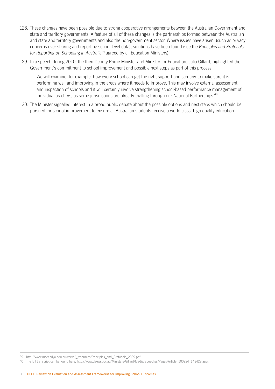- 128. These changes have been possible due to strong cooperative arrangements between the Australian Government and state and territory governments. A feature of all of these changes is the partnerships formed between the Australian and state and territory governments and also the non-government sector. Where issues have arisen, (such as privacy concerns over sharing and reporting school-level data), solutions have been found (see the *Principles and Protocols for Reporting on Schooling in Australia*39 agreed by all Education Ministers).
- 129. In a speech during 2010, the then Deputy Prime Minister and Minister for Education, Julia Gillard, highlighted the Government's commitment to school improvement and possible next steps as part of this process:

We will examine, for example, how every school can get the right support and scrutiny to make sure it is performing well and improving in the areas where it needs to improve. This may involve external assessment and inspection of schools and it will certainly involve strengthening school-based performance management of individual teachers, as some jurisdictions are already trialling through our National Partnerships.<sup>40</sup>

130. The Minister signalled interest in a broad public debate about the possible options and next steps which should be pursued for school improvement to ensure all Australian students receive a world class, high quality education.

<sup>39</sup> http://www.mceecdya.edu.au/verve/\_resources/Principles\_and\_Protocols\_2009.pdf

<sup>40</sup> The full transcript can be found here: http://www.deewr.gov.au/Ministers/Gillard/Media/Speeches/Pages/Article\_100224\_143429.aspx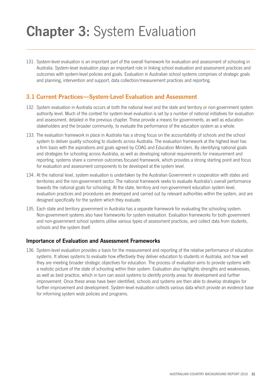# **Chapter 3:** System Evaluation

131. System-level evaluation is an important part of the overall framework for evaluation and assessment of schooling in Australia. System-level evaluation plays an important role in linking school evaluation and assessment practices and outcomes with system-level policies and goals. Evaluation in Australian school systems comprises of strategic goals and planning, intervention and support, data collection/measurement practices and reporting.

## **3.1 Current Practices—System‑Level Evaluation and Assessment**

- 132. System evaluation in Australia occurs at both the national level and the state and territory or non-government system authority level. Much of the context for system-level evaluation is set by a number of national initiatives for evaluation and assessment, detailed in the previous chapter. These provide a means for governments, as well as education stakeholders and the broader community, to evaluate the performance of the education system as a whole.
- 133. The evaluation framework in place in Australia has a strong focus on the accountability of schools and the school system to deliver quality schooling to students across Australia. The evaluation framework at the highest level has a firm basis with the aspirations and goals agreed by COAG and Education Ministers. By identifying national goals and strategies for schooling across Australia, as well as developing national requirements for measurement and reporting, systems share a common outcomes focused framework, which provides a strong starting point and focus for evaluation and assessment components to be developed at the system level.
- 134. At the national level, system evaluation is undertaken by the Australian Government in cooperation with states and territories and the non-government sector. The national framework seeks to evaluate Australia's overall performance towards the national goals for schooling. At the state, territory and non-government education system level, evaluation practices and procedures are developed and carried out by relevant authorities within the system, and are designed specifically for the system which they evaluate.
- 135. Each state and territory government in Australia has a separate framework for evaluating the schooling system. Non-government systems also have frameworks for system evaluation. Evaluation frameworks for both government and non-government school systems utilise various types of assessment practices, and collect data from students, schools and the system itself.

## **Importance of Evaluation and Assessment Frameworks**

136. System-level evaluation provides a basis for the measurement and reporting of the relative performance of education systems. It allows systems to evaluate how effectively they deliver education to students in Australia, and how well they are meeting broader strategic objectives for education. The process of evaluation aims to provide systems with a realistic picture of the state of schooling within their system. Evaluation also highlights strengths and weaknesses, as well as best practice, which in turn can assist systems to identify priority areas for development and further improvement. Once these areas have been identified, schools and systems are then able to develop strategies for further improvement and development. System-level evaluation collects various data which provide an evidence base for informing system wide policies and programs.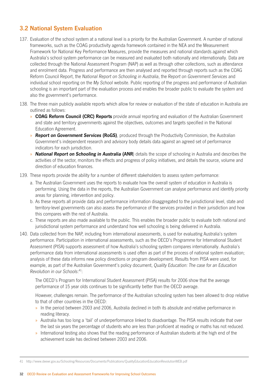# **3.2 National System Evaluation**

- 137. Evaluation of the school system at a national level is a priority for the Australian Government. A number of national frameworks, such as the COAG productivity agenda framework contained in the NEA and the Measurement Framework for National Key Performance Measures, provide the measures and national standards against which Australia's school system performance can be measured and evaluated both nationally and internationally. Data are collected through the National Assessment Program (NAP) as well as through other collections, such as attendance and enrolment data. Progress and performance are then analysed and reported through reports such as the COAG Reform Council Report, the *National Report on Schooling in Australia*, the *Report on Government Services* and individual school reporting on the *My School* website. Public reporting of the progress and performance of Australian schooling is an important part of the evaluation process and enables the broader public to evaluate the system and also the government's performance.
- 138. The three main publicly available reports which allow for review or evaluation of the state of education in Australia are outlined as follows:
	- » **COAG Reform Council (CRC) Reports** provide annual reporting and evaluation of the Australian Government and state and territory governments against the objectives, outcomes and targets specified in the National Education Agreement.
	- » *Report on Government Services* **(RoGS)**, produced through the Productivity Commission, the Australian Government's independent research and advisory body details data against an agreed set of performance indicators for each jurisdiction.
	- » *National Report on Schooling in Australia* **(ANR**) details the scope of schooling in Australia and describes the activities of the sector, monitors the effects and progress of policy initiatives, and details the source, volume and direction of education finances.
- 139. These reports provide the ability for a number of different stakeholders to assess system performance:
	- a. The Australian Government uses the reports to evaluate how the overall system of education in Australia is performing. Using the data in the reports, the Australian Government can analyse performance and identify priority areas for planning, intervention and policy.
	- b. As these reports all provide data and performance information disaggregated to the jurisdictional level, state and territory-level governments can also assess the performance of the services provided in their jurisdiction and how this compares with the rest of Australia.
	- c. These reports are also made available to the public. This enables the broader public to evaluate both national and jurisdictional system performance and understand how well schooling is being delivered in Australia.
- 140. Data collected from the NAP, including from international assessments, is used for evaluating Australia's system performance. Participation in international assessments, such as the OECD's Programme for International Student Assessment (PISA) supports assessment of how Australia's schooling system compares internationally. Australia's performance data from international assessments is used often as part of the process of national system evaluation; analysis of these data informs new policy directions or program development. Results from PISA were used, for example, as part of the Australian Government's policy document, *Quality Education: The case for an Education Revolution in our Schools*: 41:

The OECD's Program for International Student Assessment (PISA) results for 2006 show that the average performance of 15 year olds continues to be significantly better than the OECD average.

However, challenges remain. The performance of the Australian schooling system has been allowed to drop relative to that of other countries in the OECD:

- » In the period between 2003 and 2006, Australia declined in both its absolute and relative performance in reading literacy.
- » Australia has too long a 'tail' of underperformance linked to disadvantage. The PISA results indicate that over the last six years the percentage of students who are less than proficient at reading or maths has not reduced.
- » International testing also shows that the reading performance of Australian students at the high end of the achievement scale has declined between 2003 and 2006.

<sup>41</sup> http://www.deewr.gov.au/Schooling/Resources/Documents/Publications/QualityEducationEducationRevolutionWEB.pdf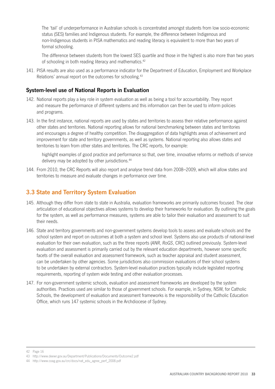The 'tail' of underperformance in Australian schools is concentrated amongst students from low socio-economic status (SES) families and Indigenous students. For example, the difference between Indigenous and non‑Indigenous students in PISA mathematics and reading literacy is equivalent to more than two years of formal schooling.

The difference between students from the lowest SES quartile and those in the highest is also more than two years of schooling in both reading literacy and mathematics.<sup>42</sup>

141. PISA results are also used as a performance indicator for the Department of Education, Employment and Workplace Relations' annual report on the outcomes for schooling.<sup>43</sup>

## **System‑level use of National Reports in Evaluation**

- 142. National reports play a key role in system evaluation as well as being a tool for accountability. They report and measure the performance of different systems and this information can then be used to inform policies and programs.
- 143. In the first instance, national reports are used by states and territories to assess their relative performance against other states and territories. National reporting allows for national benchmarking between states and territories and encourages a degree of healthy competition. The disaggregation of data highlights areas of achievement and improvement for state and territory governments, as well as systems. National reporting also allows states and territories to learn from other states and territories. The CRC reports, for example:

highlight examples of good practice and performance so that, over time, innovative reforms or methods of service delivery may be adopted by other jurisdictions.<sup>44</sup>

144. From 2010, the CRC Reports will also report and analyse trend data from 2008–2009, which will allow states and territories to measure and evaluate changes in performance over time.

## **3.3 State and Territory System Evaluation**

- 145. Although they differ from state to state in Australia, evaluation frameworks are primarily outcomes focused. The clear articulation of educational objectives allows systems to develop their frameworks for evaluation. By outlining the goals for the system, as well as performance measures, systems are able to tailor their evaluation and assessment to suit their needs.
- 146. State and territory governments and non-government systems develop tools to assess and evaluate schools and the school system and report on outcomes at both a system and school level. Systems also use products of national-level evaluation for their own evaluation, such as the three reports (*ANR*, *RoGS*, CRC) outlined previously. System-level evaluation and assessment is primarily carried out by the relevant education departments, however some specific facets of the overall evaluation and assessment framework, such as teacher appraisal and student assessment, can be undertaken by other agencies. Some jurisdictions also commission evaluations of their school systems to be undertaken by external contractors. System-level evaluation practices typically include legislated reporting requirements, reporting of system wide testing and other evaluation processes.
- 147. For non-government systemic schools, evaluation and assessment frameworks are developed by the system authorities. Practices used are similar to those of government schools. For example, in Sydney, NSW, for Catholic Schools, the development of evaluation and assessment frameworks is the responsibility of the Catholic Education Office, which runs 147 systemic schools in the Archdiocese of Sydney.

<sup>42</sup> Page 16

<sup>43</sup> http://www.deewr.gov.au/Department/Publications/Documents/Outcome2.pdf

<sup>44</sup> http://www.coag.gov.au/crc/docs/nat\_edu\_agree\_perf\_2008.pdf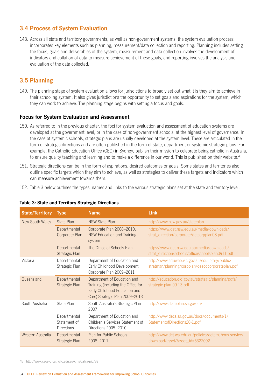# **3.4 Process of System Evaluation**

148. Across all state and territory governments, as well as non-government systems, the system evaluation process incorporates key elements such as planning, measurement/data collection and reporting. Planning includes setting the focus, goals and deliverables of the system, measurement and data collection involves the development of indicators and collation of data to measure achievement of these goals, and reporting involves the analysis and evaluation of the data collected.

# **3.5 Planning**

149. The planning stage of system evaluation allows for jurisdictions to broadly set out what it is they aim to achieve in their schooling system. It also gives jurisdictions the opportunity to set goals and aspirations for the system, which they can work to achieve. The planning stage begins with setting a focus and goals.

## **Focus for System Evaluation and Assessment**

- 150. As referred to in the previous chapter, the foci for system evaluation and assessment of education systems are developed at the government level, or in the case of non-government schools, at the highest level of governance. In the case of systemic schools, strategic plans are usually developed at the system level. These are articulated in the form of strategic directions and are often published in the form of state, department or systemic strategic plans. For example, the Catholic Education Office (CEO) in Sydney, publish their mission to celebrate being catholic in Australia, to ensure quality teaching and learning and to make a difference in our world. This is published on their website.<sup>45</sup>
- 151. Strategic directions can be in the form of aspirations, desired outcomes or goals. Some states and territories also outline specific targets which they aim to achieve, as well as strategies to deliver these targets and indicators which can measure achievement towards them.
- 152. Table 3 below outlines the types, names and links to the various strategic plans set at the state and territory level.

| <b>State/Territory</b> | <b>Type</b>                                | <b>Name</b>                                                                                                                          | Link                                                                                                 |
|------------------------|--------------------------------------------|--------------------------------------------------------------------------------------------------------------------------------------|------------------------------------------------------------------------------------------------------|
| <b>New South Wales</b> | State Plan                                 | <b>NSW State Plan</b>                                                                                                                | http://www.nsw.gov.au/stateplan                                                                      |
|                        | Departmental<br>Corporate Plan             | Corporate Plan 2008-2010,<br><b>NSW Education and Training</b><br>system                                                             | https://www.det.nsw.edu.au/media/downloads/<br>strat_direction/corporate/detcorpplan08.pdf           |
|                        | Departmental<br>Strategic Plan             | The Office of Schools Plan                                                                                                           | https://www.det.nsw.edu.au/media/downloads/<br>strat_direction/schools/officeschoolsplan0911.pdf     |
| Victoria               | Departmental<br>Strategic Plan             | Department of Education and<br>Early Childhood Development<br>Corporate Plan 2009-2011                                               | http://www.eduweb.vic.gov.au/edulibrary/public/<br>stratman/planning/corpplan/deecdcorporateplan.pdf |
| Queensland             | Departmental<br>Strategic Plan             | Department of Education and<br>Training (including the Office for<br>Early Childhood Education and<br>Care) Strategic Plan 2009-2013 | http://education.qld.gov.au/strategic/planning/pdfs/<br>strategic-plan-09-13.pdf                     |
| South Australia        | State Plan                                 | South Australia's Strategic Plan<br>2007                                                                                             | http://www.stateplan.sa.gov.au/                                                                      |
|                        | Departmental<br>Statement of<br>Directions | Department of Education and<br>Children's Services Statement of<br>Directions 2005-2010                                              | http://www.decs.sa.gov.au/docs/documents/1/<br>StatementofDirections20-1.pdf                         |
| Western Australia      | Departmental<br>Strategic Plan             | <b>Plan for Public Schools</b><br>2008-2011                                                                                          | http://www.det.wa.edu.au/policies/detcms/cms-service/<br>download/asset/?asset_id=6322092            |

### **Table 3: State and Territory Strategic Directions**

45 http://www.ceosyd.catholic.edu.au/cms/Jahia/pid/38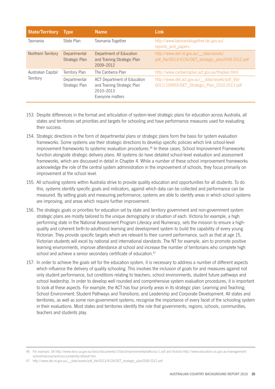| <b>State/Territory</b>          | <b>Type</b>                    | <b>Name</b>                                                                                        | <b>Link</b>                                                                                       |
|---------------------------------|--------------------------------|----------------------------------------------------------------------------------------------------|---------------------------------------------------------------------------------------------------|
| Tasmania                        | State Plan                     | Tasmania Together                                                                                  | http://www.tasmaniatogether.tas.gov.au/<br>reports_and_papers                                     |
| Northern Territory              | Departmental<br>Strategic Plan | Department of Education<br>and Training Strategic Plan<br>2009-2012                                | http://www.det.nt.gov.au/_data/assets/<br>pdf_file/0013/4126/DET_strategic_plan2009-2012.pdf      |
| Australian Capital<br>Territory | Territory Plan                 | The Canberra Plan                                                                                  | http://www.canberraplan.act.gov.au/theplan.html                                                   |
|                                 | Departmental<br>Strategic Plan | <b>ACT Department of Education</b><br>and Training Strategic Plan<br>2010-2013<br>Everyone matters | http://www.det.act.gov.au/__data/assets/pdf_file/<br>0011/109955/DET_Strategic_Plan_2010-2013.pdf |

- 153. Despite differences in the format and articulation of system-level strategic plans for education across Australia, all states and territories set priorities and targets for schooling and have performance measures used for evaluating their success.
- 154. Strategic directions in the form of departmental plans or strategic plans form the basis for system evaluation frameworks. Some systems use their strategic directions to develop specific policies which link school-level improvement frameworks to systemic evaluation procedures.<sup>46</sup> In these cases, School Improvement Frameworks function alongside strategic delivery plans. All systems do have detailed school-level evaluation and assessment frameworks, which are discussed in detail in Chapter 4. While a number of these school improvement frameworks acknowledge the role of the central system administration in the improvement of schools, they focus primarily on improvement at the school level.
- 155. All schooling systems within Australia strive to provide quality education and opportunities for all students. To do this, systems identify specific goals and indicators, against which data can be collected and performance can be measured. By setting goals and measuring performance, systems are able to identify areas in which school systems are improving, and areas which require further improvement.
- 156. The strategic goals or priorities for education set by state and territory government and non-government system strategic plans are mostly tailored to the unique demography or situation of each. Victoria for example, a high performing state in the National Assessment Program Literacy and Numeracy, sets the mission to ensure a highquality and coherent birth-to-adulthood learning and development system to build the capability of every young Victorian. They provide specific targets which are relevant to their current performance, such as that at age 15, Victorian students will excel by national and international standards. The NT for example, aim to promote positive learning environments, improve attendance at school and increase the number of territorians who complete high school and achieve a senior secondary certificate of education.<sup>47</sup>
- 157. In order to achieve the goals set for the education system, it is necessary to address a number of different aspects which influence the delivery of quality schooling. This involves the inclusion of goals for and measures against not only student performance, but conditions relating to teachers, school environments, student future pathways and school leadership. In order to develop well rounded and comprehensive system evaluation procedures, it is important to look at these aspects. For example, the ACT has four priority areas in its strategic plan: Learning and Teaching; School Environment; Student Pathways and Transitions; and Leadership and Corporate Development. All states and territories, as well as some non-government systems, recognise the importance of every facet of the schooling system in their evaluations. Most states and territories identify the role that governments, regions, schools, communities, teachers and students play.

<sup>46</sup> For example, SA http://www.decs.sa.gov.au/docs/documents/1/DecsImprovementandAccou-1.pdf and Victoria http://www.education.vic.gov.au/management/ schoolimprovement/accountability/default.htm

<sup>47</sup> http://www.det.nt.gov.au/\_\_data/assets/pdf\_file/0013/4126/DET\_strategic\_plan2009-2012.pdf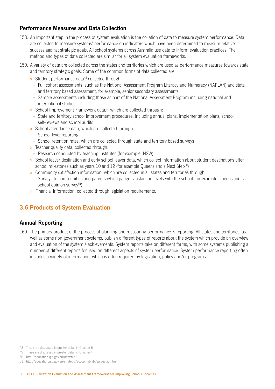## **Performance Measures and Data Collection**

- 158. An important step in the process of system evaluation is the collation of data to measure system performance. Data are collected to measure systems' performance on indicators which have been determined to measure relative success against strategic goals. All school systems across Australia use data to inform evaluation practices. The method and types of data collected are similar for all system evaluation frameworks.
- 159. A variety of data are collected across the states and territories which are used as performance measures towards state and territory strategic goals. Some of the common forms of data collected are:
	- » Student performance data<sup>48</sup> collected through:
	- Full cohort assessments, such as the National Assessment Program Literacy and Numeracy (NAPLAN) and state and territory based assessment, for example, senior secondary assessments
	- Sample assessments including those as part of the National Assessment Program including national and international studies
	- » School Improvement Framework data.<sup>49</sup> which are collected through:
	- State and territory school improvement procedures, including annual plans, implementation plans, school self-reviews and school audits
	- » School attendance data, which are collected through:
	- School‑level reporting
	- School retention rates, which are collected through state and territory based surveys
	- » Teacher quality data, collected through:
	- Research conducted by teaching institutes (for example, NSW)
	- » School leaver destination and early school leaver data, which collect information about student destinations after school milestones such as years 10 and 12 (for example Queensland's Next Step<sup>50</sup>)
	- » Community satisfaction information, which are collected in all states and territories through:
	- Surveys to communities and parents which gauge satisfaction levels with the school (for example Queensland's school opinion survey $51$ )
	- » Financial Information, collected through legislation requirements.

# **3.6 Products of System Evaluation**

## **Annual Reporting**

160. The primary product of the process of planning and measuring performance is reporting. All states and territories, as well as some non-government systems, publish different types of reports about the system which provide an overview and evaluation of the system's achievements. System reports take on different forms, with some systems publishing a number of different reports focused on different aspects of system performance. System performance reporting often includes a variety of information, which is often required by legislation, policy and/or programs.

<sup>48</sup> These are discussed in greater detail in Chapter 6.

<sup>49</sup> These are discussed in greater detail in Chapter 4.

<sup>50</sup> http://education.qld.gov.au/nextstep/

<sup>51</sup> http://education.qld.gov.au/strategic/accountability/surveyfaq.html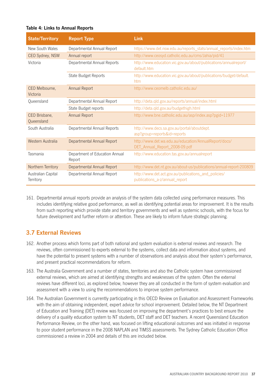#### **Table 4: Links to Annual Reports**

| <b>State/Territory</b>          | <b>Report Type</b>                       | Link                                                                                   |  |
|---------------------------------|------------------------------------------|----------------------------------------------------------------------------------------|--|
| New South Wales                 | Departmental Annual Report               | https://www.det.nsw.edu.au/reports_stats/annual_reports/index.htm                      |  |
| CEO Sydney, NSW                 | Annual report                            | http://www.ceosyd.catholic.edu.au/cms/Jahia/pid/41                                     |  |
| Victoria                        | Departmental Annual Reports              | http://www.education.vic.gov.au/about/publications/annualreport/<br>default.htm        |  |
|                                 | State Budget Reports                     | http://www.education.vic.gov.au/about/publications/budget/default.<br>htm              |  |
| CEO Melbourne,<br>Victoria      | <b>Annual Report</b>                     | http://www.ceomelb.catholic.edu.au/                                                    |  |
| Queensland                      | Departmental Annual Report               | http://deta.qld.gov.au/reports/annual/index.html                                       |  |
|                                 | State Budget reports                     | http://deta.qld.gov.au/budgethigh.html                                                 |  |
| CEO Brisbane,<br>Queensland     | <b>Annual Report</b>                     | http://www.bne.catholic.edu.au/asp/index.asp?pgid=11977                                |  |
| South Australia                 | Departmental Annual Reports              | http://www.decs.sa.gov.au/portal/aboutdept.<br>asp?group=reports&id=reports            |  |
| Western Australia               | Departmental Annual Report               | http://www.det.wa.edu.au/education/AnnualReport/docs/<br>DET_Annual_Report_2008-09.pdf |  |
| Tasmania                        | Department of Education Annual<br>Report | http://www.education.tas.gov.au/annualreport                                           |  |
| Northern Territory              | Departmental Annual Report               | http://www.det.nt.gov.au/about-us/publications/annual-report-200809                    |  |
| Australian Capital<br>Territory | Departmental Annual Report               | http://www.det.act.gov.au/publications_and_policies/<br>publications_a-z/annual_report |  |

161. Departmental annual reports provide an analysis of the system data collected using performance measures. This includes identifying relative good performance, as well as identifying potential areas for improvement. It is the results from such reporting which provide state and territory governments and well as systemic schools, with the focus for future development and further reform or attention. These are likely to inform future strategic planning.

## **3.7 External Reviews**

- 162. Another process which forms part of both national and system evaluation is external reviews and research. The reviews, often commissioned to experts external to the systems, collect data and information about systems, and have the potential to present systems with a number of observations and analysis about their system's performance, and present practical recommendations for reform.
- 163. The Australia Government and a number of states, territories and also the Catholic system have commissioned external reviews, which are aimed at identifying strengths and weaknesses of the system. Often the external reviews have different loci, as explored below, however they are all conducted in the form of system evaluation and assessment with a view to using the recommendations to improve system performance.
- 164. The Australian Government is currently participating in this OECD Review on Evaluation and Assessment Frameworks with the aim of obtaining independent, expert advice for school improvement. Detailed below, the NT Department of Education and Training (DET) review was focused on improving the department's practices to best ensure the delivery of a quality education system to NT students, DET staff and DET teachers. A recent Queensland Education Performance Review, on the other hand, was focused on lifting educational outcomes and was initiated in response to poor student performance in the 2008 NAPLAN and TIMSS assessments. The Sydney Catholic Education Office commissioned a review in 2004 and details of this are included below.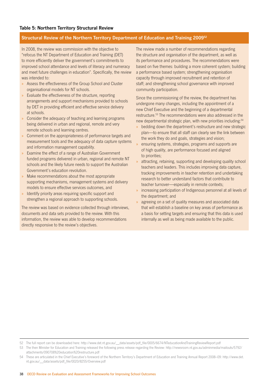#### **Structural Review of the Northern Territory Department of Education and Training 200952**

In 2008, the review was commission with the objective to "refocus the NT Department of Education and Training (DET) to more efficiently deliver the government's commitments to improved school attendance and levels of literacy and numeracy and meet future challenges in education". Specifically, the review was intended to:

- » Assess the effectiveness of the Group School and Cluster organisational models for NT schools.
- » Evaluate the effectiveness of the structure, reporting arrangements and support mechanisms provided to schools by DET in providing efficient and effective service delivery at schools.
- » Consider the adequacy of teaching and learning programs being delivered in urban and regional, remote and very remote schools and learning centres.
- » Comment on the appropriateness of performance targets and measurement tools and the adequacy of data capture systems and information management capability.
- » Examine the effect of a range of Australian Government funded programs delivered in urban, regional and remote NT schools and the likely future needs to support the Australian Government's education revolution.
- Make recommendations about the most appropriate supporting mechanisms, management systems and delivery models to ensure effective services outcomes, and
- » Identify priority areas requiring specific support and strengthen a regional approach to supporting schools.

The review was based on evidence collected through interviews, documents and data sets provided to the review. With this information, the review was able to develop recommendations directly responsive to the review's objectives.

The review made a number of recommendations regarding the structure and organisation of the department, as well as its performance and procedures. The recommendations were based on five themes: building a more coherent system; building a performance based system; strengthening organisation capacity through improved recruitment and retention of staff; and strengthening school governance with improved community participation.

Since the commissioning of the review, the department has undergone many changes, including the appointment of a new Chief Executive and the beginning of a departmental restructure.53 The recommendations were also addressed in the new departmental strategic plan, with new priorities including:<sup>54</sup>

- bedding down the department's restructure and new strategic plan—to ensure that all staff can clearly see the link between the work they do and goals, strategies and vision;
- » ensuring systems, strategies, programs and supports are of high quality, are performance focused and aligned to priorities;
- attracting, retaining, supporting and developing quality school teachers and leaders. This includes improving data capture, tracking improvements in teacher retention and undertaking research to better understand factors that contribute to teacher turnover—especially in remote contexts;
- » increasing participation of Indigenous personnel at all levels of the department; and
- agreeing on a set of quality measures and associated data that will establish a baseline on key areas of performance as a basis for setting targets and ensuring that this data is used internally as well as being made available to the public.

<sup>52</sup> The full report can be downloaded here: http://www.det.nt.gov.au/\_data/assets/pdf\_file/0005/6674/NTeducationAndTrainingReviewReport.pdf

<sup>53</sup> The then Minister for Education and Training released the following press release regarding the Review: http://newsroom.nt.gov.au/adminmedia/mailouts/5792/ attachments/090708%20education%20restructure.pdf

<sup>54</sup> These are articulated in the Chief Executive's foreword of the Northern Territory's Department of Education and Training Annual Report 2008–09: http://www.det. nt.gov.au/\_\_data/assets/pdf\_file/0020/8255/Overview.pdf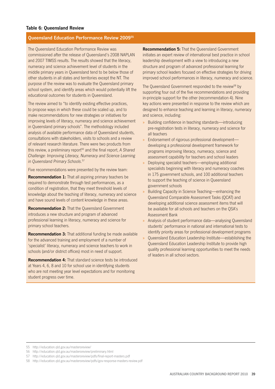#### **Table 6: Queensland Review**

#### **Queensland Education Performance Review 200955**

The Queensland Education Performance Review was commissioned after the release of Queensland's 2008 NAPLAN and 2007 TIMSS results. The results showed that the literacy, numeracy and science achievement level of students in the middle primary years in Queensland tend to be below those of other students in all states and territories except the NT. The purpose of the review was to evaluate the Queensland primary school system, and identify areas which would potentially lift the educational outcomes for students in Queensland.

The review aimed to "to identify existing effective practices, to propose ways in which these could be scaled up, and to make recommendations for new strategies or initiatives for improving levels of literacy, numeracy and science achievement in Queensland primary schools". The methodology included analysis of available performance data of Queensland students, consultations with stakeholders, visits to schools and a review of relevant research literature. There were two products from this review, a preliminary report<sup>56</sup> and the final report, A Shared *Challenge: Improving Literacy, Numeracy and Science Learning in Queensland Primary Schools*. 57

Five recommendations were presented by the review team:

**Recommendation 1:** That all aspiring primary teachers be required to demonstrate through test performances, as a condition of registration, that they meet threshold levels of knowledge about the teaching of literacy, numeracy and science and have sound levels of content knowledge in these areas.

**Recommendation 2:** That the Queensland Government introduces a new structure and program of advanced professional learning in literacy, numeracy and science for primary school teachers.

**Recommendation 3:** That additional funding be made available for the advanced training and employment of a number of 'specialist' literacy, numeracy and science teachers to work in schools (and/or district offices) most in need of support.

**Recommendation 4:** That standard science tests be introduced at Years 4, 6, 8 and 10 for school use in identifying students who are not meeting year level expectations and for monitoring student progress over time.

**Recommendation 5:** That the Queensland Government initiates an expert review of international best practice in school leadership development with a view to introducing a new structure and program of advanced professional learning for primary school leaders focused on effective strategies for driving improved school performances in literacy, numeracy and science.

The Queensland Government responded to the review<sup>58</sup> by supporting four out of the five recommendations and providing in-principle support for the other (recommendation 4). Nine key actions were presented in response to the review which are designed to enhance teaching and learning in literacy, numeracy and science, including:

- » Building confidence in teaching standards—introducing pre-registration tests in literacy, numeracy and science for all teachers
- » Endorsement of rigorous professional development developing a professional development framework for programs improving literacy, numeracy, science and assessment capability for teachers and school leaders
- » Deploying specialist teachers—employing additional specialists beginning with literacy and numeracy coaches in 175 government schools, and 100 additional teachers to support the teaching of science in Queensland government schools
- » Building Capacity in Science Teaching—enhancing the Queensland Comparable Assessment Tasks (QCAT) and developing additional science assessment items that will be available for all schools and teachers on the QSA's Assessment Bank
- » Analysis of student performance data—analysing Queensland students' performance in national and international tests to identify priority areas for professional development programs
- » Queensland Education Leadership Institute—establishing the Queensland Education Leadership Institute to provide high quality professional learning opportunities to meet the needs of leaders in all school sectors.

<sup>55</sup> http://education.qld.gov.au/mastersreview/

<sup>56</sup> http://education.qld.gov.au/mastersreview/preliminary.html

<sup>57</sup> http://education.qld.gov.au/mastersreview/pdfs/final-report-masters.pdf

<sup>58</sup> http://education.qld.gov.au/mastersreview/pdfs/gov-response-masters-review.pdf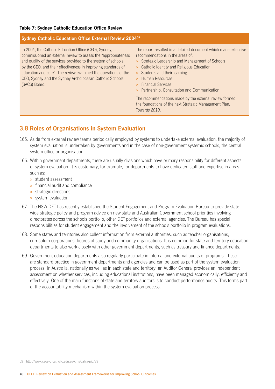#### **Table 7: Sydney Catholic Education Office Review**

#### **Sydney Catholic Education Office External Review 200459**

In 2004, the Catholic Education Office (CEO), Sydney, commissioned an external review to assess the "appropriateness and quality of the services provided to the system of schools by the CEO, and their effectiveness in improving standards of education and care". The review examined the operations of the CEO, Sydney and the Sydney Archdiocesan Catholic Schools (SACS) Board.

The report resulted in a detailed document which made extensive recommendations in the areas of:

- » Strategic Leadership and Management of Schools
- » Catholic Identity and Religious Education
- » Students and their learning
- » Human Resources
- » Financial Services
- » Partnership, Consultation and Communication.

The recommendations made by the external review formed the foundations of the next Strategic Management Plan, *Towards 2010*.

## **3.8 Roles of Organisations in System Evaluation**

- 165. Aside from external review teams periodically employed by systems to undertake external evaluation, the majority of system evaluation is undertaken by governments and in the case of non-government systemic schools, the central system office or organisation.
- 166. Within government departments, there are usually divisions which have primary responsibility for different aspects of system evaluation. It is customary, for example, for departments to have dedicated staff and expertise in areas such as:
	- » student assessment
	- » financial audit and compliance
	- » strategic directions
	- » system evaluation
- 167. The NSW DET has recently established the Student Engagement and Program Evaluation Bureau to provide statewide strategic policy and program advice on new state and Australian Government school priorities involving directorates across the schools portfolio, other DET portfolios and external agencies. The Bureau has special responsibilities for student engagement and the involvement of the schools portfolio in program evaluations.
- 168. Some states and territories also collect information from external authorities, such as teacher organisations, curriculum corporations, boards of study and community organisations. It is common for state and territory education departments to also work closely with other government departments, such as treasury and finance departments.
- 169. Government education departments also regularly participate in internal and external audits of programs. These are standard practice in government departments and agencies and can be used as part of the system evaluation process. In Australia, nationally as well as in each state and territory, an Auditor General provides an independent assessment on whether services, including educational institutions, have been managed economically, efficiently and effectively. One of the main functions of state and territory auditors is to conduct performance audits. This forms part of the accountability mechanism within the system evaluation process.

59 http://www.ceosyd.catholic.edu.au/cms/Jahia/pid/39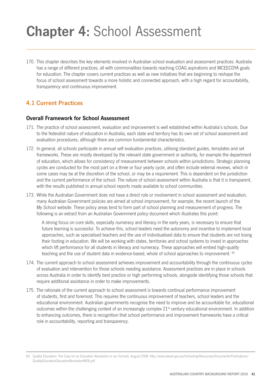# **Chapter 4:** School Assessment

170. This chapter describes the key elements involved in Australian school evaluation and assessment practices. Australia has a range of different practices, all with commonalities towards reaching COAG aspirations and MCEECDYA goals for education. The chapter covers current practices as well as new initiatives that are beginning to reshape the focus of school assessment towards a more holistic and connected approach, with a high regard for accountability, transparency and continuous improvement.

# **4.1 Current Practices**

## **Overall Framework for School Assessment**

- 171. The practice of school assessment, evaluation and improvement is well established within Australia's schools. Due to the federalist nature of education in Australia, each state and territory has its own set of school assessment and evaluation procedures, although there are common fundamental characteristics.
- 172. In general, all schools participate in annual self evaluation practices, utilising standard guides, templates and set frameworks. These are mostly developed by the relevant state government or authority, for example the department of education, which allows for consistency of measurement between schools within jurisdictions. Strategic planning cycles are conducted for the most part on a three or four yearly cycle, and often include external reviews, which in some cases may be at the discretion of the school, or may be a requirement. This is dependent on the jurisdiction and the current performance of the school. The nature of school assessment within Australia is that it is transparent, with the results published in annual school reports made available to school communities.
- 173. While the Australian Government does not have a direct role or involvement in school assessment and evaluation, many Australian Government policies are aimed at school improvement, for example, the recent launch of the *My School* website. These policy areas tend to form part of school planning and measurement of progress. The following is an extract from an Australian Government policy document which illustrates this point:

A strong focus on core skills, especially numeracy and literacy in the early years, is necessary to ensure that future learning is successful. To achieve this, school leaders need the autonomy and incentive to implement local approaches, such as specialised teachers and the use of individualised data to ensure that students are not losing their footing in education. We will be working with states, territories and school systems to invest in approaches which lift performance for all students in literacy and numeracy. These approaches will embed high-quality teaching and the use of student data in evidence-based, whole of school approaches to improvement. 60

- 174. The current approach to school assessment achieves improvement and accountability through the continuous cycles of evaluation and intervention for those schools needing assistance. Assessment practices are in place in schools across Australia in order to identify best practice or high performing schools, alongside identifying those schools that require additional assistance in order to make improvements.
- 175. The rationale of the current approach to school assessment is towards continual performance improvement of students, first and foremost. This requires the continuous improvement of teachers, school leaders and the educational environment. Australian governments recognise the need to improve and be accountable for, educational outcomes within the challenging context of an increasingly complex  $21<sup>st</sup>$  century educational environment. In addition to enhancing outcomes, there is recognition that school performance and improvement frameworks have a critical role in accountability, reporting and transparency.

<sup>60</sup> Quality Education: The Case for an Education Revolution in our Schools, August 2008: http://www.deewr.gov.au/Schooling/Resources/Documents/Publications/ QualityEducationEducationRevolutionWEB.pdf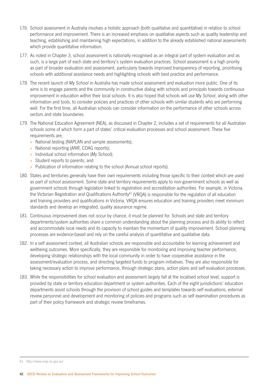- 176. School assessment in Australia involves a holistic approach (both qualitative and quantitative) in relation to school performance and improvement. There is an increased emphasis on qualitative aspects such as quality leadership and teaching, establishing and maintaining high expectations, in addition to the already established national assessments which provide quantitative information.
- 177. As noted in Chapter 3, school assessment is nationally recognised as an integral part of system evaluation and as such, is a large part of each state and territory's system evaluation practices. School assessment is a high priority as part of broader evaluation and assessment, particularly towards improved transparency of reporting, prioritising schools with additional assistance needs and highlighting schools with best practice and performance.
- 178. The recent launch of *My School* in Australia has made school assessment and evaluation more public. One of its aims is to engage parents and the community in constructive dialog with schools and principals towards continuous improvement in education within their local schools. It is also hoped that schools will use *My School*, along with other information and tools, to consider policies and practices of other schools with similar students who are performing well. For the first time, all Australian schools can consider information on the performance of other schools across sectors and state boundaries.
- 179. The National Education Agreement (NEA), as discussed in Chapter 2, includes a set of requirements for all Australian schools some of which form a part of states' critical evaluation processes and school assessment. These five requirements are;
	- » National testing (NAPLAN and sample assessments);
	- » National reporting (*ANR*, COAG reports);
	- » Individual school information (*My School*);
	- » Student reports to parents; and
	- » Publication of information relating to the school (Annual school reports).
- 180. States and territories generally have their own requirements including those specific to their context which are used as part of school assessment. Some state and territory requirements apply to non-government schools as well as government schools through legislation linked to registration and accreditation authorities. For example, in Victoria, the Victorian Registration and Qualifications Authority<sup>61</sup> (VRQA) is responsible for the regulation of all education and training providers and qualifications in Victoria. VRQA ensures education and training providers meet minimum standards and develop an integrated, quality assurance regime.
- 181. Continuous improvement does not occur by chance, it must be planned for. Schools and state and territory departments/system authorities share a common understanding about the planning process and its ability to reflect and accommodate local needs and its capacity to maintain the momentum of quality improvement. School planning processes are evidence-based and rely on the careful analysis of quantitative and qualitative data.
- 182. In a self assessment context, all Australian schools are responsible and accountable for learning achievement and wellbeing outcomes. More specifically, they are responsible for monitoring and improving teacher performance, developing strategic relationships with the local community in order to have cooperative assistance in the assessment/evaluation process, and directing targeted funds to program initiatives. They are also responsible for taking necessary action to improve performance, through strategic plans, action plans and self evaluation processes.
- 183. While the responsibilities for school evaluation and assessment largely fall at the localised school level, support is provided by state or territory education department or system authorities. Each of the eight jurisdictions' education departments assist schools through the provision of school guides and templates towards self evaluations, external review personnel and development and monitoring of policies and programs such as self examination procedures as part of their policy framework and strategic review timeframes.

<sup>61</sup> http://www.vrqa.vic.gov.au/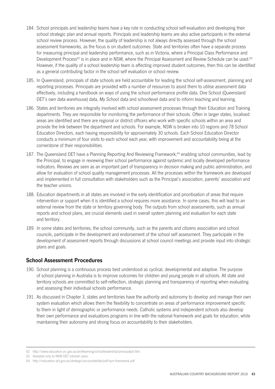- 184. School principals and leadership teams have a key role in conducting school self-evaluation and developing their school strategic plan and annual reports. Principals and leadership teams are also active participants in the external school review process. However, the quality of leadership is not always directly assessed through the school assessment frameworks, as the focus is on student outcomes. State and territories often have a separate process for measuring principal and leadership performance, such as in Victoria, where a Principal Class Performance and Development Process<sup>62</sup> is in place and in NSW, where the Principal Assessment and Review Schedule can be used.<sup>63</sup> However, if the quality of a school leadership team is affecting improved student outcomes, then this can be identified as a general contributing factor in the school self evaluation or school review.
- 185. In Queensland, principals of state schools are held accountable for leading the school self-assessment, planning and reporting processes. Principals are provided with a number of resources to assist them to utilise assessment data effectively, including a handbook on ways of using the school performance profile data, One School (Queensland DET's own data warehouse) data, *My School* data and schoollevel data and to inform teaching and learning.
- 186. States and territories are integrally involved with school assessment processes through their Education and Training departments. They are responsible for monitoring the performance of their schools. Often in larger states, localised areas are identified and there are regional or district officers who work with specific schools within an area and provide the link between the department and schools. For example, NSW is broken into 10 regions and 78 School Education Directors, each having responsibility for approximately 30 schools. Each School Education Director conducts a minimum of four visits to each school each year, with improvement and accountability being at the cornerstone of their responsibilities.
- 187. The Queensland DET have a Planning Reporting And Reviewing Framework,<sup>64</sup> enabling school communities, lead by the Principal, to engage in reviewing their school performance against systemic and locally developed performance indicators. Reviews are seen as an important part of transparency in decision making and public administration, and allow for evaluation of school quality management processes. All the processes within the framework are developed and implemented in full consultation with stakeholders such as the Principal's association, parents' association and the teacher unions.
- 188. Education departments in all states are involved in the early identification and prioritisation of areas that require intervention or support when it is identified a school requires more assistance. In some cases, this will lead to an external review from the state or territory governing body. The outputs from school assessments, such as annual reports and school plans, are crucial elements used in overall system planning and evaluation for each state and territory.
- 189. In some states and territories, the school community, such as the parents and citizens association and school councils, participate in the development and endorsement of the school self assessment. They participate in the development of assessment reports through discussions at school council meetings and provide input into strategic plans and goals.

## **School Assessment Procedures**

- 190. School planning is a continuous process best understood as cyclical, developmental and adaptive. The purpose of school planning in Australia is to improve outcomes for children and young people in all schools. All state and territory schools are committed to self-reflection, strategic planning and transparency of reporting when evaluating and assessing their individual schools performance.
- 191. As discussed in Chapter 3, states and territories have the authority and autonomy to develop and manage their own system evaluation which allows them the flexibility to concentrate on areas of performance improvement specific to them in light of demographic or performance needs. Catholic systems and independent schools also develop their own performance and evaluations programs in line with the national framework and goals for education, while maintaining their autonomy and strong focus on accountability to their stakeholders.

<sup>62</sup> http://www.education.vic.gov.au/proflearning/schoolleadership/principalpd.htm

<sup>63</sup> Available only to NSW DET intranet users.

<sup>64</sup> http://education.qld.gov.au/strategic/accountability/pdf/sprr-framework.pdf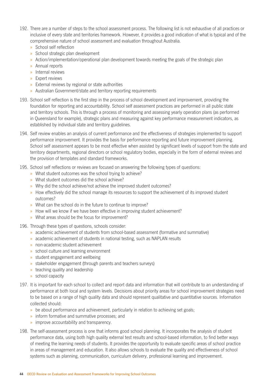- 192. There are a number of steps to the school assessment process. The following list is not exhaustive of all practices or inclusive of every state and territories framework. However, it provides a good indication of what is typical and of the comprehensive nature of school assessment and evaluation throughout Australia.
	- » School self reflection
	- » School strategic plan development
	- » Action/implementation/operational plan development towards meeting the goals of the strategic plan
	- » Annual reports
	- » Internal reviews
	- » Expert reviews
	- » External reviews by regional or state authorities
	- » Australian Government/state and territory reporting requirements
- 193. School self reflection is the first step in the process of school development and improvement, providing the foundation for reporting and accountability. School self assessment practices are performed in all public state and territory schools. This is through a process of monitoring and assessing yearly operation plans (as performed in Queensland for example), strategic plans and measuring against key performance measurement indicators, as established by individual state and territory guidelines.
- 194. Self review enables an analysis of current performance and the effectiveness of strategies implemented to support performance improvement. It provides the basis for performance reporting and future improvement planning. School self assessment appears to be most effective when assisted by significant levels of support from the state and territory departments, regional directors or school regulatory bodies, especially in the form of external reviews and the provision of templates and standard frameworks.
- 195. School self reflections or reviews are focused on answering the following types of questions:
	- » What student outcomes was the school trying to achieve?
	- » What student outcomes did the school achieve?
	- » Why did the school achieve/not achieve the improved student outcomes?
	- » How effectively did the school manage its resources to support the achievement of its improved student outcomes?
	- » What can the school do in the future to continue to improve?
	- » How will we know if we have been effective in improving student achievement?
	- » What areas should be the focus for improvement?
- 196. Through these types of questions, schools consider:
	- » academic achievement of students from school-based assessment (formative and summative)
	- » academic achievement of students in national testing, such as NAPLAN results
	- » non-academic student achievement
	- » school culture and learning environment
	- » student engagement and wellbeing
	- » stakeholder engagement (through parents and teachers surveys)
	- » teaching quality and leadership
	- » school capacity
- 197. It is important for each school to collect and report data and information that will contribute to an understanding of performance at both local and system levels. Decisions about priority areas for school improvement strategies need to be based on a range of high quality data and should represent qualitative and quantitative sources. Information collected should:
	- » be about performance and achievement, particularly in relation to achieving set goals;
	- » inform formative and summative processes; and
	- » improve accountability and transparency.
- 198. The self-assessment process is one that informs good school planning. It incorporates the analysis of student performance data, using both high quality external test results and school-based information, to find better ways of meeting the learning needs of students. It provides the opportunity to evaluate specific areas of school practice in areas of management and education. It also allows schools to evaluate the quality and effectiveness of school systems such as planning, communication, curriculum delivery, professional learning and improvement.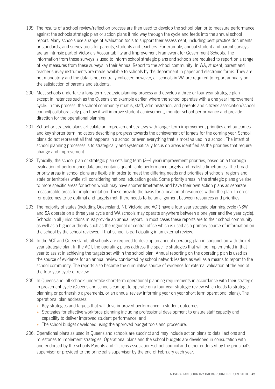- 199. The results of a school review/reflection process are then used to develop the school plan or to measure performance against the schools strategic plan or action plans if mid way through the cycle and feeds into the annual school report. Many schools use a range of evaluation tools to support their assessment, including best practice documents or standards, and survey tools for parents, students and teachers. For example, annual student and parent surveys are an intrinsic part of Victoria's Accountability and Improvement Framework for Government Schools. The information from these surveys is used to inform school strategic plans and schools are required to report on a range of key measures from these surveys in their Annual Report to the school community. In WA, student, parent and teacher survey instruments are made available to schools by the department in paper and electronic forms. They are not mandatory and the data is not centrally collected however, all schools in WA are required to report annually on the satisfaction of parents and students.
- 200. Most schools undertake a long term strategic planning process and develop a three or four year strategic plan except in instances such as the Queensland example earlier, where the school operates with a one year improvement cycle. In this process, the school community (that is, staff, administration, and parents and citizens association/school council) collaboratively plan how it will improve student achievement, monitor school performance and provide direction for the operational planning.
- 201. School or strategic plans articulate an improvement strategy with longer-term improvement priorities and outcomes and key shorter-term indicators describing progress towards the achievement of targets for the coming year. School plans do not represent all that happens in a school or even everything that is most valued in a school. The intent of school planning processes is to strategically and systematically focus on areas identified as the priorities that require change and improvement.
- 202. Typically, the school plan or strategic plan sets long term (3–4 year) improvement priorities, based on a thorough evaluation of performance data and contains quantifiable performance targets and realistic timeframes. The broad priority areas in school plans are flexible in order to meet the differing needs and priorities of schools, regions and state or territories while still considering national education goals. Some priority areas in the strategic plans give rise to more specific areas for action which may have shorter timeframes and have their own action plans as separate measureable areas for implementation. These provide the basis for allocation of resources within the plan. In order for outcomes to be optimal and targets met, there needs to be an alignment between resources and priorities.
- 203. The majority of states (including Queensland, NT, Victoria and ACT) have a four year strategic planning cycle (NSW and SA operate on a three year cycle and WA schools may operate anywhere between a one year and five year cycle). Schools in all jurisdictions must provide an annual report. In most cases these reports are to their school community as well as a higher authority such as the regional or central office which is used as a primary source of information on the school by the school reviewer, if that school is participating in an external review.
- 204. In the ACT and Queensland, all schools are required to develop an annual operating plan in conjunction with their 4 year strategic plan. In the ACT, the operating plans address the specific strategies that will be implemented in that year to assist in achieving the targets set within the school plan. Annual reporting on the operating plan is used as the source of evidence for an annual review conducted by school network leaders as well as a means to report to the school community. The reports also become the cumulative source of evidence for external validation at the end of the four year cycle of review.
- 205. In Queensland, all schools undertake short-term operational planning requirements in accordance with their strategic improvement cycle (Queensland schools can opt to operate on a four year strategic review which leads to strategic planning or partnership agreements, or an annual review informing year on year short term operational plans). The operational plan addresses:
	- » Key strategies and targets that will drive improved performance in student outcomes;
	- » Strategies for effective workforce planning including professional development to ensure staff capacity and capability to deliver improved student performance; and
	- » The school budget developed using the approved budget tools and procedure.
- 206. Operational plans as used in Queensland schools are succinct and may include action plans to detail actions and milestones to implement strategies. Operational plans and the school budgets are developed in consultation with and endorsed by the schools Parents and Citizens association/school council and either endorsed by the principal's supervisor or provided to the principal's supervisor by the end of February each year.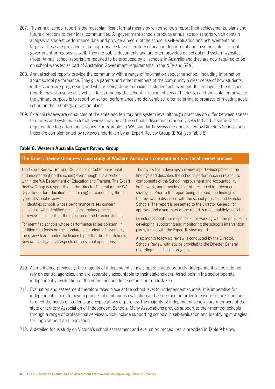- 207. The annual school report is the most significant formal means by which schools report their achievements, plans and future directions to their local communities. All government schools produce annual school reports which contain analysis of student performance data and provide a record of the school's self-evaluation and achievements on targets. These are provided to the appropriate state or territory education department and in some states to local government or regions as well. They are public documents and are often provided on school and system websites. (Note: Annual school reports are required to be produced by all schools in Australia and they are now required to be on school websites as part of Australian Government requirements in the NEA and *SAA*.)
- 208. Annual school reports provide the community with a range of information about the school, including information about school performance. They give parents and other members of the community a clear sense of how students in the school are progressing and what is being done to maximise student achievement. It is recognised that school reports may also serve as a vehicle for promoting the school. This can influence the design and presentation however the primary purpose is to report on school performance and deliverables, often referring to progress of meeting goals set out in their strategic or action plans.
- 209. External reviews are conducted at the state and territory and system level although practices do differ between states/ territories and systems. External reviews may be at the school's discretion, randomly selected and in some cases, required due to performance issues. For example, in WA, standard reviews are undertaken by Directors Schools and these are complemented by reviews undertaken by an Expert Review Group (ERG) (see Table 8).

#### **Table 8: Western Australia Expert Review Group**

#### **The Expert Review Group—A case study of Western Australia's commitment to critical review process**

The Expert Review Group (ERG) is considered to be external and independent (to the school) even though it is a section within the WA Department of Education and Training. The Expert Review Group is responsible to the Director General (of the WA Department for Education and Training) for conducting three types of school review:

- » identifies schools whose performance raises concern
- » schools with identified areas of exemplary practice
- » reviews of schools at the direction of the Director General.

For identified schools whose performance raises concern, in addition to a focus on the standards of student achievement, the review team, under the leadership of the Director, Schools Review investigates all aspects of the school operations.

The review team develops a review report which presents the findings and describes the school's performance in relation to components of the School Improvement and Accountability Framework, and provides a set of prescribed improvement strategies. Prior to the report being finalised, the findings of the review are discussed with the school principal and Director Schools. The report is presented to the Director General for approval and a summary of the report is made publicly available.

Directors Schools are responsible for working with the principal in developing, supporting and monitoring the school's intervention plans, in line with the Expert Review report.

A six month follow up review is conducted by the Director, Schools Review with advice provided to the Director General regarding the school's progress.

- 210. As mentioned previously, the majority of independent schools operate autonomously. Independent schools do not rely on central agencies, and are separately accountable to their stakeholders. As schools in the sector operate independently, evaluation of the entire independent sector is not undertaken.
- 211. Evaluation and assessment therefore takes place at the school level for independent schools. It is imperative for independent school to have a process of continuous evaluation and assessment in order to ensure schools continue to meet the needs of students and expectations of parents. The majority of independent schools are members of their state or territory Association of Independent Schools. Many Associations provide support to their member schools through a range of professional services which include supporting schools in self-evaluation and identifying strategies for improvement and innovation.
- 212. A detailed focus study on Victoria's school assessment and evaluation procedures is provided in Table 9 below.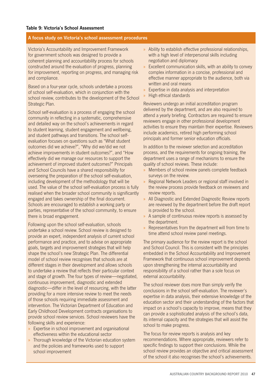#### **A focus study on Victoria's school assessment procedures**

Victoria's Accountability and Improvement Framework for government schools was designed to provide a coherent planning and accountability process for schools constructed around the evaluation of progress, planning for improvement, reporting on progress, and managing risk and compliance.

Based on a four-year cycle, schools undertake a process of school self-evaluation, which in conjunction with the school review, contributes to the development of the School Strategic Plan.

School self-evaluation is a process of engaging the school community in reflecting in a systematic, comprehensive and detailed way on the school's achievements in regard to student learning, student engagement and wellbeing, and student pathways and transitions. The school selfevaluation focuses on questions such as "What student outcomes did we achieve?", "Why did we/did we not achieve improvements in student outcomes?", and "How effectively did we manage our resources to support the achievement of improved student outcomes?" Principals and School Councils have a shared responsibility for overseeing the preparation of the school self-evaluation, including development of the methodology that will be used. The value of the school self-evaluation process is fully realised when the broader school community is significantly engaged and takes ownership of the final document. Schools are encouraged to establish a working party or parties, representative of the school community, to ensure there is broad engagement.

Following upon the school self-evaluation, schools undertake a school review. School review is designed to provide an expert, independent analysis of current school performance and practice, and to advise on appropriate goals, targets and improvement strategies that will help shape the school's new Strategic Plan. The differential model of school review recognises that schools are at different stages in their development and allows schools to undertake a review that reflects their particular context and stage of growth. The four types of review—negotiated, continuous improvement, diagnostic and extended diagnostic—differ in the level of resourcing, with the latter providing for a more intensive review to meet the needs of those schools requiring immediate assessment and intervention. The Victorian Department of Education and Early Childhood Development contracts organisations to provide school review services. School reviewers have the following skills and experience:

- » Expertise in school improvement and organisational effectiveness within the educational sector
- » Thorough knowledge of the Victorian education system and the policies and frameworks used to support school improvement
- » Ability to establish effective professional relationships, with a high level of interpersonal skills including negotiation and diplomacy
- » Excellent communication skills, with an ability to convey complex information in a concise, professional and effective manner appropriate to the audience, both via written and oral means
- » Expertise in data analysis and interpretation
- » High ethical standards

Reviewers undergo an initial accreditation program delivered by the department, and are also required to attend a yearly briefing. Contractors are required to ensure reviewers engage in other professional development activities to ensure they maintain their expertise. Reviewers include academics, retired high performing school principals and former senior education officials.

In addition to the reviewer selection and accreditation process, and the requirements for ongoing training, the department uses a range of mechanisms to ensure the quality of school reviews. These include:

- » Members of school review panels complete feedback surveys on the review.
- » Regional Network Leaders or regional staff involved in the review process provide feedback on reviewers and review reports.
- » All Diagnostic and Extended Diagnostic Review reports are reviewed by the department before the draft report is provided to the school.
- » A sample of continuous review reports is assessed by the department.
- » Representatives from the department will from time to time attend school review panel meetings.

The primary audience for the review report is the school and School Council. This is consistent with the principles embedded in the School Accountability and Improvement Framework that continuous school improvement depends upon strengthening the internal accountability and responsibility of a school rather than a sole focus on external accountability.

The school reviewer does more than simply verify the conclusions in the school self-evaluation. The reviewer's expertise in data analysis, their extensive knowledge of the education sector and their understanding of the factors that impact on a school's capacity to improve, means that they can provide a sophisticated analysis of the school's data, its internal capacity and the strategies that will assist the school to make progress.

The focus for review reports is analysis and key recommendations. Where appropriate, reviewers refer to specific findings to support their conclusions. While the school review provides an objective and critical assessment of the school it also recognises the school's achievements.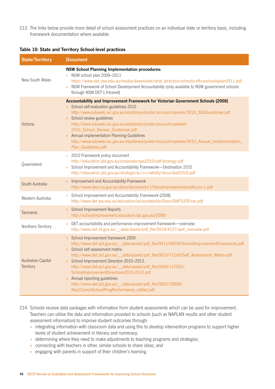213. The links below provide more detail of school assessment practices on an individual state or territory basis, including framework documentation where available.

#### **Table 10: State and Territory School-level practices**

| <b>State/Territory</b>          | <b>Document</b>                                                                                                                                                                                                                                                                                                                                                                                                                                                                                                                                                                                                    |
|---------------------------------|--------------------------------------------------------------------------------------------------------------------------------------------------------------------------------------------------------------------------------------------------------------------------------------------------------------------------------------------------------------------------------------------------------------------------------------------------------------------------------------------------------------------------------------------------------------------------------------------------------------------|
| New South Wales                 | <b>NSW School Planning Implementation procedures:</b><br>NSW school plan 2009-2011<br>https://www.det.nsw.edu.au/media/downloads/strat_direction/schools/officeschoolsplan0911.pdf<br>NSW Framework of School Development Accountability (only available to NSW government schools<br>$\gg$<br>through NSW DET's Intranet)                                                                                                                                                                                                                                                                                         |
| Victoria                        | Accountability and Improvement Framework for Victorian Government Schools (2008)<br>School self-evaluation guidelines 2010<br>http://www.eduweb.vic.gov.au/edulibrary/public/account/operate/2010_SSEGuidelines.pdf<br>School review guidelines<br>$\mathcal{D}^{\mathcal{E}}$<br>http://www.eduweb.vic.gov.au/edulibrary/public/account/operate/<br>2010_School_Review_Guidelines.pdf<br>Annual implementation Planning Guidelines<br>$\gg$<br>http://www.eduweb.vic.gov.au/edulibrary/public/account/operate/2010_Annual_Implementation_<br>Plan_Guidelines.pdf                                                  |
| Queensland                      | 2010 Framework policy document<br>$\gg$<br>http://education.qld.gov.au/corporate/qse2010/pdf/strategy.pdf<br>School Improvement and Accountability Framework-Destination 2010<br>$\gg$<br>http://education.qld.gov.au/strategic/accountability/docs/dest2010.pdf                                                                                                                                                                                                                                                                                                                                                   |
| South Australia                 | Improvement and Accountability Framework<br>$\gg$<br>http://www.decs.sa.gov.au/docs/documents/1/DecsImprovementandAccou-1.pdf                                                                                                                                                                                                                                                                                                                                                                                                                                                                                      |
| Western Australia               | School Improvement and Accountability Framework (2008)<br>$\gg$<br>http://www.det.wa.edu.au/education/accountability/Docs/SIAF%20Final.pdf                                                                                                                                                                                                                                                                                                                                                                                                                                                                         |
| Tasmania                        | <b>School Improvement Reports</b><br>$\gg$<br>http://schoolimprovement.education.tas.gov.au/2008/                                                                                                                                                                                                                                                                                                                                                                                                                                                                                                                  |
| Northern Territory              | DET accountability and performance improvement framework-overview:<br>$\gg$<br>http://www.det.nt.gov.au/__data/assets/pdf_file/0014/4127/apif_overview.pdf                                                                                                                                                                                                                                                                                                                                                                                                                                                         |
| Australian Capital<br>Territory | School Improvement framework 2009<br>$\gg$<br>http://www.det.act.gov.au/__data/assets/pdf_file/0011/64298/SchoolImprovementFramework.pdf<br>School self assessment matrix<br>$\mathbf{v}$<br>http://www.det.act.gov.au/__data/assets/pdf_file/0015/71160/Self_Assessment_Matrix.pdf<br>School Improvement Direction 2010-2013.<br>http://www.det.act.gov.au/__data/assets/pdf_file/0003/117552/<br>SchoolImprovementDirections2010-2013.pdf<br>Annual reporting guidelines<br>$\mathbb{R}^{\mathbb{Z}}$<br>http://www.det.act.gov.au/_data/assets/pdf_file/0003/19506/<br>Rep2CommSchoolProgPerformance_edited.pdf |

- 214. Schools receive data packages with information from student assessments which can be used for improvement. Teachers can utilise the data and information provided to schools (such as NAPLAN results and other student assessment information) to improve student outcomes through:
	- » integrating information with classroom data and using this to develop intervention programs to support higher levels of student achievement in literacy and numeracy;
	- » determining where they need to make adjustments to teaching programs and strategies;
	- » connecting with teachers in other, similar schools to share ideas; and
	- » engaging with parents in support of their children's learning.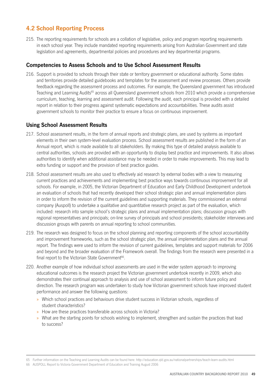# **4.2 School Reporting Process**

215. The reporting requirements for schools are a collation of legislative, policy and program reporting requirements in each school year. They include mandated reporting requirements arising from Australian Government and state legislation and agreements, departmental policies and procedures and key departmental programs.

## **Competencies to Assess Schools and to Use School Assessment Results**

216. Support is provided to schools through their state or territory government or educational authority. Some states and territories provide detailed guidebooks and templates for the assessment and review processes. Others provide feedback regarding the assessment process and outcomes. For example, the Queensland government has introduced Teaching and Learning Audits<sup>65</sup> across all Queensland government schools from 2010 which provide a comprehensive curriculum, teaching, learning and assessment audit. Following the audit, each principal is provided with a detailed report in relation to their progress against systematic expectations and accountabilities. These audits assist government schools to monitor their practice to ensure a focus on continuous improvement.

## **Using School Assessment Results**

- 217. School assessment results, in the form of annual reports and strategic plans, are used by systems as important elements in their own system-level evaluation process. School assessment results are published in the form of an Annual report, which is made available to all stakeholders. By making this type of detailed analysis available to central authorities, schools are provided with an opportunity to display best practice and improvements. It also allows authorities to identify when additional assistance may be needed in order to make improvements. This may lead to extra funding or support and the provision of best practice guides.
- 218. School assessment results are also used to effectively aid research by external bodies with a view to measuring current practices and achievements and implementing best practice ways towards continuous improvement for all schools. For example, in 2005, the Victorian Department of Education and Early Childhood Development undertook an evaluation of schools that had recently developed their school strategic plan and annual implementation plans in order to inform the revision of the current guidelines and supporting materials. They commissioned an external company (Auspoll) to undertake a qualitative and quantitative research project as part of the evaluation, which included: research into sample school's strategic plans and annual implementation plans; discussion groups with regional representatives and principals; on-line survey of principals and school presidents; stakeholder interviews and discussion groups with parents on annual reporting to school communities.
- 219. The research was designed to focus on the school planning and reporting components of the school accountability and improvement frameworks, such as the school strategic plan, the annual implementation plans and the annual report. The findings were used to inform the revision of current guidelines, templates and support materials for 2006 and beyond and the broader evaluation of the Framework overall. The findings from the research were presented in a final report to the Victorian State Government<sup>66</sup>.
- 220. Another example of how individual school assessments are used in the wider system approach to improving educational outcomes is the research project the Victorian government undertook recently in 2009, which also demonstrates their continual approach to analysis and use of school assessment to inform future policy and direction. The research program was undertaken to study how Victorian government schools have improved student performance and answer the following questions:
	- » Which school practices and behaviours drive student success in Victorian schools, regardless of student characteristics?
	- » How are these practices transferable across schools in Victoria?
	- » What are the starting points for schools wishing to implement, strengthen and sustain the practices that lead to success?

66 AUSPOLL Report to Victoria Government Department of Education and Training August 2006

<sup>65</sup> Further information on the Teaching and Learning Audits can be found here: http://education.qld.gov.au/nationalpartnerships/teach-learn-audits.html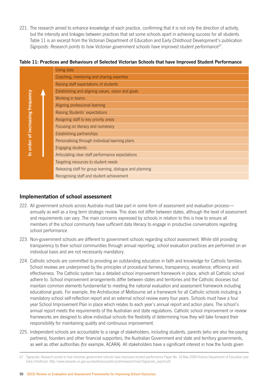221. The research aimed to enhance knowledge of each practice, confirming that it is not only the direction of activity, but the intensity and linkages between practices that set some schools apart in achieving success for all students. Table 11 is an excerpt from the Victorian Department of Education and Early Childhood Development's publication *Signposts: Research points to how Victorian government schools have improved student performance*67.

**Table 11: Practices and Behaviours of Selected Victorian Schools that have Improved Student Performance**

|                                  | Using data                                                |
|----------------------------------|-----------------------------------------------------------|
|                                  | Coaching, mentoring and sharing expertise                 |
|                                  | Raising staff expectations of students                    |
|                                  | Establishing and aligning values, vision and goals        |
|                                  | Working in teams                                          |
|                                  | Aligning professional learning                            |
|                                  | Raising Students' expectations                            |
| In order of increasing frequency | Assigning staff to key priority areas                     |
|                                  | Focusing on literacy and numeracy                         |
|                                  | Establishing partnerships                                 |
|                                  | Personalising through individual learning plans           |
|                                  | Engaging students                                         |
|                                  | Articulating clear staff performance expectations         |
|                                  | Targeting resources to student needs                      |
|                                  | Releasing staff for group learning, dialogue and planning |
|                                  | Recognising staff and student achievement                 |

## **Implementation of school assessment**

- 222. All government schools across Australia must take part in some form of assessment and evaluation process annually as well as a long term strategic review. This does not differ between states, although the level of assessment and requirements can vary. The main concerns expressed by schools in relation to this is how to ensure all members of the school community have sufficient data literacy to engage in productive conversations regarding school performance.
- 223. Non-government schools are different to government schools regarding school assessment. While still providing transparency to their school communities through annual reporting, school evaluation practices are performed on an individual basis and are not necessarily mandatory.
- 224. Catholic schools are committed to providing an outstanding education in faith and knowledge for Catholic families. School reviews are underpinned by the principles of procedural fairness, transparency, excellence, efficiency and effectiveness. The Catholic system has a detailed school improvement framework in place, which all Catholic school adhere to. School improvement arrangements differ between states and territories and the Catholic dioceses but maintain common elements fundamental to meeting the national evaluation and assessment framework including educational goals. For example, the Archdiocese of Melbourne set a framework for all Catholic schools including a mandatory school self-reflection report and an external school review every four years. Schools must have a four year School Improvement Plan in place which relates to each year's annual report and action plans. The school's annual report meets the requirements of the Australian and state regulations. Catholic school improvement or review frameworks are designed to allow individual schools the flexibility of determining how they will take forward their responsibility for maintaining quality and continuous improvement.
- 225. Independent schools are accountable to a range of stakeholders, including students, parents (who are also fee-paying partners), founders and other financial supporters, the Australian Government and state and territory governments, as well as other authorities (for example, ACARA). All stakeholders have a significant interest in how the funds given

<sup>67</sup> Signposts: Research points to how Victorian government schools have improved student performance Paper No. 16 May 2009 Victoria Department of Education and Early Childhood: http://www.eduweb.vic.gov.au/edulibrary/public/publ/research/nws/Signposts\_report.pdf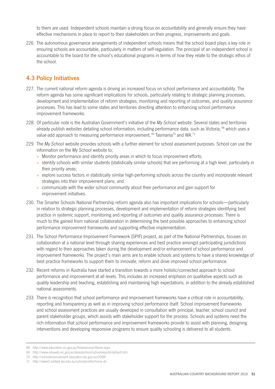to them are used. Independent schools maintain a strong focus on accountability and generally ensure they have effective mechanisms in place to report to their stakeholders on their progress, improvements and goals.

226. The autonomous governance arrangements of independent schools means that the school board plays a key role in ensuring schools are accountable, particularly in matters of self-regulation. The principal of an independent school is accountable to the board for the school's educational programs in terms of how they relate to the strategic ethos of the school.

# **4.3 Policy Initiatives**

- 227. The current national reform agenda is driving an increased focus on school performance and accountability. The reform agenda has some significant implications for schools, particularly relating to strategic planning processes, development and implementation of reform strategies, monitoring and reporting of outcomes, and quality assurance processes. This has lead to some states and territories directing attention to enhancing school performance improvement frameworks.
- 228. Of particular note is the Australian Government's initiative of the *My School* website. Several states and territories already publish websites detailing school information, including performance data, such as Victoria, <sup>68</sup> which uses a value-add approach to measuring performance improvement, <sup>69</sup> Tasmania<sup>70</sup> and WA.<sup>71</sup>
- 229. The *My School* website provides schools with a further element for school assessment purposes. School can use the information on the *My School* website to;
	- » Monitor performance and identify priority areas in which to focus improvement efforts;
	- » identify schools with similar students (statistically similar schools) that are performing at a high level, particularly in their priority areas;
	- » explore success factors in statistically similar high-performing schools across the country and incorporate relevant strategies into their improvement plans; and
	- » communicate with the wider school community about their performance and gain support for improvement initiatives.
- 230. The Smarter Schools National Partnership reform agenda also has important implications for schools—particularly in relation to strategic planning processes, development and implementation of reform strategies identifying best practice in systemic support, monitoring and reporting of outcomes and quality assurance processes. There is much to the gained from national collaboration in determining the best possible approaches to enhancing school performance improvement frameworks and supporting effective implementation.
- 231. The School Performance Improvement Framework (SPIF) project, as part of the National Partnerships, focuses on collaboration at a national level through sharing experiences and best practice amongst participating jurisdictions with regard to their approaches taken during the development and/or enhancement of school performance and improvement frameworks. The project's main aims are to enable schools and systems to have a shared knowledge of best practice frameworks to support them to innovate, reform and drive improved school performance.
- 232. Recent reforms in Australia have started a transition towards a more holistic/connected approach to school performance and improvement at all levels. This includes an increased emphasis on qualitative aspects such as quality leadership and teaching, establishing and maintaining high expectations, in addition to the already established national assessments.
- 233. There is recognition that school performance and improvement frameworks have a critical role in accountability, reporting and transparency as well as in improving school performance itself. School improvement frameworks and school assessment practices are usually developed in consultation with principal, teacher, school council and parent stakeholder groups, which assists with stakeholder support for the process. Schools and systems need the rich information that school performance and improvement frameworks provide to assist with planning, designing interventions and developing responsive programs to ensure quality schooling is delivered to all students.

<sup>68</sup> http://www.education.vic.gov.au/findaservice/Home.aspx

<sup>69</sup> http://www.eduweb.vic.gov.au/aboutschool/schoolreports/default.htm

<sup>70</sup> http://schoolimprovement.education.tas.gov.au/2008/

<sup>71</sup> http://www2.eddept.wa.edu.au/schoolprofile/home.do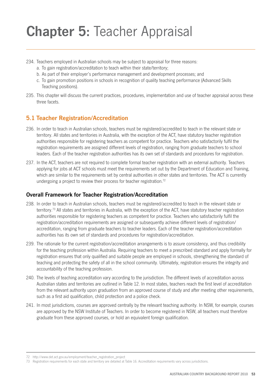# **Chapter 5:** Teacher Appraisal

- 234. Teachers employed in Australian schools may be subject to appraisal for three reasons:
	- a. To gain registration/accreditation to teach within their state/territory;
	- b. As part of their employer's performance management and development processes; and
	- c. To gain promotion positions in schools in recognition of quality teaching performance (Advanced Skills Teaching positions).
- 235. This chapter will discuss the current practices, procedures, implementation and use of teacher appraisal across these three facets.

# **5.1 Teacher Registration/Accreditation**

- 236. In order to teach in Australian schools, teachers must be registered/accredited to teach in the relevant state or territory. All states and territories in Australia, with the exception of the ACT, have statutory teacher registration authorities responsible for registering teachers as competent for practice. Teachers who satisfactorily fulfil the registration requirements are assigned different levels of registration, ranging from graduate teachers to school leaders. Each of the teacher registration authorities has its own set of standards and procedures for registration.
- 237. In the ACT, teachers are not required to complete formal teacher registration with an external authority. Teachers applying for jobs at ACT schools must meet the requirements set out by the Department of Education and Training, which are similar to the requirements set by central authorities in other states and territories. The ACT is currently undergoing a project to review their process for teacher registration.<sup>72</sup>

## **Overall Framework for Teacher Registration/Accreditation**

- 238. In order to teach in Australian schools, teachers must be registered/accredited to teach in the relevant state or territory.73 All states and territories in Australia, with the exception of the ACT, have statutory teacher registration authorities responsible for registering teachers as competent for practice. Teachers who satisfactorily fulfil the registration/accreditation requirements are assigned or subsequently achieve different levels of registration/ accreditation, ranging from graduate teachers to teacher leaders. Each of the teacher registration/accreditation authorities has its own set of standards and procedures for registration/accreditation.
- 239. The rationale for the current registration/accreditation arrangements is to assure consistency, and thus credibility for the teaching profession within Australia. Requiring teachers to meet a prescribed standard and apply formally for registration ensures that only qualified and suitable people are employed in schools, strengthening the standard of teaching and protecting the safety of all in the school community. Ultimately, registration ensures the integrity and accountability of the teaching profession.
- 240. The levels of teaching accreditation vary according to the jurisdiction. The different levels of accreditation across Australian states and territories are outlined in Table 12. In most states, teachers reach the first level of accreditation from the relevant authority upon graduation from an approved course of study and after meeting other requirements, such as a first aid qualification, child protection and a police check.
- 241. In most jurisdictions, courses are approved centrally by the relevant teaching authority. In NSW, for example, courses are approved by the NSW Institute of Teachers. In order to become registered in NSW, all teachers must therefore graduate from these approved courses, or hold an equivalent foreign qualification.

<sup>72</sup> http://www.det.act.gov.au/employment/teacher\_registration\_project

<sup>73</sup> Registration requirements for each state and territory are detailed at Table 16. Accreditation requirements vary across jurisdictions.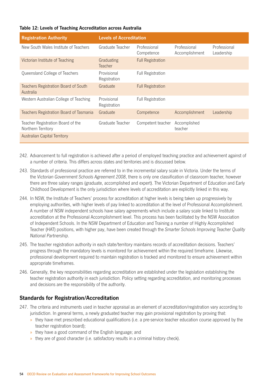#### **Table 12: Levels of Teaching Accreditation across Australia**

| <b>Registration Authority</b>                           | <b>Levels of Accreditation</b> |                            |                                |                            |  |
|---------------------------------------------------------|--------------------------------|----------------------------|--------------------------------|----------------------------|--|
| New South Wales Institute of Teachers                   | Graduate Teacher               | Professional<br>Competence | Professional<br>Accomplishment | Professional<br>Leadership |  |
| Victorian Institute of Teaching                         | Graduating<br><b>Teacher</b>   | <b>Full Registration</b>   |                                |                            |  |
| Queensland College of Teachers                          | Provisional<br>Registration    | <b>Full Registration</b>   |                                |                            |  |
| Teachers Registration Board of South<br>Australia       | Graduate                       | <b>Full Registration</b>   |                                |                            |  |
| Western Australian College of Teaching                  | Provisional<br>Registration    | <b>Full Registration</b>   |                                |                            |  |
| Teachers Registration Board of Tasmania                 | Graduate                       | Competence                 | Accomplishment                 | Leadership                 |  |
| Teacher Registration Board of the<br>Northern Territory | Graduate Teacher               | Competent teacher          | Accomplished<br>teacher        |                            |  |
| <b>Australian Capital Territory</b>                     |                                |                            |                                |                            |  |

- 242. Advancement to full registration is achieved after a period of employed teaching practice and achievement against of a number of criteria. This differs across states and territories and is discussed below.
- 243. Standards of professional practice are referred to in the incremental salary scale in Victoria. Under the terms of the *Victorian Government Schools Agreement 2008*, there is only one classification of classroom teacher, however there are three salary ranges (graduate, accomplished and expert). The Victorian Department of Education and Early Childhood Development is the only jurisdiction where levels of accreditation are explicitly linked in this way.
- 244. In NSW, the Institute of Teachers' process for accreditation at higher levels is being taken up progressively by employing authorities, with higher levels of pay linked to accreditation at the level of Professional Accomplishment. A number of NSW independent schools have salary agreements which include a salary scale linked to Institute accreditation at the Professional Accomplishment level. This process has been facilitated by the NSW Association of Independent Schools. In the NSW Department of Education and Training a number of Highly Accomplished Teacher (HAT) positions, with higher pay, have been created through the *Smarter Schools Improving Teacher Quality National Partnership*.
- 245. The teacher registration authority in each state/territory maintains records of accreditation decisions. Teachers' progress through the mandatory levels is monitored for achievement within the required timeframe. Likewise, professional development required to maintain registration is tracked and monitored to ensure achievement within appropriate timeframes.
- 246. Generally, the key responsibilities regarding accreditation are established under the legislation establishing the teacher registration authority in each jurisdiction. Policy setting regarding accreditation, and monitoring processes and decisions are the responsibility of the authority.

### **Standards for Registration/Accreditation**

- 247. The criteria and instruments used in teacher appraisal as an element of accreditation/registration vary according to jurisdiction. In general terms, a newly graduated teacher may gain provisional registration by proving that:
	- » they have met prescribed educational qualifications (i.e. a pre-service teacher education course approved by the teacher registration board);
	- » they have a good command of the English language; and
	- » they are of good character (i.e. satisfactory results in a criminal history check).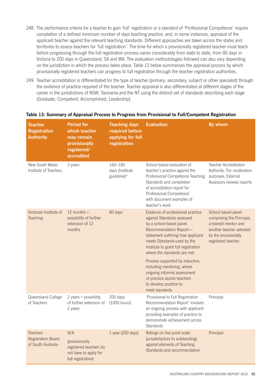- 248. The performance criteria for a teacher to gain 'full' registration or a standard of 'Professional Competence' require completion of a defined minimum number of days teaching practice, and, in some instances, appraisal of the applicant teacher against the relevant teaching standards. Different approaches are taken across the states and territories to assess teachers for 'full registration'. The time for which a provisionally registered teacher must teach before progressing through the full registration process varies considerably from state to state, from 80 days in Victoria to 200 days in Queensland, SA and WA. The evaluation methodologies followed can also vary depending on the jurisdiction in which the process takes place. Table 13 below summarises the appraisal process by which provisionally registered teachers can progress to full registration through the teacher registration authorities.
- 249. Teacher accreditation is differentiated for the type of teacher (primary, secondary, subject or other specialist) through the evidence of practice required of the teacher. Teacher appraisal is also differentiated at different stages of the career in the jurisdictions of NSW, Tasmania and the NT using the distinct set of standards describing each stage (Graduate, Competent, Accomplished, Leadership).

| <b>Teacher</b><br><b>Registration</b><br><b>Authority</b>          | <b>Period for</b><br>which teacher<br>may remain<br>provisionally<br>registered/<br>accredited | <b>Teaching days</b><br>required before<br>applying for full<br>registration | <b>Evaluation</b>                                                                                                                                                                                                                                                                                                                                                                                                                              | By whom                                                                                                                                            |
|--------------------------------------------------------------------|------------------------------------------------------------------------------------------------|------------------------------------------------------------------------------|------------------------------------------------------------------------------------------------------------------------------------------------------------------------------------------------------------------------------------------------------------------------------------------------------------------------------------------------------------------------------------------------------------------------------------------------|----------------------------------------------------------------------------------------------------------------------------------------------------|
| New South Wales<br>Institute of Teachers                           | 3 years                                                                                        | 160-180<br>days (Institute<br>guideline)*                                    | School based evaluation of<br>teacher's practice against the<br>Professional Competence Teaching<br>Standards and completion<br>of accreditation report for<br>Professional Competence'<br>with document examples of<br>teacher's work.                                                                                                                                                                                                        | Teacher Accreditation<br>Authority. For moderation<br>purposes, External<br>Assessors reviews reports                                              |
| Victorian Institute of<br>Teaching                                 | 12 months $+$<br>possibility of further<br>extension of 12<br>months                           | 80 days                                                                      | Evidence of professional practice<br>against Standards assessed<br>by a school-based panel.<br>Recommendation Report-<br>statement outlining how applicant<br>meets Standards-used by the<br>Institute to grant full registration<br>where the standards are met.<br>Process supported by induction,<br>including mentoring, where<br>ongoing informal assessment<br>of practice assists teachers<br>to develop practice to<br>meet standards. | School based panel<br>comprising the Principal,<br>a trained mentor and<br>another teacher selected<br>by the provisionally<br>registered teacher. |
| Queensland College<br>of Teachers                                  | 2 years + possibility<br>of further extension of<br>2 years                                    | 200 days<br>(1000 hours)                                                     | 'Provisional to Full Registration<br>Recommendation Report' involves<br>an ongoing process with applicant<br>providing examples of practice to<br>demonstrate achievement across<br><b>Standards</b>                                                                                                                                                                                                                                           | Principal                                                                                                                                          |
| <b>Teachers</b><br><b>Registration Board</b><br>of South Australia | N/A<br>(provisionally<br>registered teachers do<br>not have to apply for<br>full registration) | 1 year (200 days)                                                            | Ratings on five point scale<br>(unsatisfactory to outstanding)<br>against elements of Teaching<br>Standards and recommendation                                                                                                                                                                                                                                                                                                                 | Principal                                                                                                                                          |

#### **Table 13: Summary of Appraisal Process to Progress from Provisional to Full/Competent Registration**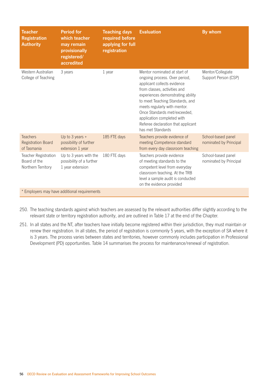| Teacher<br><b>Registration</b><br><b>Authority</b>                | <b>Period for</b><br>which teacher<br>may remain<br>provisionally<br>registered/<br>accredited | <b>Teaching days</b><br>required before<br>applying for full<br>registration | <b>Evaluation</b>                                                                                                                                                                                                                                                                                                                                             | By whom                                      |
|-------------------------------------------------------------------|------------------------------------------------------------------------------------------------|------------------------------------------------------------------------------|---------------------------------------------------------------------------------------------------------------------------------------------------------------------------------------------------------------------------------------------------------------------------------------------------------------------------------------------------------------|----------------------------------------------|
| Western Australian<br>College of Teaching                         | 3 years                                                                                        | 1 year                                                                       | Mentor nominated at start of<br>ongoing process. Over period,<br>applicant collects evidence<br>from classes, activities and<br>experiences demonstrating ability<br>to meet Teaching Standards, and<br>meets regularly with mentor.<br>Once Standards met/exceeded,<br>application completed with<br>Referee declaration that applicant<br>has met Standards | Mentor/Collegiate<br>Support Person (CSP)    |
| <b>Teachers</b><br><b>Registration Board</b><br>of Tasmania       | Up to $3$ years +<br>possibility of further<br>extension 1 year                                | 185 FTE days                                                                 | Teachers provide evidence of<br>meeting Competence standard<br>from every day classroom teaching                                                                                                                                                                                                                                                              | School-based panel<br>nominated by Principal |
| <b>Teacher Registration</b><br>Board of the<br>Northern Territory | Up to 3 years with the<br>possibility of a further<br>1 year extension                         | 180 FTE days                                                                 | Teachers provide evidence<br>of meeting standards to the<br>competent level from everyday<br>classroom teaching. At the TRB<br>level a sample audit is conducted<br>on the evidence provided                                                                                                                                                                  | School-based panel<br>nominated by Principal |
|                                                                   | * Employers may have additional requirements                                                   |                                                                              |                                                                                                                                                                                                                                                                                                                                                               |                                              |

- 250. The teaching standards against which teachers are assessed by the relevant authorities differ slightly according to the relevant state or territory registration authority, and are outlined in Table 17 at the end of the Chapter.
- 251. In all states and the NT, after teachers have initially become registered within their jurisdiction, they must maintain or renew their registration. In all states, the period of registration is commonly 5 years, with the exception of SA where it is 3 years. The process varies between states and territories, however commonly includes participation in Professional Development (PD) opportunities. Table 14 summarises the process for maintenance/renewal of registration.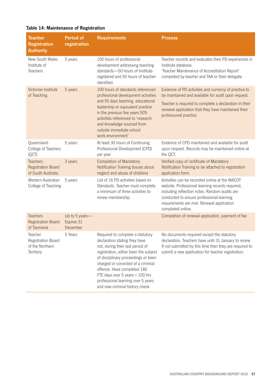|  | Table 14: Maintenance of Registration |  |  |
|--|---------------------------------------|--|--|
|--|---------------------------------------|--|--|

| Teacher<br><b>Registration</b><br><b>Authority</b>                 | <b>Period of</b><br>registration         | <b>Requirements</b>                                                                                                                                                                                                                                                                                                                                                   | <b>Process</b>                                                                                                                                                                                                                                                     |
|--------------------------------------------------------------------|------------------------------------------|-----------------------------------------------------------------------------------------------------------------------------------------------------------------------------------------------------------------------------------------------------------------------------------------------------------------------------------------------------------------------|--------------------------------------------------------------------------------------------------------------------------------------------------------------------------------------------------------------------------------------------------------------------|
| New South Wales<br>Institute of<br>Teachers                        | 5 years                                  | 100 hours of professional<br>development addressing teaching<br>standards-50 hours of Institute-<br>registered and 50 hours of teacher-<br>identified.                                                                                                                                                                                                                | Teacher records and evaluates their PD experiences in<br>Institute database.<br>'Teacher Maintenance of Accreditation Report'<br>completed by teacher and TAA or their delegate.                                                                                   |
| Victorian Institute<br>of Teaching                                 | 5 years                                  | 100 hours of standards referenced<br>professional development activities<br>and 50 days teaching, educational<br>leadership or equivalent practice<br>in the previous five years.50%<br>activities referenced to 'research<br>and knowledge sourced from<br>outside immediate school<br>work environment'                                                             | Evidence of PD activities and currency of practice to<br>be maintained and available for audit upon request.<br>Teacher is required to complete a declaration in their<br>renewal application that they have maintained their<br>professional practice.            |
| Queensland<br>College of Teachers<br>(QCT)                         | 5 years                                  | At least 30 hours of Continuing<br>Professional Development (CPD)<br>per year                                                                                                                                                                                                                                                                                         | Evidence of CPD maintained and available for audit<br>upon request. Records may be maintained online at<br>the QCT.                                                                                                                                                |
| <b>Teachers</b><br><b>Registration Board</b><br>of South Australia | 3 years                                  | <b>Completion of Mandatory</b><br>Notification Training (issues about<br>neglect and abuse of children)                                                                                                                                                                                                                                                               | Verified copy of certificate of Mandatory<br>Notification Training to be attached to registration<br>application form.                                                                                                                                             |
| Western Australian<br>College of Teaching                          | 5 years                                  | List of 16 PD activities based on<br>Standards. Teacher must complete<br>a minimum of three activities to<br>renew membership.                                                                                                                                                                                                                                        | Activities can be recorded online at the WACOT<br>website. Professional learning records required,<br>including reflection notes. Random audits are<br>conducted to ensure professional learning<br>requirements are met. Renewal application<br>completed online. |
| <b>Teachers</b><br><b>Registration Board</b><br>of Tasmania        | Up to 5 years-<br>Expires 31<br>December |                                                                                                                                                                                                                                                                                                                                                                       | Completion of renewal application, payment of fee                                                                                                                                                                                                                  |
| Teacher<br>Registration Board<br>of the Northern<br>Territory      | 5 Years                                  | Required to complete a statutory<br>declaration stating they have<br>not, during their last period of<br>registration, either been the subject<br>of disciplinary proceedings or been<br>charged or convicted of a criminal<br>offence. Have completed 180<br>FTE days over 5 years + 100 hrs<br>professional learning over 5 years<br>and new criminal history check | No documents required except the statutory<br>declaration. Teachers have until 31 January to renew.<br>If not submitted by this time then they are required to<br>submit a new application for teacher registration.                                               |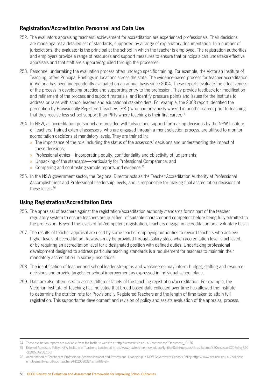## **Registration/Accreditation Personnel and Data Use**

- 252. The evaluators appraising teachers' achievement for accreditation are experienced professionals. Their decisions are made against a detailed set of standards, supported by a range of explanatory documentation. In a number of jurisdictions, the evaluator is the principal at the school in which the teacher is employed. The registration authorities and employers provide a range of resources and support measures to ensure that principals can undertake effective appraisals and that staff are supported/guided through the processes.
- 253. Personnel undertaking the evaluation process often undergo specific training. For example, the Victorian Institute of Teaching, offers Principal Briefings in locations across the state. The evidence-based process for teacher accreditation in Victoria has been independently evaluated on an annual basis since 2004. These reports evaluate the effectiveness of the process in developing practice and supporting entry to the profession. They provide feedback for modification and refinement of the process and support materials, and identify pressure points and issues for the Institute to address or raise with school leaders and educational stakeholders. For example, the 2008 report identified the perception by Provisionally Registered Teachers (PRT) who had previously worked in another career prior to teaching that they receive less school support than PRTs where teaching is their first career.<sup>74</sup>
- 254. In NSW, all accreditation personnel are provided with advice and support for making decisions by the NSW Institute of Teachers. Trained external assessors, who are engaged through a merit selection process, are utilised to monitor accreditation decisions at mandatory levels. They are trained in:
	- » The importance of the role including the status of the assessors' decisions and understanding the impact of these decisions;
	- » Professional ethics—incorporating equity, confidentiality and objectivity of judgements;
	- » Unpacking of the standards—particularly for Professional Competence; and
	- » Comparing and contrasting sample reports and evidence.<sup>75</sup>
- 255. In the NSW government sector, the Regional Director acts as the Teacher Accreditation Authority at Professional Accomplishment and Professional Leadership levels, and is responsible for making final accreditation decisions at these levels.76

## **Using Registration/Accreditation Data**

- 256. The appraisal of teachers against the registration/accreditation authority standards forms part of the teacher regulatory system to ensure teachers are qualified, of suitable character and competent before being fully admitted to the profession. Beyond the levels of full/competent registration, teachers engage in accreditation on a voluntary basis.
- 257. The results of teacher appraisal are used by some teacher employing authorities to reward teachers who achieve higher levels of accreditation. Rewards may be provided through salary steps when accreditation level is achieved, or by requiring an accreditation level for a designated position with defined duties. Undertaking professional development designed to address particular teaching standards is a requirement for teachers to maintain their mandatory accreditation in some jurisdictions.
- 258. The identification of teacher and school leader strengths and weaknesses may inform budget, staffing and resource decisions and provide targets for school improvement as expressed in individual school plans.
- 259. Data are also often used to assess different facets of the teaching registration/accreditation. For example, the Victorian Institute of Teaching has indicated that broad based data collected over time has allowed the Institute to determine the attrition rate for Provisionally Registered Teachers and the length of time taken to attain full registration. This supports the development and revision of policy and assists evaluation of the appraisal process.

<sup>74</sup> These evaluation reports are available from the Institute website at http://www.vit.vic.edu.au/content.asp?Document\_ID=26

<sup>75</sup> External Assessors Policy, NSW Institute of Teachers, Located at http://www.nswteachers.nsw.edu.au/IgnitionSuite/uploads/docs/External%20Assessor%20Policy%20 -%20Oct%2007.pdf

<sup>76</sup> Accreditation of Teachers at Professional Accomplishment and Professional Leadership in NSW Government Schools Policy https://www.det.nsw.edu.au/policies/ employment/recruit/acc\_teachers/PD20080384.shtml?level=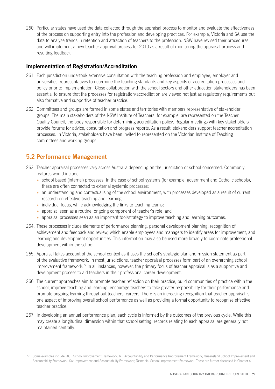260. Particular states have used the data collected through the appraisal process to monitor and evaluate the effectiveness of the process on supporting entry into the profession and developing practices. For example, Victoria and SA use the data to analyse trends in retention and attraction of teachers to the profession. NSW have revised their procedures and will implement a new teacher approval process for 2010 as a result of monitoring the appraisal process and resulting feedback.

## **Implementation of Registration/Accreditation**

- 261. Each jurisdiction undertook extensive consultation with the teaching profession and employee, employer and universities' representatives to determine the teaching standards and key aspects of accreditation processes and policy prior to implementation. Close collaboration with the school sectors and other education stakeholders has been essential to ensure that the processes for registration/accreditation are viewed not just as regulatory requirements but also formative and supportive of teacher practice.
- 262. Committees and groups are formed in some states and territories with members representative of stakeholder groups. The main stakeholders of the NSW Institute of Teachers, for example, are represented on the Teacher Quality Council, the body responsible for determining accreditation policy. Regular meetings with key stakeholders provide forums for advice, consultation and progress reports. As a result, stakeholders support teacher accreditation processes. In Victoria, stakeholders have been invited to represented on the Victorian Institute of Teaching committees and working groups.

# **5.2 Performance Management**

- 263. Teacher appraisal processes vary across Australia depending on the jurisdiction or school concerned. Commonly, features would include:
	- » school-based (internal) processes. In the case of school systems (for example, government and Catholic schools), these are often connected to external systemic processes;
	- » an understanding and contextualising of the school environment, with processes developed as a result of current research on effective teaching and learning;
	- » individual focus, while acknowledging the links to teaching teams;
	- » appraisal seen as a routine, ongoing component of teacher's role; and
	- » appraisal processes seen as an important tool/strategy to improve teaching and learning outcomes.
- 264. These processes include elements of performance planning, personal development planning, recognition of achievement and feedback and review, which enable employees and managers to identify areas for improvement, and learning and development opportunities. This information may also be used more broadly to coordinate professional development within the school.
- 265. Appraisal takes account of the school context as it uses the school's strategic plan and mission statement as part of the evaluative framework. In most jurisdictions, teacher appraisal processes form part of an overarching school improvement framework.77 In all instances, however, the primary focus of teacher appraisal is as a supportive and development process to aid teachers in their professional career development.
- 266. The current approaches aim to promote teacher reflection on their practice, build communities of practice within the school, improve teaching and learning, encourage teachers to take greater responsibility for their performance and promote ongoing learning throughout teachers' careers. There is an increasing recognition that teacher appraisal is one aspect of improving overall school performance as well as providing a formal opportunity to recognise effective teacher practice.
- 267. In developing an annual performance plan, each cycle is informed by the outcomes of the previous cycle. While this may create a longitudinal dimension within that school setting, records relating to each appraisal are generally not maintained centrally.

<sup>77</sup> Some examples include: ACT: School Improvement Framework; NT: Accountability and Performance Improvement Framework; Queensland School Improvement and Accountability Framework; SA: Improvement and Accountability Framework; Tasmania: School Improvement Framework. These are further discussed in Chapter 4.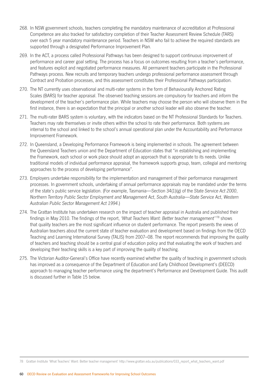- 268. In NSW government schools, teachers completing the mandatory maintenance of accreditation at Professional Competence are also tracked for satisfactory completion of their Teacher Assessment Review Schedule (TARS) over each 5 year mandatory maintenance period. Teachers in NSW who fail to achieve the required standards are supported through a designated Performance Improvement Plan.
- 269. In the ACT, a process called Professional Pathways has been designed to support continuous improvement of performance and career goal setting. The process has a focus on outcomes resulting from a teacher's performance, and features explicit and negotiated performance measures. All permanent teachers participate in the Professional Pathways process. New recruits and temporary teachers undergo professional performance assessment through Contract and Probation processes, and this assessment constitutes their Professional Pathways participation.
- 270. The NT currently uses observational and multi-rater systems in the form of Behaviourally Anchored Rating Scales (BARS) for teacher appraisal. The observed teaching sessions are compulsory for teachers and inform the development of the teacher's performance plan. While teachers may choose the person who will observe them in the first instance, there is an expectation that the principal or another school leader will also observe the teacher.
- 271. The multi-rater BARS system is voluntary, with the indicators based on the NT Professional Standards for Teachers. Teachers may rate themselves or invite others within the school to rate their performance. Both systems are internal to the school and linked to the school's annual operational plan under the Accountability and Performance Improvement Framework.
- 272. In Queensland, a Developing Performance Framework is being implemented in schools. The agreement between the Queensland Teachers union and the Department of Education states that "in establishing and implementing the Framework, each school or work place should adopt an approach that is appropriate to its needs. Unlike traditional models of individual performance appraisal, the framework supports group, team, collegial and mentoring approaches to the process of developing performance".
- 273. Employers undertake responsibility for the implementation and management of their performance management processes. In government schools, undertaking of annual performance appraisals may be mandated under the terms of the state's public service legislation. (For example, Tasmania—Section 34(1)(g) of the *State Service Act 2000*, *Northern Territory Public Sector Employment and Management Act*, *South Australia—State Service Act*, *Western Australian Public Sector Management Act 1994*.)
- 274. The Grattan Institute has undertaken research on the impact of teacher appraisal in Australia and published their findings in May 2010. The findings of the report, *'What Teachers Want: Better teacher management''*78 shows that quality teachers are the most significant influence on student performance. The report presents the views of Australian teachers about the current state of teacher evaluation and development based on findings from the OECD Teaching and Learning International Survey (TALIS) from 2007–08. The report recommends that improving the quality of teachers and teaching should be a central goal of education policy and that evaluating the work of teachers and developing their teaching skills is a key part of improving the quality of teaching.
- 275. The Victorian Auditor-General's Office have recently examined whether the quality of teaching in government schools has improved as a consequence of the Department of Education and Early Childhood Development's (DEECD) approach to managing teacher performance using the department's Performance and Development Guide. This audit is discussed further in Table 15 below.

78 Grattan Institute 'What Teachers' Want: Better teacher management' http://www.grattan.edu.au/publications/033\_report\_what\_teachers\_want.pdf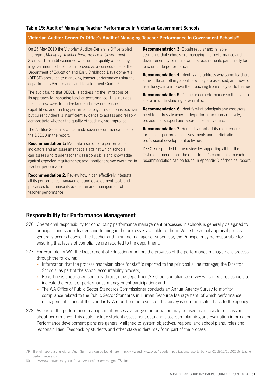#### **Victorian Auditor-General's Office's Audit of Managing Teacher Performance in Government Schools79**

On 26 May 2010 the Victorian Auditor-General's Office tabled the report *Managing Teacher Performance in Government Schools*. The audit examined whether the quality of teaching in government schools has improved as a consequence of the Department of Education and Early Childhood Development's (DEECD) approach to managing teacher performance using the department's Performance and Development Guide.10

The audit found that DEECD is addressing the limitations of its approach to managing teacher performance. This includes trialling new ways to understand and measure teacher capabilities, and trialling performance pay. This action is positive but currently there is insufficient evidence to assess and reliably demonstrate whether the quality of teaching has improved.

The Auditor-General's Office made seven recommendations to the DEECD in the report:

**Recommendation 1:** Mandate a set of core performance indicators and an assessment scale against which schools can assess and grade teacher classroom skills and knowledge against expected requirements; and monitor change over time in teacher performance.

**Recommendation 2:** Review how it can effectively integrate all its performance management and development tools and processes to optimise its evaluation and management of teacher performance.

**Recommendation 3:** Obtain regular and reliable assurance that schools are managing the performance and development cycle in line with its requirements particularly for teacher underperformance.

**Recommendation 4:** Identify and address why some teachers know little or nothing about how they are assessed, and how to use the cycle to improve their teaching from one year to the next.

**Recommendation 5:** Define underperformance so that schools share an understanding of what it is.

**Recommendation 6:** Identify what principals and assessors need to address teacher underperformance constructively, provide that support and assess its effectiveness.

**Recommendation 7:** Remind schools of its requirements for teacher performance assessments and participation in professional development activities.

DEECD responded to the review by supporting all but the first recommendation. The department's comments on each recommendation can be found in Appendix D of the final report.

## **Responsibility for Performance Management**

- 276. Operational responsibility for conducting performance management processes in schools is generally delegated to principals and school leaders and training in the process is available to them. While the actual appraisal process generally occurs between the teacher and their line manager or supervisor, the Principal may be responsible for ensuring that levels of compliance are reported to the department.
- 277. For example, in WA, the Department of Education monitors the progress of the performance management process through the following:
	- » Information that the process has taken place for staff is reported to the principal's line manager, the Director Schools, as part of the school accountability process;
	- » Reporting is undertaken centrally through the department's school compliance survey which requires schools to indicate the extent of performance management participation; and
	- » The WA Office of Public Sector Standards Commissioner conducts an Annual Agency Survey to monitor compliance related to the Public Sector Standards in Human Resource Management, of which performance management is one of the standards. A report on the results of the survey is communicated back to the agency.
- 278. As part of the performance management process, a range of information may be used as a basis for discussion about performance. This could include student assessment data and classroom planning and evaluation information. Performance development plans are generally aligned to system objectives, regional and school plans, roles and responsibilities. Feedback by students and other stakeholders may form part of the process.

<sup>79</sup> The full report, along with an Audit Summary can be found here: http://www.audit.vic.gov.au/reports\_\_publications/reports\_by\_year/2009-10/20102605\_teacher\_ performance.aspx

<sup>80</sup> http://www.eduweb.vic.gov.au/hrweb/workm/perform/pmgmntTS.htm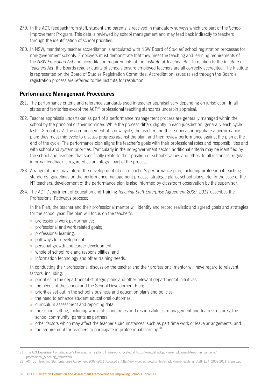- 279. In the ACT, feedback from staff, student and parents is received in mandatory surveys which are part of the School Improvement Program. This data is reviewed by school management and may feed back indirectly to teachers through the identification of school priorities.
- 280. In NSW, mandatory teacher accreditation is articulated with NSW Board of Studies' school registration processes for non-government schools. Employers must demonstrate that they meet the teaching and learning requirements of the *NSW Education Act* and accreditation requirements of the *Institute of Teachers Act*. In relation to the *Institute of Teachers Act*, the Boards regular audits of schools ensure employed teachers are all correctly accredited. The Institute is represented on the Board of Studies Registration Committee. Accreditation issues raised through the Board's registration process are referred to the Institute for resolution.

## **Performance Management Procedures**

- 281. The performance criteria and reference standards used in teacher appraisal vary depending on jurisdiction. In all states and territories except the ACT.<sup>81</sup> professional teaching standards underpin appraisal.
- 282. Teacher appraisals undertaken as part of a performance management process are generally managed within the school by the principal or their nominee. While the process differs slightly in each jurisdiction, generally each cycle lasts 12 months. At the commencement of a new cycle, the teacher and their supervisor negotiate a performance plan; they meet mid-cycle to discuss progress against the plan, and then review performance against the plan at the end of the cycle. The performance plan aligns the teacher's goals with their professional roles and responsibilities and with school and system priorities. Particularly in the non-government sector, additional criteria may be identified by the school and teachers that specifically relate to their position or school's values and ethos. In all instances, regular informal feedback is regarded as an integral part of the process.
- 283. A range of tools may inform the development of each teacher's performance plan, including professional teaching standards, guidelines on the performance management process, strategic plans, school plans, etc. In the case of the NT teachers, development of the performance plan is also informed by classroom observation by the supervisor.
- 284. The ACT Department of Education and Training *Teaching Staff Enterprise Agreement 2009–2011* describes the Professional Pathways process:

In the Plan, the teacher and their professional mentor will identify and record realistic and agreed goals and strategies for the school year. The plan will focus on the teacher's:

- » professional work performance;
- » professional and work related goals;
- » professional learning;
- » pathways for development;
- » personal growth and career development;
- » whole of school role and responsibilities; and
- » information technology and other training needs.

In conducting their professional discussion the teacher and their professional mentor will have regard to relevant factors, including:

- » priorities in the departmental strategic plans and other relevant departmental initiatives;
- » the needs of the school and the School Development Plan;
- » priorities set out in the school's business and education plans and policies;
- » the need to enhance student educational outcomes;
- » curriculum assessment and reporting data;
- » the school setting, including whole of school roles and responsibilities, management and team structures, the school community, parents as partners;
- » other factors which may affect the teacher's circumstances, such as part time work or leave arrangements; and
- » the requirement for teachers to participate in professional learning.<sup>82</sup>

82 ACT DET Teaching Staff Enterprise Agreement 2009–2011, Located at http://www.det.act.gov.au/files/employment/Teaching\_Staff\_EBA\_2009-2011\_signed.pdf

<sup>81</sup> The ACT Department of Education's Professional Teaching Framework, located at http://www.det.act.gov.au/employment/teach\_in\_canberra/ professional\_teaching\_framework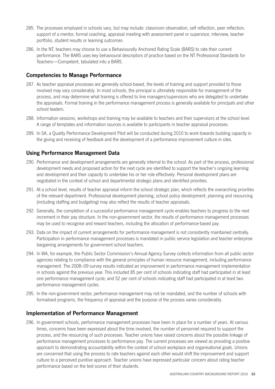- 285. The processes employed in schools vary, but may include: classroom observation, self reflection, peer reflection, support of a mentor, formal coaching, appraisal meeting with assessment panel or supervisor, interview, teacher portfolio, student results or learning outcomes.
- 286. In the NT, teachers may choose to use a Behaviourally Anchored Rating Scale (BARS) to rate their current performance. The BARS uses key behavioural descriptors of practice based on the NT Professional Standards for Teachers—Competent, tabulated into a BARS.

## **Competencies to Manage Performance**

- 287. As teacher appraisal processes are generally school-based, the levels of training and support provided to those involved may vary considerably. In most schools, the principal is ultimately responsible for management of the process, and may determine what training is offered to line managers/supervisors who are delegated to undertake the appraisals. Formal training in the performance management process is generally available for principals and other school leaders.
- 288. Information sessions, workshops and training may be available to teachers and their supervisors at the school level. A range of templates and information sources is available to participants in teacher appraisal processes.
- 289. In SA, a Quality Performance Development Pilot will be conducted during 2010 to work towards building capacity in the giving and receiving of feedback and the development of a performance improvement culture in sites.

## **Using Performance Management Data**

- 290. Performance and development arrangements are generally internal to the school. As part of the process, professional development needs and proposed action for the next cycle are identified to support the teacher's ongoing learning and development and their capacity to undertake his or her role effectively. Personal development plans are negotiated in the context of school and departmental strategic plans and identified priorities.
- 291. At a school level, results of teacher appraisal inform the school strategic plan, which reflects the overarching priorities of the relevant department. Professional development planning, school policy development, planning and resourcing (including staffing and budgeting) may also reflect the results of teacher appraisals.
- 292. Generally, the completion of a successful performance management cycle enables teachers to progress to the next increment in their pay structure. In the non-government sector, the results of performance management processes may be used to recognise and reward teachers, including the allocation of performance-based pay.
- 293. Data on the impact of current arrangements for performance management is not consistently maintained centrally. Participation in performance management processes is mandated in public service legislation and teacher enterprise bargaining arrangements for government school teachers.
- 294. In WA, for example, the Public Sector Commission's Annual Agency Survey collects information from all public sector agencies relating to compliance with the general principles of human resource management, including performance management. The 2008–09 survey results indicated an improvement in performance management implementation in schools against the previous year. This included 85 per cent of schools indicating staff had participated in at least one performance management cycle; and 52 per cent of schools indicating staff had participated in at least two performance management cycles.
- 295. In the non-government sector, performance management may not be mandated, and the number of schools with formalised programs, the frequency of appraisal and the purpose of the process varies considerably.

### **Implementation of Performance Management**

296. In government schools, performance management processes have been in place for a number of years. At various times, concerns have been expressed about the time involved, the number of personnel required to support the process, and the resourcing of such processes. Teacher unions have raised concerns about the possible linkage of performance management processes to performance pay. The current processes are viewed as providing a positive approach to demonstrating accountability within the context of school workplace and organisational goals. Unions are concerned that using the process to rate teachers against each other would shift the improvement and support culture to a perceived punitive approach. Teacher unions have expressed particular concern about rating teacher performance based on the test scores of their students.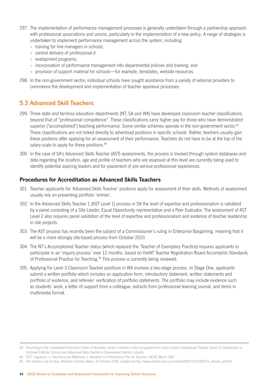- 297. The implementation of performance management processes is generally undertaken through a partnership approach with professional associations and unions, particularly in the implementation of a new policy. A range of strategies is undertaken to implement performance management across the system, including:
	- » training for line managers in schools;
	- » central delivery of professional d
	- » evelopment programs;
	- » incorporation of performance management into departmental policies and training; and
	- » provision of support material for schools—for example, templates, website resources.
- 298. In the non-government sector, individual schools have sought assistance from a variety of external providers to commence the development and implementation of teacher appraisal processes.

# **5.3 Advanced Skill Teachers**

- 299. Three state and territory education departments (NT, SA and WA) have developed classroom teacher classifications beyond that of "professional competence". These classifications carry higher pay for those who have demonstrated superior ("accomplished") teaching performance. Some similar schemes operate in the non-government sector.<sup>83</sup> These classifications are not linked directly to advertised positions in specific schools. Rather, teachers usually gain these positions after applying for an assessment of their performance. Teachers do not have to be at the top of the salary scale to apply for these positions.<sup>84</sup>
- 300. In the case of SA's Advanced Skills Teacher (AST) assessments, the process is tracked through system databases and data regarding the location, age and profile of teachers who are assessed at this level are currently being used to identify potential aspiring leaders and for placement of pre-service professional experiences.

## **Procedures for Accreditation as Advanced Skills Teachers**

- 301. Teacher applicants for 'Advanced Skills Teacher' positions apply for assessment of their skills. Methods of assessment usually rely on presenting portfolio 'entries'.
- 302. In the Advanced Skills Teacher 1 (AST Level 1) process in SA the level of expertise and professionalism is validated by a panel consisting of a Site Leader, Equal Opportunity representative and a Peer Evaluator. The assessment of AST Level 2 also requires panel validation of the level of expertise and professionalism and evidence of teacher leadership in site projects.
- 303. The AST process has recently been the subject of a Commissioner's ruling in Enterprise Bargaining, meaning that it will be a more strongly site-based process from October 2010.
- 304. The NT's Accomplished Teacher status (which replaced the 'Teacher of Exemplary Practice) requires applicants to participate in an 'inquiry process' over 12 months, based on theNT Teacher Registration Board Accomplish Standards of Professional Practice for Teaching.<sup>85</sup> This process is currently being reviewed.
- 305. Applying for Level 3 Classroom Teacher positions in WA involves a two-stage process. In Stage One, applicants submit a written portfolio which includes an application form, introductory statement, written statements and portfolio of evidence, and referees' verification of portfolio statements. The portfolio may include evidence such as students' work, a letter of support from a colleague, extracts from professional learning journal, and items in multimedia format.

<sup>83</sup> According to the Independent Education Union of Australia, similar schemes in the non-government sector involve Experienced Teacher (Level 2) classification in Victorian Catholic Schools and Advanced Skills Teacher in Queensland Catholic schools.

<sup>84</sup> P.47, Ingvarson, L. Kleinhenz and Wilkinson, J. Research on Performance Pay for Teachers, ACER, March 2007

<sup>85</sup> Ten teachers top of class, Northern Territory News, 30 October 2009, Located at http://www.ntnews.com.au/article/2009/10/30/96575\_ntnews\_pf.html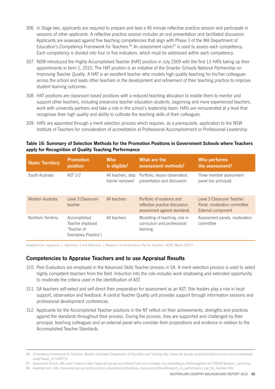- 306. In Stage two, applicants are required to prepare and lead a 45 minute reflective practice session and participate in sessions of other applicants. A reflective practice session includes an oral presentation and facilitated discussion. Applicants are assessed against five teaching competencies that align with Phase 3 of the WA Department of Education's Competency Framework for Teachers.<sup>86</sup> An assessment rubric<sup>87</sup> is used to assess each competency. Each competency is divided into four or five indicators, which must be addressed within each competency.
- 307. NSW introduced the Highly Accomplished Teacher (HAT) position in July 2009 with the first 13 HATs taking up their appointments in term 1, 2010. The HAT position is an initiative of the *Smarter Schools National Partnership on Improving Teacher Quality*. A HAT is an excellent teacher who models high quality teaching for his/her colleagues across the school and leads other teachers in the development and refinement of their teaching practice to improve student learning outcomes.
- 308. HAT positions are classroom based positions with a reduced teaching allocation to enable them to mentor and support other teachers, including preservice teacher education students, beginning and more experienced teachers, work with university partners and take a role in the school's leadership team. HATs are remunerated at a level that recognises their high quality and ability to cultivate the teaching skills of their colleagues.
- 309. HATs are appointed through a merit selection process which requires, as a prerequisite, application to the NSW Institute of Teachers for consideration of accreditation at Professional Accomplishment or Professional Leadership.

#### **Table 16: Summary of Selection Methods for the Promotion Positions in Government Schools where Teachers apply for Recognition of Quality Teaching Performance**

| <b>State/Territory</b> | <b>Promotion</b><br>position                                             | <b>Who</b><br>is eligible?            | What are the<br>assessment methods?                                                          | <b>Who performs</b><br>the assessment?                                           |
|------------------------|--------------------------------------------------------------------------|---------------------------------------|----------------------------------------------------------------------------------------------|----------------------------------------------------------------------------------|
| South Australia        | AST 1/2                                                                  | All teachers, step<br>barrier removed | Portfolio, lesson observation,<br>presentation and discussion                                | Three member assessment<br>panel (inc principal)                                 |
| Western Australia      | Level 3 Classroom<br>teacher                                             | All teachers                          | Portfolio of evidence and<br>reflective practice discussion.<br>assessment against standards | Level 3 Classroom Teacher:<br>Panel, moderation committee.<br>External component |
| Northern Territory     | Accomplished<br>Teacher (replaced<br>'Teacher of<br>Exemplary Practice') | All teachers                          | Modelling of teaching, role in<br>curriculum and professional<br>learning                    | Assessment panels, moderation<br>committee                                       |

Adapted from: Ingvarson, L, Kleinhenz, E and Wilkinson, J, *Research on Performance Pay for Teachers*, ACER, March 200788

## **Competencies to Appraise Teachers and to use Appraisal Results**

- 310. Peer Evaluators are employed in the Advanced Skills Teacher process in SA. A merit selection process is used to select highly competent teachers from the field. Induction into the role includes work shadowing and extended opportunity to moderate the criteria used in the identification of AST.
- 311. SA teachers self-select and self direct their preparation for assessment as an AST. Site leaders play a role in local support, observation and feedback. A central Teacher Quality unit provides support through information sessions and professional development conferences.
- 312. Applicants for the Accomplished Teacher positions in the NT reflect on their achievements, strengths and practices against the standards throughout their process. During the process, they are supported and challenged by their principal, teaching colleagues and an external panel who consider their propositions and evidence in relation to the Accomplished Teacher Standards.

<sup>86</sup> Competency Framework for Teachers, Western Australian Department of Education and Training http://www.det.wa.edu.au/policies/detcms/cms-service/download/ asset/?asset\_id=5245770

<sup>87</sup> Assessment Rubric, WA Level 3 teacher http://www.det.wa.edu.au/redirect/?oid=com.arsdigita.cms.contenttypes.FileStorageItem-id-2785847&stream\_asset=true

<sup>88</sup> Available here: http://www.dest.gov.au/sectors/school\_education/publications\_resources/profiles/Research\_on\_performance\_pay\_for\_teachers.htm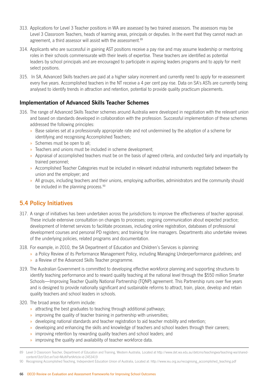- 313. Applications for Level 3 Teacher positions in WA are assessed by two trained assessors. The assessors may be Level 3 Classroom Teachers, heads of learning areas, principals or deputies. In the event that they cannot reach an agreement, a third assessor will assist with the assessment.<sup>89</sup>
- 314. Applicants who are successful in gaining AST positions receive a pay rise and may assume leadership or mentoring roles in their schools commensurate with their levels of expertise. These teachers are identified as potential leaders by school principals and are encouraged to participate in aspiring leaders programs and to apply for merit select positions.
- 315. In SA, Advanced Skills teachers are paid at a higher salary increment and currently need to apply for re-assessment every five years. Accomplished teachers in the NT receive a 4 per cent pay rise. Data on SA's ASTs are currently being analysed to identify trends in attraction and retention, potential to provide quality practicum placements.

# **Implementation of Advanced Skills Teacher Schemes**

- 316. The range of Advanced Skills Teacher schemes around Australia were developed in negotiation with the relevant union and based on standards developed in collaboration with the profession. Successful implementation of these schemes addressed the following principles:
	- » Base salaries set at a professionally appropriate rate and not undermined by the adoption of a scheme for identifying and recognising Accomplished Teachers;
	- » Schemes must be open to all;
	- » Teachers and unions must be included in scheme development;
	- » Appraisal of accomplished teachers must be on the basis of agreed criteria, and conducted fairly and impartially by trained personnel;
	- » Accomplished Teacher Categories must be included in relevant industrial instruments negotiated between the union and the employer; and
	- » All groups, including teachers and their unions, employing authorities, administrators and the community should be included in the planning process.<sup>90</sup>

# **5.4 Policy Initiatives**

- 317. A range of initiatives has been undertaken across the jurisdictions to improve the effectiveness of teacher appraisal. These include extensive consultation on changes to processes; ongoing communication about expected practice; development of Internet services to facilitate processes, including online registration, databases of professional development courses and personal PD registers; and training for line managers. Departments also undertake reviews of the underlying policies, related programs and documentation.
- 318. For example, in 2010, the SA Department of Education and Children's Services is planning:
	- » a Policy Review of its Performance Management Policy, including Managing Underperformance guidelines; and
	- » a Review of the Advanced Skills Teacher programme.
- 319. The Australian Government is committed to developing effective workforce planning and supporting structures to identify teaching performance and to reward quality teaching at the national level through the \$550 million Smarter Schools—Improving Teacher Quality National Partnership (TQNP) agreement. This Partnership runs over five years and is designed to provide nationally significant and sustainable reforms to attract, train, place, develop and retain quality teachers and school leaders in schools.
- 320. The broad areas for reform include:
	- » attracting the best graduates to teaching through additional pathways;
	- » improving the quality of teacher training in partnership with universities;
	- » developing national standards and teacher registration to aid teacher mobility and retention;
	- » developing and enhancing the skills and knowledge of teachers and school leaders through their careers;
	- » improving retention by rewarding quality teachers and school leaders; and
	- » improving the quality and availability of teacher workforce data.

<sup>89</sup> Level 3 Classroom Teacher, Department of Education and Training, Western Australia, Located at http://www.det.wa.edu.au/detcms/teachingwa/teaching-wa/sharedcontent/l3ct/l3ct.en?oid=MultiPartArticle-id-2453419

<sup>90</sup> Recognising Accomplished Teaching, Independent Education Union of Australia, Located at: http://www.ieu.org.au/recognising\_accomplished\_teaching.pdf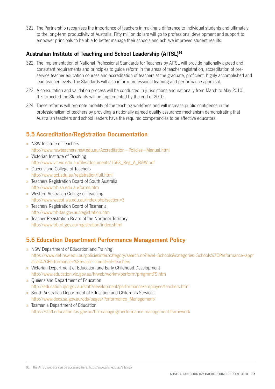321. The Partnership recognises the importance of teachers in making a difference to individual students and ultimately to the long-term productivity of Australia. Fifty million dollars will go to professional development and support to empower principals to be able to better manage their schools and achieve improved student results.

# **Australian Institute of Teaching and School Leadership (AITSL)91**

- 322. The implementation of National Professional Standards for Teachers by AITSL will provide nationally agreed and consistent requirements and principles to guide reform in the areas of teacher registration, accreditation of preservice teacher education courses and accreditation of teachers at the graduate, proficient, highly accomplished and lead teacher levels. The Standards will also inform professional learning and performance appraisal.
- 323. A consultation and validation process will be conducted in jurisdictions and nationally from March to May 2010. It is expected the Standards will be implemented by the end of 2010.
- 324. These reforms will promote mobility of the teaching workforce and will increase public confidence in the professionalism of teachers by providing a nationally agreed quality assurance mechanism demonstrating that Australian teachers and school leaders have the required competencies to be effective educators.

# **5.5 Accreditation/Registration Documentation**

- » NSW Institute of Teachers http://www.nswteachers.nsw.edu.au/Accreditation---Policies---Manual.html
- » Victorian Institute of Teaching http://www.vit.vic.edu.au/files/documents/1563\_Reg\_A\_B&W.pdf
- » Queensland College of Teachers http://www.qct.edu.au/registration/full.html
- » Teachers Registration Board of South Australia http://www.trb.sa.edu.au/forms.htm
- » Western Australian College of Teaching http://www.wacot.wa.edu.au/index.php?section=3
- » Teachers Registration Board of Tasmania http://www.trb.tas.gov.au/registration.htm
- » Teacher Registration Board of the Northern Territory http://www.trb.nt.gov.au/registration/index.shtml

# **5.6 Education Department Performance Management Policy**

- » NSW Department of Education and Training https://www.det.nsw.edu.au/policiesinter/category/search.do?level=Schools&categories=Schools%7CPerformance+appr aisal%7CPerformance+%26+assessment+of+teachers
- » Victorian Department of Education and Early Childhood Development http://www.education.vic.gov.au/hrweb/workm/perform/pmgmntTS.htm
- » Queensland Department of Education http://education.qld.gov.au/staff/development/performance/employee/teachers.html
- » South Australian Department of Education and Children's Services http://www.decs.sa.gov.au/ods/pages/Performance\_Management/
- » Tasmania Department of Education https://staff.education.tas.gov.au/hr/managing/performance-management-framework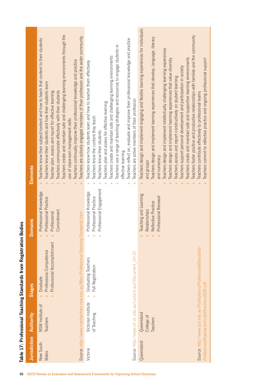|                                                                    | Elements       | Teachers create and maintain safe and challenging learning environments through the<br>Teachers are actively engaged members of their profession and the wider community<br>Teachers know their subject/content and how to teach that content to their students<br>Teachers continually improve their professional knowledge and practice<br>Teachers know their students and how their students learn<br>Teachers communicate effectively with their students<br>Teacher plan, assess and report for effective learning<br>use of classroom management skills | Teachers reflect on, evaluate and improve their professional knowledge and practice<br>Teachers use a range of teaching strategies and resources to engage students in<br>Teachers create and maintain safe and challenging learning environments<br>Teachers know how students learn and how to teacher them effectively<br>Teachers are active members of their profession<br>Teachers plan and assess for effective learning<br>Teachers know the content they teach<br>Teachers know their students<br>effective learning | Teachers design and implement engaging and flexible learning experiences for individuals<br>Teachers foster positive and productive relationships with families and the community<br>Teachers design and implement learning experiences that develop, language, literacy<br>Teachers design and implement intellectually challenging learning experiences<br>Teachers create and maintain safe and supportive learning environments<br>Teachers commit to reflective practice and ongoing professional support<br>Teachers design and implement learning experiences that value diversity<br>Teachers support personal development and participation in society<br>leachers assess and report constructively on student learning<br>Teachers contribute effectively to professional teams<br>and numeracy<br>and groups |
|--------------------------------------------------------------------|----------------|----------------------------------------------------------------------------------------------------------------------------------------------------------------------------------------------------------------------------------------------------------------------------------------------------------------------------------------------------------------------------------------------------------------------------------------------------------------------------------------------------------------------------------------------------------------|-------------------------------------------------------------------------------------------------------------------------------------------------------------------------------------------------------------------------------------------------------------------------------------------------------------------------------------------------------------------------------------------------------------------------------------------------------------------------------------------------------------------------------|-------------------------------------------------------------------------------------------------------------------------------------------------------------------------------------------------------------------------------------------------------------------------------------------------------------------------------------------------------------------------------------------------------------------------------------------------------------------------------------------------------------------------------------------------------------------------------------------------------------------------------------------------------------------------------------------------------------------------------------------------------------------------------------------------------------------------|
|                                                                    | <b>Domains</b> | $\hat{\mathbf{z}}$<br>$\hat{z}$<br>Professional Knowledge<br>Professional Practice<br>Commitment<br>Professional<br>$\hat{z}$<br>$\hat{ }$<br>$\hat{\mathbb{R}}$                                                                                                                                                                                                                                                                                                                                                                                               | $\hat{z}$<br>⋩<br>⋩<br>à<br>Professional Engagement<br>Professional Knowledge<br>Professional Practice<br>$\hat{ }$<br>$\hat{\mathbb{R}}$<br>$\hat{ }$                                                                                                                                                                                                                                                                                                                                                                        | Teaching and Learning<br>Professional Renewal<br>Reflective Practice<br>Relationships<br>$\hat{\mathbf{z}}$<br>$\hat{ }$<br>$\hat{\vphantom{1}}$<br>$\hat{\mathbb{R}}$                                                                                                                                                                                                                                                                                                                                                                                                                                                                                                                                                                                                                                                  |
| Table 17: Professional Teaching Standards from Registration Bodies | <b>Stages</b>  | Source: http://www.nswteachers.nsw.edu.au/Main-Professional-Teaching-Standards.html<br>Professional Accomplishment<br>Professiona Competence<br>Graduate<br>$\lambda$<br>$\hat{z}$<br>$\hat{\mathbf{z}}$                                                                                                                                                                                                                                                                                                                                                       | Source: http://www.vit.vic.edu.au/content.asp?Document_ID=23<br>Graduating Teachers<br>Full Registration<br>$\hat{z}$<br>$\approx$                                                                                                                                                                                                                                                                                                                                                                                            | Source: http://www.qct.edu.au/Publications/ProfessionalStandards/                                                                                                                                                                                                                                                                                                                                                                                                                                                                                                                                                                                                                                                                                                                                                       |
|                                                                    | Authority      | NSW Institute of<br>Teachers                                                                                                                                                                                                                                                                                                                                                                                                                                                                                                                                   | Victorian Institute<br>of Teaching                                                                                                                                                                                                                                                                                                                                                                                                                                                                                            | ProfessionalStandardsForQIdTeachers2006.pdf<br>Queensland<br>College of<br>Teachers                                                                                                                                                                                                                                                                                                                                                                                                                                                                                                                                                                                                                                                                                                                                     |
| 68                                                                 | Jurisdiction   | New South<br>Wales                                                                                                                                                                                                                                                                                                                                                                                                                                                                                                                                             | Victoria<br>OECD Review on Evaluation and Assessment Frameworks for Improving School Outcomes                                                                                                                                                                                                                                                                                                                                                                                                                                 | Queensland                                                                                                                                                                                                                                                                                                                                                                                                                                                                                                                                                                                                                                                                                                                                                                                                              |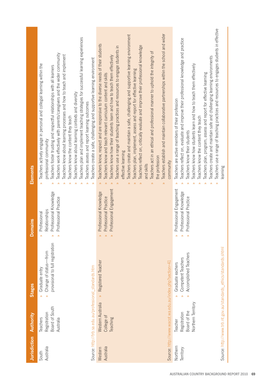| <b>Jurisdiction</b>   | <b>Authority</b>                                                                                                   | <b>Stages</b>                                                                                                                                                                            | <b>Domains</b>                                                                                                             | Elements                                                                                                                                                                                                                                                                                                                                                                                                                                                                                                                                                                                                                                                                                                                                                                                                                                                                   |
|-----------------------|--------------------------------------------------------------------------------------------------------------------|------------------------------------------------------------------------------------------------------------------------------------------------------------------------------------------|----------------------------------------------------------------------------------------------------------------------------|----------------------------------------------------------------------------------------------------------------------------------------------------------------------------------------------------------------------------------------------------------------------------------------------------------------------------------------------------------------------------------------------------------------------------------------------------------------------------------------------------------------------------------------------------------------------------------------------------------------------------------------------------------------------------------------------------------------------------------------------------------------------------------------------------------------------------------------------------------------------------|
| Australia<br>South    | Source: http://trb.sa.edu.au/professional_standards.htm<br>Board of South<br>Registration<br>Teachers<br>Australia | provisional to full registration<br>Change of status-from<br>Graduate entry<br>$\lambda$<br>$\hat{\mathbf{z}}$                                                                           | Professional Knowledge<br>Professional Practice<br>Relationships<br>Professional<br>$\hat{z}$<br>⋩<br>$\hat{\mathbf{z}}$   | Teachers plan and implement teaching strategies for successful learning experiences<br>Teachers work effectively with parents/caregivers and the wider community<br>Teachers know about learning processes and how to teach and implement<br>Teachers create a safe, challenging and supportive learning environment<br>Teachers actively engage in personal and collegial learning within the<br>Teachers foster trusting and respectful relationships with all learners<br>Teachers know about learning contexts and diversity<br>Teachers assess and report learning outcomes<br>Teachers know the content they teach<br>professional community<br>$\approx$                                                                                                                                                                                                            |
| Australia<br>Western  | Western Australia<br>College of<br>Teaching                                                                        | » Registered Teacher<br>Source: http://www.wacot.wa.edu.au/index.php?section=41                                                                                                          | Professional Engagement<br>Professional Knowledge<br>Professional Practice<br>$\hat{ }$<br>$\approx$<br>$\hat{ }$          | Teachers establish and maintain collaborative partnerships within the school and wider<br>Teachers create and maintain a safe, challenging and supportive learning environment<br>Teachers know, respect and are responsive to the diverse needs of their students<br>Teachers reflect on, critically evaluate and improve their professional knowledge<br>Teachers use a range of teaching practices and resources to engage students in<br>Teachers act in an ethical and professional manner to uphold the integrity of<br>Teachers know how their students learn and how to teach them effectively<br>Teachers plan, implement, assess and report for effective learning<br>Teachers know and teach relevant curriculum content and skills<br>effective learning<br>the profession<br>community<br>and skills<br>$\hat{\mathbb{R}}$<br>$\hat{\mathbb{R}}$<br>$\hat{z}$ |
| Northern<br>Territory | Northern Territory<br>Board of the<br>Registration<br>Teacher                                                      | Source: http://www.trb.nt.gov.au/standards_ethics/standards.shtml<br>Accomplished Teachers<br>Competent Teachers<br>Graduate eachers<br>$\rightarrow$<br>$\lambda$<br>$\hat{\mathbf{z}}$ | Professional Engagement<br>Professional Knowledge<br>Professional Practice<br>$\hat{z}$<br>$\hat{z}$<br>$\hat{\mathbf{z}}$ | Teachers use a range of teaching practices and resources to engages students in effective<br>Teachers reflect on, evaluate and improve their professional knowledge and practice<br>Teachers create and maintain safe and challenging learning environments<br>Teachers know how students learn and how to teach them effectively<br>Teachers plan, program, assess and report for effective learning<br>Teachers are active members of their profession<br>Teachers know the content they teach<br>Teachers know their students<br>earning                                                                                                                                                                                                                                                                                                                                |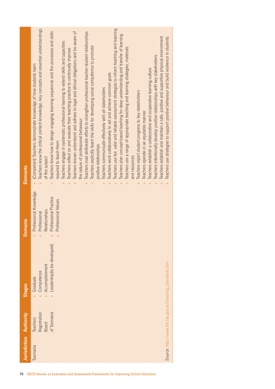| Teachers known understand and adhere to legal and ethical obligations and be aware of<br>Teachers mad deliberate efforts to strengthen professional teacher-student relationships<br>Teachers plan concept-based teaching for deep understanding and transfer of learning<br>Teachers establish and maintain a safe, positive and supportive physical environment<br>Teachers use strategies to support positive behaviour and build resilience in students<br>Teachers engage in systematic professional learning to extend skills and capacities<br>Teachers explicitly teach the skills for developing social competence to promote<br>Teachers use a range of appropriate teaching and learning strategies, materials<br>Teachers reflect on and evaluate their teaching practice to continually improve<br>Teachers intentionally develop positive relationships with key stakeholders<br>(Competent) Teachers demonstrate knowledge of how students learn<br>Teachers establish a collaborative and cooperative learning culture<br>Teachers work collaboratively to set and achieve common goals<br>Teachers communicate effectively with all stakeholders<br>Teachers report student progress to key stakeholders<br>Teachers operate in an equitable manner<br>the nature of professional behaviour<br>required to teach them<br>positive relationships<br>and resources<br>of the subject<br>$\lambda$<br>$\lambda$<br>$\hat{z}$<br>$\hat{z}$<br>$\hat{z}$<br>$\hat{z}$<br>$\hat{\mathbf{z}}$<br>⋩<br>$\hat{\mathbf{z}}$<br>$\hat{z}$<br>Professional Knowledge<br>Professional Practice<br>Professional Values<br>Relationships<br>Professional<br>⋩<br>⋩<br>∞<br>⋩<br>Leadership (to be developed)<br>Source: http://www.trb.tas.gov.au/teaching_standards.htm<br>Accomplishment<br>Competence<br>Graduate<br>⋩<br>$\hat{z}$<br>Registration<br>of Tasmania<br>Teachers<br><b>Board</b><br>asmania | Jurisdiction Authority | <b>Stages</b> | <b>Domains</b> | Elements                                                                                    |
|----------------------------------------------------------------------------------------------------------------------------------------------------------------------------------------------------------------------------------------------------------------------------------------------------------------------------------------------------------------------------------------------------------------------------------------------------------------------------------------------------------------------------------------------------------------------------------------------------------------------------------------------------------------------------------------------------------------------------------------------------------------------------------------------------------------------------------------------------------------------------------------------------------------------------------------------------------------------------------------------------------------------------------------------------------------------------------------------------------------------------------------------------------------------------------------------------------------------------------------------------------------------------------------------------------------------------------------------------------------------------------------------------------------------------------------------------------------------------------------------------------------------------------------------------------------------------------------------------------------------------------------------------------------------------------------------------------------------------------------------------------------------------------------------------------------------------------------------------------------------------------------------------------------|------------------------|---------------|----------------|---------------------------------------------------------------------------------------------|
|                                                                                                                                                                                                                                                                                                                                                                                                                                                                                                                                                                                                                                                                                                                                                                                                                                                                                                                                                                                                                                                                                                                                                                                                                                                                                                                                                                                                                                                                                                                                                                                                                                                                                                                                                                                                                                                                                                                |                        |               |                | Teachers know the critical content knowledge, key concepts and essential understandings     |
|                                                                                                                                                                                                                                                                                                                                                                                                                                                                                                                                                                                                                                                                                                                                                                                                                                                                                                                                                                                                                                                                                                                                                                                                                                                                                                                                                                                                                                                                                                                                                                                                                                                                                                                                                                                                                                                                                                                |                        |               |                | Teachers know how to design engaging learning sequences and the processes and skills        |
|                                                                                                                                                                                                                                                                                                                                                                                                                                                                                                                                                                                                                                                                                                                                                                                                                                                                                                                                                                                                                                                                                                                                                                                                                                                                                                                                                                                                                                                                                                                                                                                                                                                                                                                                                                                                                                                                                                                |                        |               |                |                                                                                             |
|                                                                                                                                                                                                                                                                                                                                                                                                                                                                                                                                                                                                                                                                                                                                                                                                                                                                                                                                                                                                                                                                                                                                                                                                                                                                                                                                                                                                                                                                                                                                                                                                                                                                                                                                                                                                                                                                                                                |                        |               |                |                                                                                             |
|                                                                                                                                                                                                                                                                                                                                                                                                                                                                                                                                                                                                                                                                                                                                                                                                                                                                                                                                                                                                                                                                                                                                                                                                                                                                                                                                                                                                                                                                                                                                                                                                                                                                                                                                                                                                                                                                                                                |                        |               |                |                                                                                             |
|                                                                                                                                                                                                                                                                                                                                                                                                                                                                                                                                                                                                                                                                                                                                                                                                                                                                                                                                                                                                                                                                                                                                                                                                                                                                                                                                                                                                                                                                                                                                                                                                                                                                                                                                                                                                                                                                                                                |                        |               |                |                                                                                             |
|                                                                                                                                                                                                                                                                                                                                                                                                                                                                                                                                                                                                                                                                                                                                                                                                                                                                                                                                                                                                                                                                                                                                                                                                                                                                                                                                                                                                                                                                                                                                                                                                                                                                                                                                                                                                                                                                                                                |                        |               |                |                                                                                             |
|                                                                                                                                                                                                                                                                                                                                                                                                                                                                                                                                                                                                                                                                                                                                                                                                                                                                                                                                                                                                                                                                                                                                                                                                                                                                                                                                                                                                                                                                                                                                                                                                                                                                                                                                                                                                                                                                                                                |                        |               |                |                                                                                             |
|                                                                                                                                                                                                                                                                                                                                                                                                                                                                                                                                                                                                                                                                                                                                                                                                                                                                                                                                                                                                                                                                                                                                                                                                                                                                                                                                                                                                                                                                                                                                                                                                                                                                                                                                                                                                                                                                                                                |                        |               |                |                                                                                             |
|                                                                                                                                                                                                                                                                                                                                                                                                                                                                                                                                                                                                                                                                                                                                                                                                                                                                                                                                                                                                                                                                                                                                                                                                                                                                                                                                                                                                                                                                                                                                                                                                                                                                                                                                                                                                                                                                                                                |                        |               |                |                                                                                             |
|                                                                                                                                                                                                                                                                                                                                                                                                                                                                                                                                                                                                                                                                                                                                                                                                                                                                                                                                                                                                                                                                                                                                                                                                                                                                                                                                                                                                                                                                                                                                                                                                                                                                                                                                                                                                                                                                                                                |                        |               |                |                                                                                             |
|                                                                                                                                                                                                                                                                                                                                                                                                                                                                                                                                                                                                                                                                                                                                                                                                                                                                                                                                                                                                                                                                                                                                                                                                                                                                                                                                                                                                                                                                                                                                                                                                                                                                                                                                                                                                                                                                                                                |                        |               |                | Teachers use fair, valid and reliable assessment strategies to inform teaching and learning |
|                                                                                                                                                                                                                                                                                                                                                                                                                                                                                                                                                                                                                                                                                                                                                                                                                                                                                                                                                                                                                                                                                                                                                                                                                                                                                                                                                                                                                                                                                                                                                                                                                                                                                                                                                                                                                                                                                                                |                        |               |                |                                                                                             |
|                                                                                                                                                                                                                                                                                                                                                                                                                                                                                                                                                                                                                                                                                                                                                                                                                                                                                                                                                                                                                                                                                                                                                                                                                                                                                                                                                                                                                                                                                                                                                                                                                                                                                                                                                                                                                                                                                                                |                        |               |                |                                                                                             |
|                                                                                                                                                                                                                                                                                                                                                                                                                                                                                                                                                                                                                                                                                                                                                                                                                                                                                                                                                                                                                                                                                                                                                                                                                                                                                                                                                                                                                                                                                                                                                                                                                                                                                                                                                                                                                                                                                                                |                        |               |                |                                                                                             |
|                                                                                                                                                                                                                                                                                                                                                                                                                                                                                                                                                                                                                                                                                                                                                                                                                                                                                                                                                                                                                                                                                                                                                                                                                                                                                                                                                                                                                                                                                                                                                                                                                                                                                                                                                                                                                                                                                                                |                        |               |                |                                                                                             |
|                                                                                                                                                                                                                                                                                                                                                                                                                                                                                                                                                                                                                                                                                                                                                                                                                                                                                                                                                                                                                                                                                                                                                                                                                                                                                                                                                                                                                                                                                                                                                                                                                                                                                                                                                                                                                                                                                                                |                        |               |                |                                                                                             |
|                                                                                                                                                                                                                                                                                                                                                                                                                                                                                                                                                                                                                                                                                                                                                                                                                                                                                                                                                                                                                                                                                                                                                                                                                                                                                                                                                                                                                                                                                                                                                                                                                                                                                                                                                                                                                                                                                                                |                        |               |                |                                                                                             |
|                                                                                                                                                                                                                                                                                                                                                                                                                                                                                                                                                                                                                                                                                                                                                                                                                                                                                                                                                                                                                                                                                                                                                                                                                                                                                                                                                                                                                                                                                                                                                                                                                                                                                                                                                                                                                                                                                                                |                        |               |                |                                                                                             |
|                                                                                                                                                                                                                                                                                                                                                                                                                                                                                                                                                                                                                                                                                                                                                                                                                                                                                                                                                                                                                                                                                                                                                                                                                                                                                                                                                                                                                                                                                                                                                                                                                                                                                                                                                                                                                                                                                                                |                        |               |                |                                                                                             |
|                                                                                                                                                                                                                                                                                                                                                                                                                                                                                                                                                                                                                                                                                                                                                                                                                                                                                                                                                                                                                                                                                                                                                                                                                                                                                                                                                                                                                                                                                                                                                                                                                                                                                                                                                                                                                                                                                                                |                        |               |                |                                                                                             |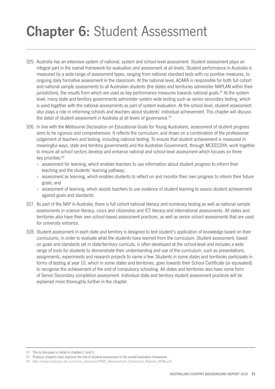# **Chapter 6:** Student Assessment

- 325. Australia has an extensive system of national, system and school-level assessment. Student assessment plays an integral part in the overall framework for evaluation and assessment at all levels. Student performance in Australia is measured by a wide range of assessment types, ranging from national standard tests with no punitive measures, to ongoing daily formative assessment in the classroom. At the national level, ACARA is responsible for both full cohort and national sample assessments to all Australian students (the states and territories administer NAPLAN within their jurisdiction), the results from which are used as key performance measures towards national goals.<sup>92</sup> At the system level, many state and territory governments administer system wide testing such as senior secondary testing, which is used together with the national assessments as part of system evaluation. At the school level, student assessment also plays a role in informing schools and teachers about students' individual achievement. This chapter will discuss the detail of student assessment in Australia at all levels of governance.<sup>93</sup>
- 326. In line with the *Melbourne Declaration on Educational Goals for Young Australians*, assessment of student progress aims to be rigorous and comprehensive. It reflects the curriculum, and draws on a combination of the professional judgement of teachers and testing, including national testing. To ensure that student achievement is measured in meaningful ways, state and territory governments and the Australian Government, through MCEECDYA, work together to ensure all school sectors develop and enhance national and school-level assessment which focuses on three key priorities: 94
	- » assessment for learning, which enables teachers to use information about student progress to inform their teaching and the students' learning pathway;
	- » assessment as learning, which enables students to reflect on and monitor their own progress to inform their future goals; and
	- » assessment of learning, which assists teachers to use evidence of student learning to assess student achievement against goals and standards.
- 327. As part of the NAP in Australia, there is full cohort national literacy and numeracy testing as well as national sample assessments in science literacy, civics and citizenship and ICT literacy and international assessments. All states and territories also have their own school-based assessment practices, as well as senior school assessments that are used for university entrance.
- 328. Student assessment in each state and territory is designed to test student's application of knowledge based on their curriculums, in order to evaluate what the students have learned from the curriculum. Student assessment, based on goals and standards set in state/territory curricula, is often developed at the school-level and includes a wide range of tools for students to demonstrate their understanding and use of the curriculum, such as presentations, assignments, experiments and research projects to name a few. Students in some states and territories participate in forms of testing at year 10, which in some states and territories, goes towards their School Certificate (or equivalent) to recognise the achievement of the end of compulsory schooling. All states and territories also have some form of Senior Secondary completion assessment. Individual state and territory student assessment practices will be explained more thoroughly further in the chapter.

<sup>92</sup> This is discussed in detail in chapters 2 and 3.

<sup>93</sup> Previous chapters have explored the role of student assessment in the overall evaluation framework.

<sup>94</sup> http://www.mceecdya.edu.au/verve/\_resources/PMRT\_Measurement\_Framework\_National\_KPMs.pdf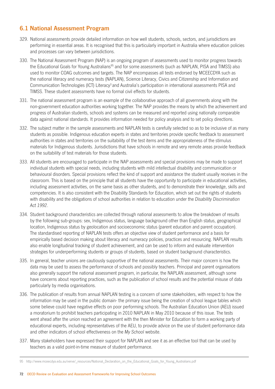# **6.1 National Assessment Program**

- 329. National assessments provide detailed information on how well students, schools, sectors, and jurisdictions are performing in essential areas. It is recognised that this is particularly important in Australia where education policies and processes can vary between jurisdictions.
- 330. The National Assessment Program (NAP) is an ongoing program of assessments used to monitor progress towards the Educational Goals for Young Australians<sup>95</sup> and for some assessments (such as NAPLAN, PISA and TIMSS) also used to monitor COAG outcomes and targets. The NAP encompasses all tests endorsed by MCEECDYA such as the national literacy and numeracy tests (NAPLAN), Science Literacy, Civics and Citizenship and Information and Communication Technologies (ICT) Literacy<sup>3</sup> and Australia's participation in international assessments PISA and TIMSS. These student assessments have no formal civil effects for students.
- 331. The national assessment program is an example of the collaborative approach of all governments along with the non-government education authorities working together. The NAP provides the means by which the achievement and progress of Australian students, schools and systems can be measured and reported using nationally comparable data against national standards. It provides information needed for policy analysis and to set policy directions.
- 332. The subject matter in the sample assessments and NAPLAN tests is carefully selected so as to be inclusive of as many students as possible. Indigenous education experts in states and territories provide specific feedback to assessment authorities in states and territories on the suitability of the test items and the appropriateness of the stimulus materials for Indigenous students. Jurisdictions that have schools in remote and very remote areas provide feedback on the suitability of test materials for those students.
- 333. All students are encouraged to participate in the NAP assessments and special provisions may be made to support individual students with special needs, including students with mild intellectual disability and communication or behavioural disorders. Special provisions reflect the kind of support and assistance the student usually receives in the classroom. This is based on the principle that all students have the opportunity to participate in educational activities, including assessment activities, on the same basis as other students, and to demonstrate their knowledge, skills and competencies. It is also consistent with the Disability Standards for Education, which set out the rights of students with disability and the obligations of school authorities in relation to education under the *Disability Discrimination Act 1992*.
- 334. Student background characteristics are collected through national assessments to allow the breakdown of results by the following sub-groups: sex, Indigenous status, language background other than English status, geographical location, Indigenous status by geolocation and socioeconomic status (parent education and parent occupation). The standardised reporting of NAPLAN tests offers an objective view of student performance and a basis for empirically based decision making about literacy and numeracy policies, practices and resourcing. NAPLAN results also enable longitudinal tracking of student achievement, and can be used to inform and evaluate intervention strategies for underperforming students or groups of students, based on student background characteristics.
- 335. In general, teacher unions are cautiously supportive of the national assessments. Their major concern is how the data may be used to assess the performance of schools and possibly teachers. Principal and parent organisations also generally support the national assessment program, in particular, the NAPLAN assessment, although some have concerns about reporting practices, such as the publication of school results and the potential misuse of data particularly by media organisations.
- 336. The publication of results from annual NAPLAN testing is a concern of some stakeholders, with respect to how the information may be used in the public domain- the primary issue being the creation of school league tables which some believe could have negative effects on poor performing schools. The Australian Education Union (AEU) issued a moratorium to prohibit teachers participating in 2010 NAPLAN in May 2010 because of this issue. The tests went ahead after the union reached an agreement with the then Minister for Education to form a working party of educational experts, including representatives of the AEU, to provide advice on the use of student performance data and other indicators of school effectiveness on the *My School* website.
- 337. Many stakeholders have expressed their support for NAPLAN and see it as an effective tool that can be used by teachers as a valid point-in-time measure of student performance.

<sup>95</sup> http://www.mceecdya.edu.au/verve/\_resources/National\_Declaration\_on\_the\_Educational\_Goals\_for\_Young\_Australians.pdf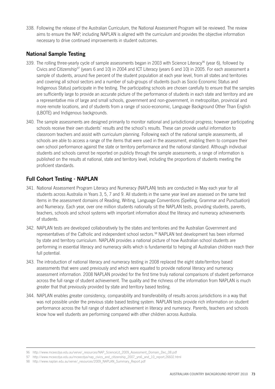338. Following the release of the Australian Curriculum, the National Assessment Program will be reviewed. The review aims to ensure the NAP, including NAPLAN is aligned with the curriculum and provides the objective information necessary to drive continued improvements in student outcomes.

## **National Sample Testing**

- 339. The rolling three-yearly cycle of sample assessments began in 2003 with Science Literacy<sup>96</sup> (year 6), followed by Civics and Citizenship97 (years 6 and 10) in 2004 and ICT Literacy (years 6 and 10) in 2005. For each assessment a sample of students, around five percent of the student population at each year level, from all states and territories and covering all school sectors and a number of sub-groups of students (such as Socio Economic Status and Indigenous Status) participate in the testing. The participating schools are chosen carefully to ensure that the samples are sufficiently large to provide an accurate picture of the performance of students in each state and territory and are a representative mix of large and small schools, government and non-government, in metropolitan, provincial and more remote locations, and of students from a range of socio-economic, Language Background Other Than English (LBOTE) and Indigenous backgrounds.
- 340. The sample assessments are designed primarily to monitor national and jurisdictional progress; however participating schools receive their own students' results and the school's results. These can provide useful information to classroom teachers and assist with curriculum planning. Following each of the national sample assessments, all schools are able to access a range of the items that were used in the assessment, enabling them to compare their own school performance against the state or territory performance and the national standard. Although individual students and schools cannot be reported on publicly through the sample assessments, a range of information is published on the results at national, state and territory level, including the proportions of students meeting the proficient standards.

# **Full Cohort Testing - NAPLAN**

- 341. National Assessment Program Literacy and Numeracy (NAPLAN) tests are conducted in May each year for all students across Australia in Years 3, 5, 7 and 9. All students in the same year level are assessed on the same test items in the assessment domains of Reading, Writing, Language Conventions (Spelling, Grammar and Punctuation) and Numeracy. Each year, over one million students nationally sit the NAPLAN tests, providing students, parents, teachers, schools and school systems with important information about the literacy and numeracy achievements of students.
- 342. NAPLAN tests are developed collaboratively by the states and territories and the Australian Government and representatives of the Catholic and independent school sectors.98 NAPLAN test development has been informed by state and territory curriculum. NAPLAN provides a national picture of how Australian school students are performing in essential literacy and numeracy skills which is fundamental to helping all Australian children reach their full potential.
- 343. The introduction of national literacy and numeracy testing in 2008 replaced the eight state/territory based assessments that were used previously and which were equated to provide national literacy and numeracy assessment information. 2008 NAPLAN provided for the first time truly national comparisons of student performance across the full range of student achievement. The quality and the richness of the information from NAPLAN is much greater that that previously provided by state and territory based testing.
- 344. NAPLAN enables greater consistency, comparability and transferability of results across jurisdictions in a way that was not possible under the previous state based testing system. NAPLAN tests provide rich information on student performance across the full range of student achievement in literacy and numeracy. Parents, teachers and schools know how well students are performing compared with other children across Australia.

<sup>96</sup> http://www.mceecdya.edu.au/verve/\_resources/NAP\_ScienceLit\_2009\_Assessment\_Domain\_Dec\_08.pdf

<sup>97</sup> http://www.mceecdya.edu.au/mceecdya/nap\_civics\_and\_citizenship\_2007\_yrs6\_and\_10\_report,26602.html

<sup>98</sup> http://www.naplan.edu.au/verve/\_resources/2009\_NAPLAN\_Summary\_Report.pdf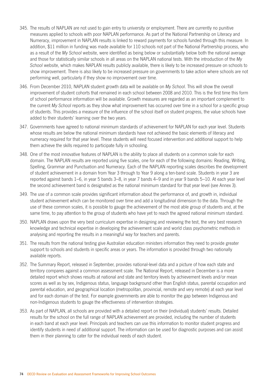- 345. The results of NAPLAN are not used to gain entry to university or employment. There are currently no punitive measures applied to schools with poor NAPLAN performance. As part of the National Partnership on Literacy and Numeracy, improvement in NAPLAN results is linked to reward payments for schools funded through this measure. In addition, \$11 million in funding was made available for 110 schools not part of the National Partnership process, who as a result of the *My School* website, were identified as being below or substantially below both the national average and those for statistically similar schools in all areas on the NAPLAN national tests. With the introduction of the *My School* website, which makes NAPLAN results publicly available, there is likely to be increased pressure on schools to show improvement. There is also likely to be increased pressure on governments to take action where schools are not performing well, particularly if they show no improvement over time.
- 346. From December 2010, NAPLAN student growth data will be available on *My School*. This will show the overall improvement of student cohorts that remained in each school between 2008 and 2010. This is the first time this form of school performance information will be available. Growth measures are regarded as an important complement to the current *My School* reports as they show what improvement has occurred over time in a school for a specific group of students. This provides a measure of the influence of the school itself on student progress, the value schools have added to their students' learning over the two years.
- 347. Governments have agreed to national minimum standards of achievement for NAPLAN for each year level. Students whose results are below the national minimum standards have not achieved the basic elements of literacy and numeracy required for that year level. These students will need focused intervention and additional support to help them achieve the skills required to participate fully in schooling.
- 348. One of the most innovative features of NAPLAN is the ability to place all students on a common scale for each domain. The NAPLAN results are reported using five scales, one for each of the following domains: Reading, Writing, Spelling, Grammar and Punctuation and Numeracy. Each of the NAPLAN reporting scales describes the development of student achievement in a domain from Year 3 through to Year 9 along a ten-band scale. Students in year 3 are reported against bands 1–6, in year 5 bands 3–8, in year 7 bands 4–9 and in year 9 bands 5–10. At each year level the second achievement band is designated as the national minimum standard for that year level (see Annex 3).
- 349. The use of a common scale provides significant information about the performance of, and growth in, individual student achievement which can be monitored over time and add a longitudinal dimension to the data. Through the use of these common scales, it is possible to gauge the achievement of the most able group of students and, at the same time, to pay attention to the group of students who have yet to reach the agreed national minimum standard.
- 350. NAPLAN draws upon the very best curriculum expertise in designing and reviewing the test, the very best research knowledge and technical expertise in developing the achievement scale and world class psychometric methods in analysing and reporting the results in a meaningful way for teachers and parents.
- 351. The results from the national testing give Australian education ministers information they need to provide greater support to schools and students in specific areas or years. The information is provided through two nationally available reports.
- 352. The Summary Report, released in September, provides national-level data and a picture of how each state and territory compares against a common assessment scale. The National Report, released in December is a more detailed report which shows results at national and state and territory levels by achievement levels and/or mean scores as well as by sex, Indigenous status, language background other than English status, parental occupation and parental education, and geographical location (metropolitan, provincial, remote and very remote) at each year level and for each domain of the test. For example governments are able to monitor the gap between Indigenous and non‑Indigenous students to gauge the effectiveness of intervention strategies.
- 353. As part of NAPLAN, all schools are provided with a detailed report on their (individual) students' results. Detailed results for the school on the full range of NAPLAN achievement are provided, including the number of students in each band at each year level. Principals and teachers can use this information to monitor student progress and identify students in need of additional support. The information can be used for diagnostic purposes and can assist them in their planning to cater for the individual needs of each student.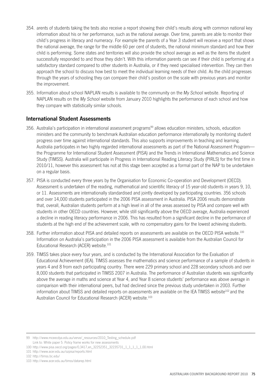- 354. arents of students taking the tests also receive a report showing their child's results along with common national key information about his or her performance, such as the national average. Over time, parents are able to monitor their child's progress in literacy and numeracy. For example the parents of a Year 3 student will receive a report that shows the national average, the range for the middle 60 per cent of students, the national minimum standard and how their child is performing. Some states and territories will also provide the school average as well as the items the student successfully responded to and those they didn't. With this information parents can see if their child is performing at a satisfactory standard compared to other students in Australia, or if they need specialised intervention. They can then approach the school to discuss how best to meet the individual learning needs of their child. As the child progresses through the years of schooling they can compare their child's position on the scale with previous years and monitor the improvement.
- 355. Information about school NAPLAN results is available to the community on the *My School* website. Reporting of NAPLAN results on the *My School* website from January 2010 highlights the performance of each school and how they compare with statistically similar schools.

#### **International Student Assessments**

- 356. Australia's participation in international assessment programs<sup>99</sup> allows education ministers, schools, education ministers and the community to benchmark Australian education performance internationally by monitoring student progress over time against international standards. This also supports improvements in teaching and learning. Australia participates in two highly regarded international assessments as part of the National Assessment Program the Programme for International Student Assessment (PISA) and the Trends in International Mathematics and Science Study (TIMSS). Australia will participate in Progress in International Reading Literacy Study (PIRLS) for the first time in 2010/11, however this assessment has not at this stage been accepted as a formal part of the NAP to be undertaken on a regular basis.
- 357. PISA is conducted every three years by the Organisation for Economic Co-operation and Development (OECD). Assessment is undertaken of the reading, mathematical and scientific literacy of 15 year-old students in years 9, 10, or 11. Assessments are internationally standardised and jointly developed by participating countries. 356 schools and over 14,000 students participated in the 2006 PISA assessment in Australia. PISA 2006 results demonstrate that, overall, Australian students perform at a high level in all of the areas assessed by PISA and compare well with students in other OECD countries. However, while still significantly above the OECD average, Australia experienced a decline in reading literacy performance in 2006. This has resulted from a significant decline in the performance of students at the high end of the achievement scale, with no compensatory gains for the lowest achieving students.
- 358. Further information about PISA and detailed reports on assessments are available on the OECD PISA website.<sup>100</sup> Information on Australia's participation in the 2006 PISA assessment is available from the Australian Council for Educational Research (ACER) website.<sup>101</sup>
- 359. TIMSS takes place every four years, and is conducted by the International Association for the Evaluation of Educational Achievement (IEA). TIMSS assesses the mathematics and science performance of a sample of students in years 4 and 8 from each participating country. There were 229 primary school and 228 secondary schools and over 8,000 students that participated in TIMSS 2007 in Australia. The performance of Australian students was significantly above the average in maths and science at Year 4, and Year 8 science students' performance was above average in comparison with their international peers, but had declined since the previous study undertaken in 2003. Further information about TIMSS and detailed reports on assessments are available on the IEA TIMSS website<sup>102</sup> and the Australian Council for Educational Research (ACER) website.<sup>103</sup>

101 http://www.acer.edu.au/ozpisa/reports.html

<sup>99</sup> http://www.mceecdya.edu.au/verve/\_resources/2010\_Testing\_schedule.pdf Link to: White paper 5: Policy frame works for new assessments

<sup>100</sup> http://www.pisa.oecd.org/pages/0,3417,en\_32252351\_32235731\_1\_1\_1\_1\_1,00.html

<sup>102</sup> http://timss.bc.edu/

<sup>103</sup> http://www.acer.edu.au/timss/datarep.html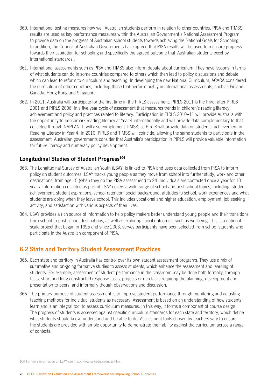- 360. International testing measures how well Australian students perform in relation to other countries. PISA and TIMSS results are used as key performance measures within the Australian Government's National Assessment Program to provide data on the progress of Australian school students towards achieving the National Goals for Schooling. In addition, the Council of Australian Governments have agreed that PISA results will be used to measure progress towards their aspiration for schooling and specifically the agreed outcome that 'Australian students excel by international standards'.
- 361. International assessments such as PISA and TIMSS also inform debate about curriculum. They have lessons in terms of what students can do in some countries compared to others which then lead to policy discussions and debate which can lead to reform to curriculum and teaching. In developing the new National Curriculum, ACARA considered the curriculum of other countries, including those that perform highly in international assessments, such as Finland, Canada, Hong Kong and Singapore.
- 362. In 2011, Australia will participate for the first time in the PIRLS assessment. PIRLS 2011 is the third, after PIRLS 2001 and PIRLS 2006, in a five-year cycle of assessment that measures trends in children's reading literacy achievement and policy and practices related to literacy. Participation in PIRLS 2010–11 will provide Australia with the opportunity to benchmark reading literacy at Year 4 internationally and will provide data complementary to that collected through NAPLAN. It will also complement TIMSS, as PIRLS will provide data on students' achievement in Reading Literacy in Year 4. In 2010, PIRLS and TIMSS will coincide, allowing the same students to participate in the assessment. Australian governments consider that Australia's participation in PIRLS will provide valuable information for future literacy and numeracy policy development.

## Longitudinal Studies of Student Progress<sup>104</sup>

- 363. The Longitudinal Survey of Australian Youth (LSAY) is linked to PISA and uses data collected from PISA to inform policy on student outcomes. LSAY tracks young people as they move from school into further study, work and other destinations, from age 15 (when they do the PISA assessment) to 24. Individuals are contacted once a year for 10 years. Information collected as part of LSAY covers a wide range of school and post-school topics, including: student achievement, student aspirations, school retention, social background, attitudes to school, work experiences and what students are doing when they leave school. This includes vocational and higher education, employment, job seeking activity, and satisfaction with various aspects of their lives.
- 364. LSAY provides a rich source of information to help policy makers better understand young people and their transitions from school to post-school destinations, as well as exploring social outcomes, such as wellbeing. This is a national scale project that began in 1995 and since 2003, survey participants have been selected from school students who participate in the Australian component of PISA.

# **6.2 State and Territory Student Assessment Practices**

- 365. Each state and territory in Australia has control over its own student assessment programs. They use a mix of summative and on-going formative studies to assess students, which enhance the assessment and learning of students. For example, assessment of student performance in the classroom may be done both formally, through tests, short and long constructed response tasks, projects or rich tasks requiring the planning, development and presentation to peers, and informally though observations and discussion.
- 366. The primary purpose of student assessment is to improve student performance through monitoring and adjusting teaching methods for individual students as necessary. Assessment is based on an understanding of how students learn and is an integral tool to assess curriculum measures. In this way, it forms a component of course design. The progress of students is assessed against specific curriculum standards for each state and territory, which define what students should know, understand and be able to do. Assessment tools chosen by teachers vary to ensure the students are provided with ample opportunity to demonstrate their ability against the curriculum across a range of contexts.

<sup>104</sup> For more information on LSAY, see http://www.lsay.edu.au/index.html.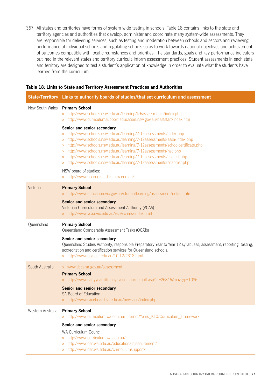367. All states and territories have forms of system-wide testing in schools. Table 18 contains links to the state and territory agencies and authorities that develop, administer and coordinate many system-wide assessments. They are responsible for delivering services, such as testing and moderation between schools and sectors and reviewing performance of individual schools and regulating schools so as to work towards national objectives and achievement of outcomes compatible with local circumstances and priorities. The standards, goals and key performance indicators outlined in the relevant states and territory curricula inform assessment practices. Student assessments in each state and territory are designed to test a student's application of knowledge in order to evaluate what the students have learned from the curriculum.

|                                | State/Territory Links to authority boards of studies/that set curriculum and assessment                                                                                                                                                                                                                                                                                                                                                                                                          |
|--------------------------------|--------------------------------------------------------------------------------------------------------------------------------------------------------------------------------------------------------------------------------------------------------------------------------------------------------------------------------------------------------------------------------------------------------------------------------------------------------------------------------------------------|
| New South Wales Primary School | » http://www.schools.nsw.edu.au/learning/k-6assessments/index.php<br>» http://www.curriculumsupport.education.nsw.gov.au/beststart/index.htm                                                                                                                                                                                                                                                                                                                                                     |
|                                | Senior and senior secondary<br>http://www.schools.nsw.edu.au/learning/7-12assessments/index.php<br>http://www.schools.nsw.edu.au/learning/7-12assessments/essa/index.php<br>$\gg$<br>http://www.schools.nsw.edu.au/learning/7-12assessments/schoolcertificate.php<br>$\gg$<br>» http://www.schools.nsw.edu.au/learning/7-12assessments/hsc.php<br>» http://www.schools.nsw.edu.au/learning/7-12assessments/ellatest.php<br>» http://www.schools.nsw.edu.au/learning/7-12assessments/snaptest.php |
|                                | NSW board of studies:<br>» http://www.boardofstudies.nsw.edu.au/                                                                                                                                                                                                                                                                                                                                                                                                                                 |
| Victoria                       | <b>Primary School</b><br>» http://www.education.vic.gov.au/studentlearning/assessment/default.htm<br><b>Senior and senior secondary</b><br>Victorian Curriculum and Assessment Authority (VCAA)<br>» http://www.vcaa.vic.edu.au/vce/exams/index.html                                                                                                                                                                                                                                             |
| Queensland                     | <b>Primary School</b><br>Queensland Comparable Assessment Tasks (QCATs)<br>Senior and senior secondary<br>Queensland Studies Authority, responsible Preparatory Year to Year 12 syllabuses, assessment, reporting, testing,<br>accreditation and certification services for Queensland schools.<br>» http://www.qsa.qld.edu.au/10-12/2318.html                                                                                                                                                   |
| South Australia                | » www.decs.sa.gov.au/assessment<br><b>Primary School</b><br>» http://www.earlyyearsliteracy.sa.edu.au/default.asp?id=26846&navgrp=1086<br>Senior and senior secondary<br>SA Board of Education<br>» http://www.saceboard.sa.edu.au/newsace/index.php                                                                                                                                                                                                                                             |
| Western Australia              | <b>Primary School</b><br>» http://www.curriculum.wa.edu.au/internet/Years_K10/Curriculum_Framework<br>Senior and senior secondary<br><b>WA Curriculum Council</b><br>» http://www.curriculum.wa.edu.au/<br>» http://www.det.wa.edu.au/educationalmeasurement/                                                                                                                                                                                                                                    |

#### **Table 18: Links to State and Territory Assessment Practices and Authorities**

» http://www.det.wa.edu.au/curriculumsupport/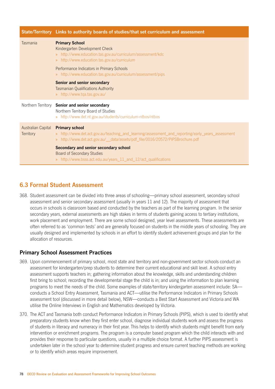|                                 | State/Territory Links to authority boards of studies/that set curriculum and assessment                                                                                                                                     |
|---------------------------------|-----------------------------------------------------------------------------------------------------------------------------------------------------------------------------------------------------------------------------|
| Tasmania                        | <b>Primary School</b><br>Kindergarten Development Check<br>» http://www.education.tas.gov.au/curriculum/assessment/kdc<br>» http://www.education.tas.gov.au/curriculum                                                      |
|                                 | Performance Indicators in Primary Schools<br>» http://www.education.tas.gov.au/curriculum/assessment/pips                                                                                                                   |
|                                 | Senior and senior secondary<br><b>Tasmanian Qualifications Authority</b><br>» http://www.tqa.tas.gov.au/                                                                                                                    |
| Northern Territory              | Senior and senior secondary<br>Northern Territory Board of Studies<br>» http://www.det.nt.gov.au/students/curriculum-ntbos/ntbos                                                                                            |
| Australian Capital<br>Territory | <b>Primary school</b><br>» http://www.det.act.gov.au/teaching_and_learning/assessment_and_reporting/early_years_assessment<br>http://www.det.act.gov.au/__data/assets/pdf_file/0016/20572/PIPSBrochure.pdf<br>$\mathcal{V}$ |
|                                 | Secondary and senior secondary school<br><b>Board of Secondary Studies</b><br>http://www.bsss.act.edu.au/years_11_and_12/act_qualifications<br>$\gg$                                                                        |

# **6.3 Formal Student Assessment**

368. Student assessment can be divided into three areas of schooling—primary school assessment, secondary school assessment and senior secondary assessment (usually in years 11 and 12). The majority of assessment that occurs in schools is classroom based and conducted by the teachers as part of the learning program. In the senior secondary years, external assessments are high stakes in terms of students gaining access to tertiary institutions, work placement and employment. There are some school designed, year level assessments. These assessments are often referred to as 'common tests' and are generally focused on students in the middle years of schooling. They are usually designed and implemented by schools in an effort to identify student achievement groups and plan for the allocation of resources.

# **Primary School Assessment Practices**

- 369. Upon commencement of primary school, most state and territory and non-government sector schools conduct an assessment for kindergarten/prep students to determine their current educational and skill level. A school entry assessment supports teachers in; gathering information about the knowledge, skills and understanding children first bring to school; recording the developmental stage the child is in; and using the information to plan learning programs to meet the needs of the child. Some examples of state/territory kindergarten assessment include: SA conducts a School Entry Assessment, Tasmania and ACT—utilise the Performance Indicators in Primary Schools assessment tool (discussed in more detail below), NSW—conducts a Best Start Assessment and Victoria and WA utilise the Online Interviews in English and Mathematics developed by Victoria.
- 370. The ACT and Tasmania both conduct Performance Indicators in Primary Schools (PIPS), which is used to identify what preparatory students know when they first enter school, diagnose individual students work and assess the progress of students in literacy and numeracy in their first year. This helps to identify which students might benefit from early intervention or enrichment programs. The program is a computer based program which the child interacts with and provides their response to particular questions, usually in a multiple choice format. A further PIPS assessment is undertaken later in the school year to determine student progress and ensure current teaching methods are working or to identify which areas require improvement.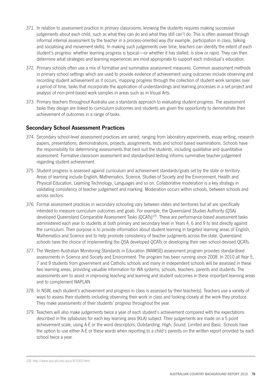- 371. In relation to assessment practice in primary classrooms, knowing the students requires making successive judgements about each child, such as what they can do and what they still can't do. This is often assessed through informal internal assessment by the teacher in a process-oriented way (for example, participation in class, talking and socialising and movement skills). In making such judgements over time, teachers can identify the extent of each student's progress: whether learning progress is typical—or whether it has stalled, is slow or rapid. They can then determine what strategies and learning experiences are most appropriate to support each individual's education.
- 372. Primary schools often use a mix of formative and summative assessment measures. Common assessment methods in primary school settings which are used to provide evidence of achievement using outcomes include observing and recording student achievement as it occurs, mapping progress through the collection of student work samples over a period of time, tasks that incorporate the application of understandings and learning processes in a set project and analysis of non-print-based work samples in areas such as in Visual Arts.
- 373. Primary teachers throughout Australia use a standards approach to evaluating student progress. The assessment tasks they design are linked to curriculum outcomes and students are given the opportunity to demonstrate their achievement of outcomes in a range of tasks.

# **Secondary School Assessment Practices**

- 374. Secondary school-level assessment practices are varied, ranging from laboratory experiments, essay writing, research papers, presentations, demonstrations, projects, assignments, tests and school based examinations. Schools have the responsibility for determining assessments that best suit the students, including qualitative and quantitative assessment. Formative classroom assessment and standardised testing informs summative teacher judgement regarding student achievement.
- 375. Student progress is assessed against curriculum and achievement standards/goals set by the state or territory. Areas of learning include English, Mathematics, Science, Studies of Society and the Environment, Health and Physical Education, Learning Technology, Languages and so on. Collaborative moderation is a key strategy in validating consistency of teacher judgement and marking. Moderation occurs within schools, between schools and across sectors.
- 376. Formal assessment practices in secondary schooling vary between states and territories but all are specifically intended to measure curriculum outcomes and goals. For example, the Queensland Studies Authority (QSA) developed Queensland Comparable Assessment Tasks (QCATs)<sup>105</sup>. These are performance-based assessment tasks administered each year to students at both primary and secondary level in Years 4, 6 and 9 to test directly against the curriculum. Their purpose is to provide information about student learning in targeted learning areas of English, Mathematics and Science and to help promote consistency of teacher judgments across the state. Queensland schools have the choice of implementing the QSA developed QCATs or developing their own school-devised QCATs.
- 377. The Western Australian Monitoring Standards in Education (WAMSE) assessment program provides standardised assessments in Science and Society and Environment. The program has been running since 2008. In 2010 all Year 5, 7 and 9 students from government and Catholic schools and many in independent schools will be assessed in these two learning areas, providing valuable information for WA systems, schools, teachers, parents and students. The assessments aim to assist in improving teaching and learning and student outcomes in these important learning areas and to complement NAPLAN.
- 378. In NSW, each student's achievement and progress in class is assessed by their teacher(s). Teachers use a variety of ways to assess their students including observing their work in class and looking closely at the work they produce. They make assessments of their students' progress throughout the year.
- 379. Teachers will also make judgements twice a year of each student's achievement compared with the expectations described in the syllabuses for each key learning area (KLA) subject. Their judgements are made on a 5 point achievement scale, using A-E or the word descriptors; *Outstanding, High, Sound, Limited* and *Basic*. Schools have the option to use either A-E or these words when reporting to a child's parents on the written report provided by each school twice a year.

<sup>105</sup> http://www.qsa.qld.edu.au/p‑9/3163.html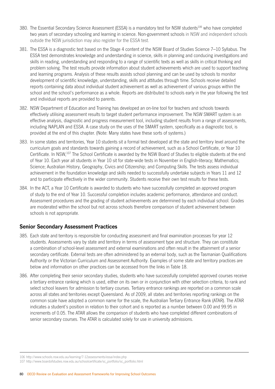- 380. The Essential Secondary Science Assessment (ESSA) is a mandatory test for NSW students<sup>106</sup> who have completed two years of secondary schooling and learning in science. Non‑government schools in NSW and independent schools outside the NSW jurisdiction may also register for the ESSA test.
- 381. The ESSA is a diagnostic test based on the Stage 4 content of the NSW Board of Studies Science 7–10 Syllabus. The ESSA test demonstrates knowledge and understanding in science, skills in planning and conducing investigations and skills in reading, understanding and responding to a range of scientific texts as well as skills in critical thinking and problem solving. The test results provide information about student achievements which are used to support teaching and learning programs. Analysis of these results assists school planning and can be used by schools to monitor development of scientific knowledge, understanding, skills and attitudes through time. Schools receive detailed reports containing data about individual student achievement as well as achievement of various groups within the school and the school's performance as a whole. Reports are distributed to schools early in the year following the test and individual reports are provided to parents.
- 382. NSW Department of Education and Training has developed an on-line tool for teachers and schools towards effectively utilising assessment results to target student performance improvement. The NSW SMART system is an effective analysis, diagnostic and progress measurement tool, including student results from a range of assessments, including NAPLAN and ESSA. A case study on the uses of the SMART system, specifically as a diagnostic tool, is provided at the end of this chapter. (Note: Many states have these sorts of systems.)
- 383. In some states and territories, Year 10 students sit a formal test developed at the state and territory level around the curriculum goals and standards towards gaining a record of achievement, such as a School Certificate, or Year 10 Certificate. In NSW.<sup>107</sup> The School Certificate is awarded by the NSW Board of Studies to eligible students at the end of Year 10. Each year all students in Year 10 sit for state-wide tests in November in English-literacy; Mathematics; Science; Australian History, Geography, Civics and Citizenship; and Computing Skills. The tests assess individual achievement in the foundation knowledge and skills needed to successfully undertake subjects in Years 11 and 12 and to participate effectively in the wider community. Students receive their own test results for these tests.
- 384. In the ACT, a Year 10 Certificate is awarded to students who have successfully completed an approved program of study to the end of Year 10. Successful completion includes academic performance, attendance and conduct. Assessment procedures and the grading of student achievements are determined by each individual school. Grades are moderated within the school but not across schools therefore comparison of student achievement between schools is not appropriate.

# **Senior Secondary Assessment Practices**

- 385. Each state and territory is responsible for conducting assessment and final examination processes for year 12 students. Assessments vary by state and territory in terms of assessment type and structure. They can constitute a combination of school-level assessment and external examinations and often result in the attainment of a senior secondary certificate. External tests are often administered by an external body, such as the Tasmanian Qualifications Authority or the Victorian Curriculum and Assessment Authority. Examples of some state and territory practices are below and information on other practices can be accessed from the links in Table 18.
- 386. After completing their senior secondary studies, students who have successfully completed approved courses receive a tertiary entrance ranking which is used, either on its own or in conjunction with other selection criteria, to rank and select school leavers for admission to tertiary courses. Tertiary entrance rankings are reported on a common scale across all states and territories except Queensland. As of 2009, all states and territories reporting rankings on the common scale have adopted a common name for the scale, the Australian Tertiary Entrance Rank (ATAR). The ATAR indicates a student's position in relation to their cohort and is reported as a number between 0.00 and 99.95 in increments of 0.05. The ATAR allows the comparison of students who have completed different combinations of senior secondary courses. The ATAR is calculated solely for use in university admissions.

<sup>106</sup> http://www.schools.nsw.edu.au/learning/7-12assessments/essa/index.php

<sup>107</sup> http://www.boardofstudies.nsw.edu.au/schoolcertificate/sc\_portfolio/sc\_portfolio.html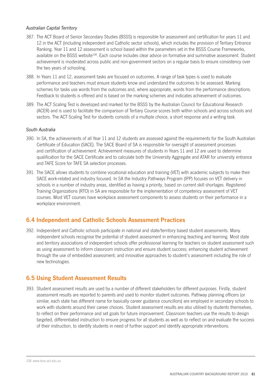#### *Australian Capital Territory*

- 387. The ACT Board of Senior Secondary Studies (BSSS) is responsible for assessment and certification for years 11 and 12 in the ACT (including independent and Catholic sector schools), which includes the provision of Tertiary Entrance Ranking. Year 11 and 12 assessment is school based within the parameters set in the BSSS Course Frameworks, available on the BSSS website<sup>108</sup>. Each course includes clear advice on formative and summative assessment. Student achievement is moderated across public and non-government sectors on a regular basis to ensure consistency over the two years of schooling.
- 388. In Years 11 and 12, assessment tasks are focused on outcomes. A range of task types is used to evaluate performance and teachers must ensure students know and understand the outcomes to be assessed. Marking schemes for tasks use words from the outcomes and, where appropriate, words from the performance descriptions. Feedback to students is offered and is based on the marking schemes and indicates achievement of outcomes.
- 389. The ACT Scaling Test is developed and marked for the BSSS by the Australian Council for Educational Research (ACER) and is used to facilitate the comparison of Tertiary Course scores both within schools and across schools and sectors. The ACT Scaling Test for students consists of a multiple choice, a short response and a writing task.

#### *South Australia*

- 390. In SA, the achievements of all Year 11 and 12 students are assessed against the requirements for the South Australian Certificate of Education (SACE). The SACE Board of SA is responsible for oversight of assessment processes and certification of achievement. Achievement measures of students in Years 11 and 12 are used to determine qualification for the SACE Certificate and to calculate both the University Aggregate and ATAR for university entrance and TAFE Score for TAFE SA selection processes.
- 391. The SACE allows students to combine vocational education and training (VET) with academic subjects to make their SACE work-related and industry focused. In SA the Industry Pathways Program (IPP) focuses on VET delivery in schools in a number of industry areas, identified as having a priority, based on current skill shortages. Registered Training Organizations (RTO) in SA are responsible for the implementation of competency assessment of VET courses. Most VET courses have workplace assessment components to assess students on their performance in a workplace environment.

# **6.4 Independent and Catholic Schools Assessment Practices**

392. Independent and Catholic schools participate in national and state/territory based student assessments. Many independent schools recognise the potential of student assessment in enhancing teaching and learning. Most state and territory associations of independent schools offer professional learning for teachers on student assessment such as using assessment to inform classroom instruction and ensure student success; enhancing student achievement through the use of embedded assessment; and innovative approaches to student's assessment including the role of new technologies.

# **6.5 Using Student Assessment Results**

393. Student assessment results are used by a number of different stakeholders for different purposes. Firstly, student assessment results are reported to parents and used to monitor student outcomes. Pathway planning officers (or similar, each state has different name for basically career guidance councillors) are employed in secondary schools to work with students around their career choices. Student assessment results are also utilised by students themselves, to reflect on their performance and set goals for future improvement. Classroom teachers use the results to design targeted, differentiated instruction to ensure progress for all students as well as to reflect on and evaluate the success of their instruction, to identify students in need of further support and identify appropriate interventions.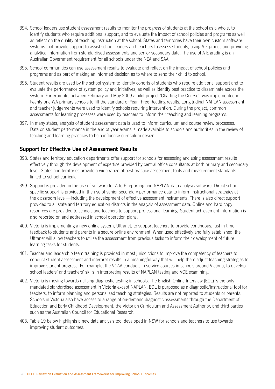- 394. School leaders use student assessment results to monitor the progress of students at the school as a whole, to identify students who require additional support, and to evaluate the impact of school policies and programs as well as reflect on the quality of teaching instruction at the school. States and territories have their own custom software systems that provide support to assist school leaders and teachers to assess students, using A-E grades and providing analytical information from standardised assessments and senior secondary data. The use of A-E grading is an Australian Government requirement for all schools under the NEA and SAA.
- 395. School communities can use assessment results to evaluate and reflect on the impact of school policies and programs and as part of making an informed decision as to where to send their child to school.
- 396. Student results are used by the school system to identify cohorts of students who require additional support and to evaluate the performance of system policy and initiatives, as well as identify best practice to disseminate across the system. For example, between February and May 2009 a pilot project 'Charting the Course', was implemented in twenty-one WA primary schools to lift the standard of Year Three Reading results. Longitudinal NAPLAN assessment and teacher judgements were used to identify schools requiring intervention. During the project, common assessments for learning processes were used by teachers to inform their teaching and learning programs.
- 397. In many states, analysis of student assessment data is used to inform curriculum and course review processes. Data on student performance in the end of year exams is made available to schools and authorities in the review of teaching and learning practices to help influence curriculum design.

## **Support for Effective Use of Assessment Results**

- 398. States and territory education departments offer support for schools for assessing and using assessment results effectively through the development of expertise provided by central office consultants at both primary and secondary level. States and territories provide a wide range of best practice assessment tools and measurement standards, linked to school curricula.
- 399. Support is provided in the use of software for A to E reporting and NAPLAN data analysis software. Direct school specific support is provided in the use of senior secondary performance data to inform instructional strategies at the classroom level—including the development of effective assessment instruments. There is also direct support provided to all state and territory education districts in the analysis of assessment data. Online and hard copy resources are provided to schools and teachers to support professional learning. Student achievement information is also reported on and addressed in school operation plans.
- 400. Victoria is implementing a new online system, Ultranet, to support teachers to provide continuous, just-in-time feedback to students and parents in a secure online environment. When used effectively and fully established, the Ultranet will allow teachers to utilise the assessment from previous tasks to inform their development of future learning tasks for students.
- 401. Teacher and leadership team training is provided in most jurisdictions to improve the competency of teachers to conduct student assessment and interpret results in a meaningful way that will help them adjust teaching strategies to improve student progress. For example, the VCAA conducts in-service courses in schools around Victoria, to develop school leaders' and teachers' skills in interpreting results of NAPLAN testing and VCE examining.
- 402. Victoria is moving towards utilising diagnostic testing in schools. The English Online Interview (EOL) is the only mandated standardised assessment in Victoria except NAPLAN. EOL is purposed as a diagnostic/instructional tool for teachers, to inform planning and personalised teaching strategies. Results are not reported to students or parents. Schools in Victoria also have access to a range of on-demand diagnostic assessments through the Department of Education and Early Childhood Development, the Victorian Curriculum and Assessment Authority, and third parties such as the Australian Council for Educational Research.
- 403. Table 19 below highlights a new data analysis tool developed in NSW for schools and teachers to use towards improving student outcomes.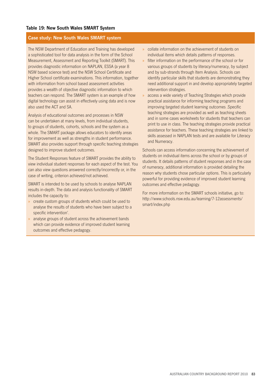#### **Case study: New South Wales SMART system**

The NSW Department of Education and Training has developed a sophisticated tool for data analysis in the form of the School Measurement, Assessment and Reporting Toolkit (SMART). This provides diagnostic information on NAPLAN, ESSA (a year 8 NSW based science test) and the NSW School Certificate and Higher School certificate examinations. This information, together with information from school based assessment activities provides a wealth of objective diagnostic information to which teachers can respond. The SMART system is an example of how digital technology can assist in effectively using data and is now also used the ACT and SA.

Analysis of educational outcomes and processes in NSW can be undertaken at many levels, from individual students, to groups of students, cohorts, schools and the system as a whole. The SMART package allows educators to identify areas for improvement as well as strengths in student performance. SMART also provides support through specific teaching strategies designed to improve student outcomes.

The Student Responses feature of SMART provides the ability to view individual student responses for each aspect of the test. You can also view questions answered correctly/incorrectly or, in the case of writing, criterion achieved/not achieved.

SMART is intended to be used by schools to analyse NAPLAN results in-depth. The data and analysis functionality of SMART includes the capacity to:

- » create custom groups of students which could be used to analyse the results of students who have been subject to a specific intervention'.
- » analyse groups of student across the achievement bands which can provide evidence of improved student learning outcomes and effective pedagogy.
- » collate information on the achievement of students on individual items which details patterns of responses.
- filter information on the performance of the school or for various groups of students by literacy/numeracy, by subject and by sub-strands through Item Analysis. Schools can identify particular skills that students are demonstrating they need additional support in and develop appropriately targeted intervention strategies.
- » access a wide variety of Teaching Strategies which provide practical assistance for informing teaching programs and improving targeted student learning outcomes .Specific teaching strategies are provided as well as teaching sheets and in some cases worksheets for students that teachers can print to use in class. The teaching strategies provide practical assistance for teachers. These teaching strategies are linked to skills assessed in NAPLAN tests and are available for Literacy and Numeracy.

Schools can access information concerning the achievement of students on individual items across the school or by groups of students. It details patterns of student responses and in the case of numeracy, additional information is provided detailing the reason why students chose particular options. This is particularly powerful for providing evidence of improved student learning outcomes and effective pedagogy.

For more information on the SMART schools initiative, go to: http://www.schools.nsw.edu.au/learning/7-12assessments/ smart/index.php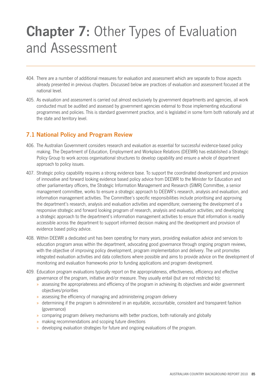# **Chapter 7: Other Types of Evaluation** and Assessment

- 404. There are a number of additional measures for evaluation and assessment which are separate to those aspects already presented in previous chapters. Discussed below are practices of evaluation and assessment focused at the national level.
- 405. As evaluation and assessment is carried out almost exclusively by government departments and agencies, all work conducted must be audited and assessed by government agencies external to those implementing educational programmes and policies. This is standard government practice, and is legislated in some form both nationally and at the state and territory level.

# **7.1 National Policy and Program Review**

- 406. The Australian Government considers research and evaluation as essential for successful evidence-based policy making. The Department of Education, Employment and Workplace Relations (DEEWR) has established a Strategic Policy Group to work across organisational structures to develop capability and ensure a whole of department approach to policy issues.
- 407. Strategic policy capability requires a strong evidence base. To support the coordinated development and provision of innovative and forward looking evidence based policy advice from DEEWR to the Minister for Education and other parliamentary officers, the Strategic Information Management and Research (SIMR) Committee, a senior management committee, works to ensure a strategic approach to DEEWR's research, analysis and evaluation, and information management activities. The Committee's specific responsibilities include prioritising and approving the department's research, analysis and evaluation activities and expenditure; overseeing the development of a responsive strategic and forward looking program of research, analysis and evaluation activities; and developing a strategic approach to the department's information management activities to ensure that information is readily accessible across the department to support informed decision making and the development and provision of evidence based policy advice.
- 408. Within DEEWR a dedicated unit has been operating for many years, providing evaluation advice and services to education program areas within the department, advocating good governance through ongoing program reviews, with the objective of improving policy development, program implementation and delivery. The unit promotes integrated evaluation activities and data collections where possible and aims to provide advice on the development of monitoring and evaluation frameworks prior to funding applications and program development.
- 409. Education program evaluations typically report on the appropriateness, effectiveness, efficiency and effective governance of the program, initiative and/or measure. They usually entail (but are not restricted to):
	- » assessing the appropriateness and efficiency of the program in achieving its objectives and wider government objectives/priorities
	- » assessing the efficiency of managing and administering program delivery
	- » determining if the program is administered in an equitable, accountable, consistent and transparent fashion (governance)
	- » comparing program delivery mechanisms with better practices, both nationally and globally
	- » making recommendations and scoping future directions
	- » developing evaluation strategies for future and ongoing evaluations of the program.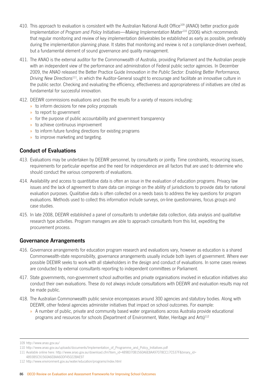- 410. This approach to evaluation is consistent with the Australian National Audit Office109 (ANAO) better practice guide *Implementation of Program and Policy Initiatives—Making Implementation Matter*<sup>110</sup> (2006) which recommends that regular monitoring and review of key implementation deliverables be established as early as possible, preferably during the implementation planning phase. It states that monitoring and review is not a compliance-driven overhead, but a fundamental element of sound governance and quality management.
- 411. The ANAO is the external auditor for the Commonwealth of Australia, providing Parliament and the Australian people with an independent view of the performance and administration of Federal public sector agencies. In December 2009, the ANAO released the Better Practice Guide *Innovation in the Public Sector: Enabling Better Performance, Driving New Directions*111*,* in which the Auditor-General sought to encourage and facilitate an innovative culture in the public sector. Checking and evaluating the efficiency, effectiveness and appropriateness of initiatives are cited as fundamental for successful innovation.
- 412. DEEWR commissions evaluations and uses the results for a variety of reasons including:
	- » to inform decisions for new policy proposals
	- » to report to government
	- » for the purpose of public accountability and government transparency
	- » to achieve continuous improvement
	- » to inform future funding directions for existing programs
	- » to improve marketing and targeting.

## **Conduct of Evaluations**

- 413. Evaluations may be undertaken by DEEWR personnel, by consultants or jointly. Time constraints, resourcing issues, requirements for particular expertise and the need for independence are all factors that are used to determine who should conduct the various components of evaluations.
- 414. Availability and access to quantitative data is often an issue in the evaluation of education programs. Privacy law issues and the lack of agreement to share data can impinge on the ability of jurisdictions to provide data for national evaluation purposes. Qualitative data is often collected on a needs basis to address the key questions for program evaluations. Methods used to collect this information include surveys, on‑line questionnaires, focus groups and case studies.
- 415. In late 2008, DEEWR established a panel of consultants to undertake data collection, data analysis and qualitative research type activities. Program managers are able to approach consultants from this list, expediting the procurement process.

## **Governance Arrangements**

- 416. Governance arrangements for education program research and evaluations vary, however as education is a shared Commonwealth-state responsibility, governance arrangements usually include both layers of government. Where ever possible DEEWR seeks to work with all stakeholders in the design and conduct of evaluations. In some cases reviews are conducted by external consultants reporting to independent committees or Parliament.
- 417. State governments, non-government school authorities and private organisations involved in education initiatives also conduct their own evaluations. These do not always include consultations with DEEWR and evaluation results may not be made public.
- 418. The Australian Commonwealth public service encompasses around 300 agencies and statutory bodies. Along with DEEWR, other federal agencies administer initiatives that impact on school outcomes. For example:
	- » A number of public, private and community based water organisations across Australia provide educational programs and resources for schools (Department of Environment, Water, Heritage and Arts)<sup>112</sup>

<sup>109</sup> http://www.anao.gov.au/

<sup>110</sup> http://www.anao.gov.au/uploads/documents/Implementation\_of\_Programme\_and\_Policy\_Initiatives.pdf

<sup>111</sup> Available online here: http://www.anao.gov.au/download.cfm?item\_id=4898370B1560A6E8AA97078CC17C537F&binary\_id=

<sup>4893</sup>B5C91560A6E8AA60DF45022BAE97

<sup>112</sup> http://www.environment.gov.au/water/education/programs/index.html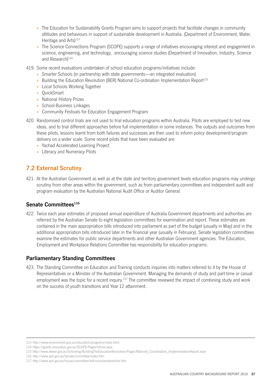- » The Education for Sustainability Grants Program aims to support projects that facilitate changes in community attitudes and behaviours in support of sustainable development in Australia. (Department of Environment, Water, Heritage and Arts)<sup>113</sup>
- » The Science Connections Program (SCOPE) supports a range of initiatives encouraging interest and engagement in science, engineering, and technology, .encouraging science studies (Department of Innovation, Industry, Science and Research)<sup>114</sup>
- 419. Some recent evaluations undertaken of school education programs/initiatives include:
	- » Smarter Schools (in partnership with state governments—an integrated evaluation)
	- » Building the Education Revolution (BER) National Co-ordination Implementation Report115
	- » Local Schools Working Together
	- » QuickSmart
	- » National History Prizes
	- » School‑Business Linkages
	- » Community Festivals for Education Engagement Program
- 420. Randomised control trials are not used to trial education programs within Australia. Pilots are employed to test new ideas, and to trial different approaches before full implementation in some instances. The outputs and outcomes from these pilots, lessons learnt from both failures and successes are then used to inform policy development/program delivery on a wider scale. Some recent pilots that have been evaluated are:
	- » Yachad Accelerated Learning Project
	- » Literacy and Numeracy Pilots

# **7.2 External Scrutiny**

421. At the Australian Government as well as at the state and territory government levels education programs may undergo scrutiny from other areas within the government, such as from parliamentary committees and independent audit and program evaluation by the Australian National Audit Office or Auditor General.

## **Senate Committees**<sup>116</sup>

422. Twice each year estimates of proposed annual expenditure of Australia Government departments and authorities are referred by the Australian Senate to eight legislation committees for examination and report. These estimates are contained in the main appropriation bills introduced into parliament as part of the budget (usually in May) and in the additional appropriation bills introduced later in the financial year (usually in February). Senate legislation committees examine the estimates for public service departments and other Australian Government agencies. The Education, Employment and Workplace Relations Committee has responsibility for education programs.

## **Parliamentary Standing Committees**

423. The Standing Committee on Education and Training conducts inquiries into matters referred to it by the House of Representatives or a Minister of the Australian Government. Managing the demands of study and part-time or casual employment was the topic for a recent inquiry.<sup>117</sup> The committee reviewed the impact of combining study and work on the success of youth transitions and Year 12 attainment.

<sup>113</sup> http://www.environment.gov.au/education/programs/index.html

<sup>114</sup> https://grants.innovation.gov.au/SCOPE/Pages/Home.aspx

<sup>115</sup> http://www.deewr.gov.au/Schooling/BuildingTheEducationRevolution/Pages/National\_Coordinators\_ImplementationReport.aspx

<sup>116</sup> http://www.aph.gov.au/Senate/committee/index.htm

<sup>117</sup> http://www.aph.gov.au/house/committee/edt/schoolandwork/tor.htm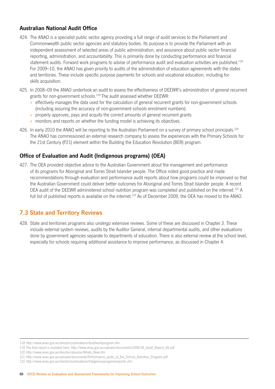# **Australian National Audit Office**

- 424. The ANAO is a specialist public sector agency providing a full range of audit services to the Parliament and Commonwealth public sector agencies and statutory bodies. Its purpose is to provide the Parliament with an independent assessment of selected areas of public administration, and assurance about public sector financial reporting, administration, and accountability. This is primarily done by conducting performance and financial statement audits. Forward work programs to advise of performance audit and evaluation activities are published.<sup>118</sup> For 2009–10, the ANAO has given priority to audits of the administration of education agreements with the states and territories. These include specific purpose payments for schools and vocational education, including for skills acquisition.
- 425. In 2008–09 the ANAO undertook an audit to assess the effectiveness of DEEWR's administration of general recurrent grants for non-government schools.<sup>119</sup> The audit assessed whether DEEWR:
	- » effectively manages the data used for the calculation of general recurrent grants for non-government schools (including assuring the accuracy of non-government schools enrolment numbers)
	- » properly approves, pays and acquits the correct amounts of general recurrent grants
	- » monitors and reports on whether the funding model is achieving its objectives.
- 426. In early 2010 the ANAO will be reporting to the Australian Parliament on a survey of primary school principals.<sup>120</sup> The ANAO has commissioned an external research company to assess the experiences with the Primary Schools for the 21st Century (P21) element within the Building the Education Revolution (BER) program.

# **Office of Evaluation and Audit (Indigenous programs) (OEA)**

427. The OEA provided objective advice to the Australian Government about the management and performance of its programs for Aboriginal and Torres Strait Islander people. The Office noted good practice and made recommendations through evaluation and performance audit reports about how programs could be improved so that the Australian Government could deliver better outcomes for Aboriginal and Torres Strait Islander people. A recent OEA audit of the DEEWR administered school nutrition program was completed and published on the internet.121 A full list of published reports is available on the internet.<sup>122</sup> As of December 2009, the OEA has moved to the ANAO.

# **7.3 State and Territory Reviews**

428. State and territories programs also undergo extensive reviews. Some of these are discussed in Chapter 3. These include external system reviews, audits by the Auditor General, internal departmental audits, and other evaluations done by government agencies separate to departments of education. There is also external review at the school level, especially for schools requiring additional assistance to improve performance, as discussed in Chapter 4.

<sup>118</sup> http://www.anao.gov.au/director/publications/Auditworkprogram.cfm

<sup>119</sup> The final report is available here: http://www.anao.gov.au/uploads/documents/2008‑09\_Audit\_Report\_45.pdf

<sup>120</sup> http://www.anao.gov.au/director/aboutus/Whats\_New.cfm

<sup>121</sup> http://www.anao.gov.au/uploads/documents/Performance\_audit\_of\_the\_School\_Nutrition\_Program.pdf

<sup>122</sup> http://www.anao.gov.au/director/publications/Indigenousprogramsreports.cfm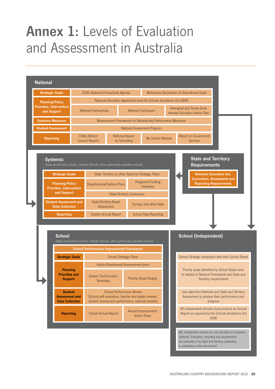# **Annex 1:** Levels of Evaluation and Assessment in Australia



set nationally or by State and Territory authorities,

is undertaken at the school level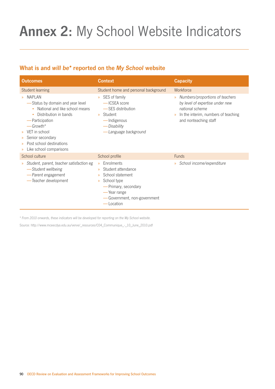# **Annex 2:** My School Website Indicators

# **What is and** *will be\** **reported on the** *My School* **website**

| <b>Outcomes</b>                                                                                                                                                                                                                                                                                                                      | <b>Context</b>                                                                                                                                                                                                            | <b>Capacity</b>                                                                                                                                                                                      |
|--------------------------------------------------------------------------------------------------------------------------------------------------------------------------------------------------------------------------------------------------------------------------------------------------------------------------------------|---------------------------------------------------------------------------------------------------------------------------------------------------------------------------------------------------------------------------|------------------------------------------------------------------------------------------------------------------------------------------------------------------------------------------------------|
| Student learning<br>NAPI AN<br>$\mathcal{D}$<br>-Status by domain and year level<br>National and like school means<br>Distribution in bands<br>-Participation<br>$-$ Growth*<br>VET in school<br>$\mathcal{D}$<br>Senior secondary<br>$\gg$<br>Post school destinations<br>$\mathcal{D}$<br>Like school comparisons<br>$\mathcal{D}$ | Student home and personal background<br>SES of family<br>$\mathcal{D}$<br>-ICSEA score<br>-SES distribution<br>Student<br>$\mathcal{D}$<br>— Indigenous<br>- Disability<br>-Language background                           | Workforce<br>Numbers/proportions of teachers<br>$\mathcal{D}$<br>by level of expertise under new<br>national scheme<br>In the interim, numbers of teaching<br>$\mathcal{P}$<br>and nonteaching staff |
| School culture                                                                                                                                                                                                                                                                                                                       | School profile                                                                                                                                                                                                            | <b>Funds</b>                                                                                                                                                                                         |
| Student, parent, teacher satisfaction eg<br>$\gg$<br>-Student wellbeing<br>-Parent engagement<br>-Teacher development                                                                                                                                                                                                                | Enrolments<br>$\mathcal{D}$<br>Student attendance<br>$\mathcal{P}$<br>School statement<br>$\mathbf{y}$<br>School type<br>$\mathcal{D}$<br>-Primary, secondary<br>— Year range<br>-Government, non-government<br>-Location | School income/expenditure<br>$\mathcal{D}$                                                                                                                                                           |

*\* From 2010 onwards, these indicators will be developed for reporting on the My School website.*

Source: http://www.mceecdya.edu.au/verve/\_resources/C04\_Communique\_‑\_10\_June\_2010.pdf